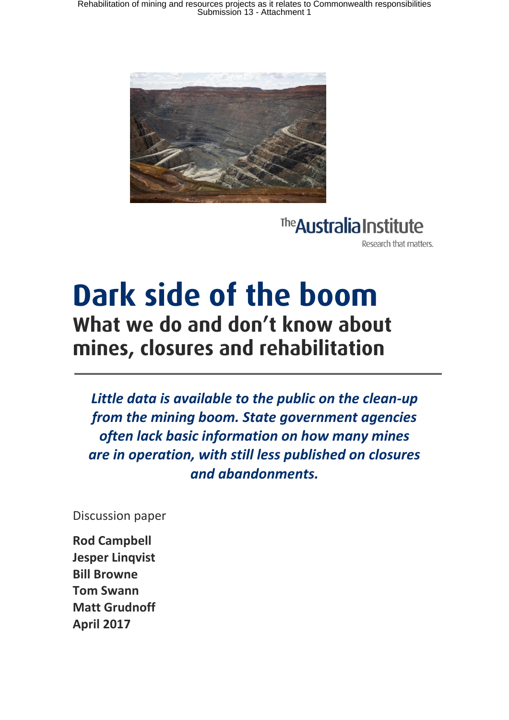Rehabilitation of mining and resources projects as it relates to Commonwealth responsibilities<br>Submission 13 - Attachment 1



The **Australia Institute** Research that matters.

# Dark side of the boom What we do and don't know about mines, closures and rehabilitation **mines, closures and rehabilitation**

*Little data is available to the public on the clean-up from the mining boom. State government agencies often lack basic information on how many mines are in operation, with still less published on closures and abandonments.*

Discussion paper

**Rod Campbell Jesper Linqvist Bill Browne Tom Swann Matt Grudnoff April 2017**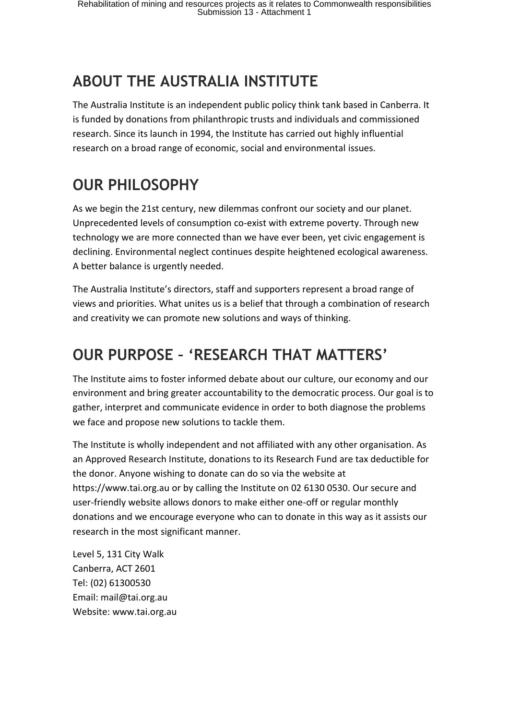# **ABOUT THE AUSTRALIA INSTITUTE**

The Australia Institute is an independent public policy think tank based in Canberra. It is funded by donations from philanthropic trusts and individuals and commissioned research. Since its launch in 1994, the Institute has carried out highly influential research on a broad range of economic, social and environmental issues.

# **OUR PHILOSOPHY**

As we begin the 21st century, new dilemmas confront our society and our planet. Unprecedented levels of consumption co-exist with extreme poverty. Through new technology we are more connected than we have ever been, yet civic engagement is declining. Environmental neglect continues despite heightened ecological awareness. A better balance is urgently needed.

The Australia Institute's directors, staff and supporters represent a broad range of views and priorities. What unites us is a belief that through a combination of research and creativity we can promote new solutions and ways of thinking.

# **OUR PURPOSE – 'RESEARCH THAT MATTERS'**

The Institute aims to foster informed debate about our culture, our economy and our environment and bring greater accountability to the democratic process. Our goal is to gather, interpret and communicate evidence in order to both diagnose the problems we face and propose new solutions to tackle them.

The Institute is wholly independent and not affiliated with any other organisation. As an Approved Research Institute, donations to its Research Fund are tax deductible for the donor. Anyone wishing to donate can do so via the website at https://www.tai.org.au or by calling the Institute on 02 6130 0530. Our secure and user-friendly website allows donors to make either one-off or regular monthly donations and we encourage everyone who can to donate in this way as it assists our research in the most significant manner.

Level 5, 131 City Walk Canberra, ACT 2601 Tel: (02) 61300530 Email: mail@tai.org.au Website: www.tai.org.au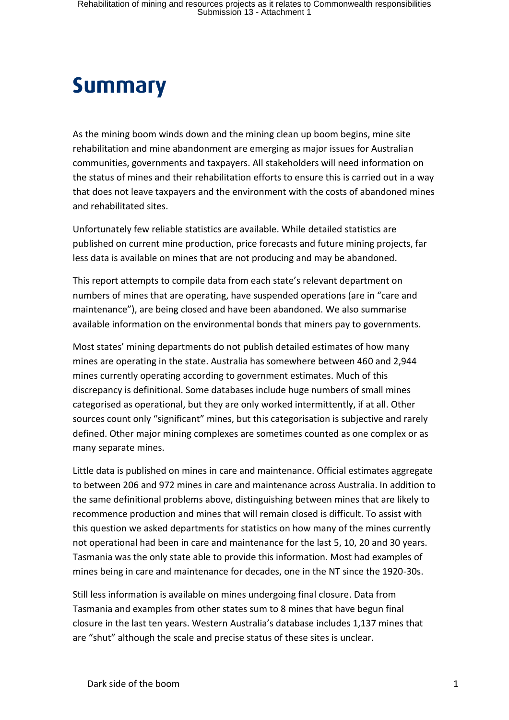# <span id="page-2-0"></span>**Summary**

As the mining boom winds down and the mining clean up boom begins, mine site rehabilitation and mine abandonment are emerging as major issues for Australian communities, governments and taxpayers. All stakeholders will need information on the status of mines and their rehabilitation efforts to ensure this is carried out in a way that does not leave taxpayers and the environment with the costs of abandoned mines and rehabilitated sites.

Unfortunately few reliable statistics are available. While detailed statistics are published on current mine production, price forecasts and future mining projects, far less data is available on mines that are not producing and may be abandoned.

This report attempts to compile data from each state's relevant department on numbers of mines that are operating, have suspended operations (are in "care and maintenance"), are being closed and have been abandoned. We also summarise available information on the environmental bonds that miners pay to governments.

Most states' mining departments do not publish detailed estimates of how many mines are operating in the state. Australia has somewhere between 460 and 2,944 mines currently operating according to government estimates. Much of this discrepancy is definitional. Some databases include huge numbers of small mines categorised as operational, but they are only worked intermittently, if at all. Other sources count only "significant" mines, but this categorisation is subjective and rarely defined. Other major mining complexes are sometimes counted as one complex or as many separate mines.

Little data is published on mines in care and maintenance. Official estimates aggregate to between 206 and 972 mines in care and maintenance across Australia. In addition to the same definitional problems above, distinguishing between mines that are likely to recommence production and mines that will remain closed is difficult. To assist with this question we asked departments for statistics on how many of the mines currently not operational had been in care and maintenance for the last 5, 10, 20 and 30 years. Tasmania was the only state able to provide this information. Most had examples of mines being in care and maintenance for decades, one in the NT since the 1920-30s.

Still less information is available on mines undergoing final closure. Data from Tasmania and examples from other states sum to 8 mines that have begun final closure in the last ten years. Western Australia's database includes 1,137 mines that are "shut" although the scale and precise status of these sites is unclear.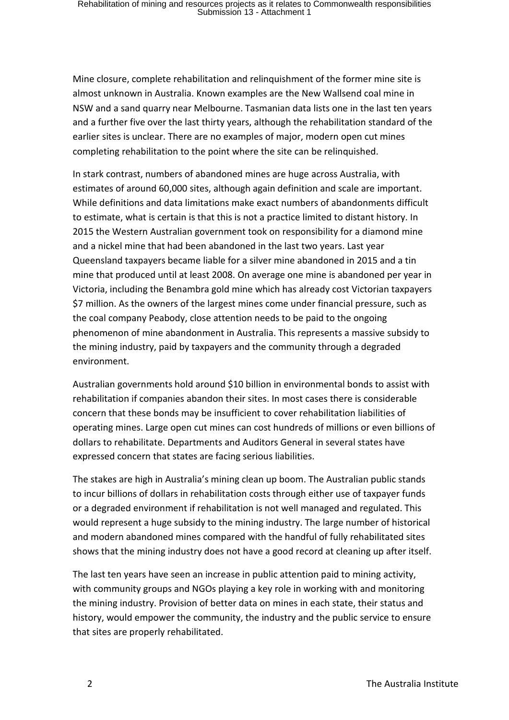Mine closure, complete rehabilitation and relinquishment of the former mine site is almost unknown in Australia. Known examples are the New Wallsend coal mine in NSW and a sand quarry near Melbourne. Tasmanian data lists one in the last ten years and a further five over the last thirty years, although the rehabilitation standard of the earlier sites is unclear. There are no examples of major, modern open cut mines completing rehabilitation to the point where the site can be relinquished.

In stark contrast, numbers of abandoned mines are huge across Australia, with estimates of around 60,000 sites, although again definition and scale are important. While definitions and data limitations make exact numbers of abandonments difficult to estimate, what is certain is that this is not a practice limited to distant history. In 2015 the Western Australian government took on responsibility for a diamond mine and a nickel mine that had been abandoned in the last two years. Last year Queensland taxpayers became liable for a silver mine abandoned in 2015 and a tin mine that produced until at least 2008. On average one mine is abandoned per year in Victoria, including the Benambra gold mine which has already cost Victorian taxpayers \$7 million. As the owners of the largest mines come under financial pressure, such as the coal company Peabody, close attention needs to be paid to the ongoing phenomenon of mine abandonment in Australia. This represents a massive subsidy to the mining industry, paid by taxpayers and the community through a degraded environment.

Australian governments hold around \$10 billion in environmental bonds to assist with rehabilitation if companies abandon their sites. In most cases there is considerable concern that these bonds may be insufficient to cover rehabilitation liabilities of operating mines. Large open cut mines can cost hundreds of millions or even billions of dollars to rehabilitate. Departments and Auditors General in several states have expressed concern that states are facing serious liabilities.

The stakes are high in Australia's mining clean up boom. The Australian public stands to incur billions of dollars in rehabilitation costs through either use of taxpayer funds or a degraded environment if rehabilitation is not well managed and regulated. This would represent a huge subsidy to the mining industry. The large number of historical and modern abandoned mines compared with the handful of fully rehabilitated sites shows that the mining industry does not have a good record at cleaning up after itself.

The last ten years have seen an increase in public attention paid to mining activity, with community groups and NGOs playing a key role in working with and monitoring the mining industry. Provision of better data on mines in each state, their status and history, would empower the community, the industry and the public service to ensure that sites are properly rehabilitated.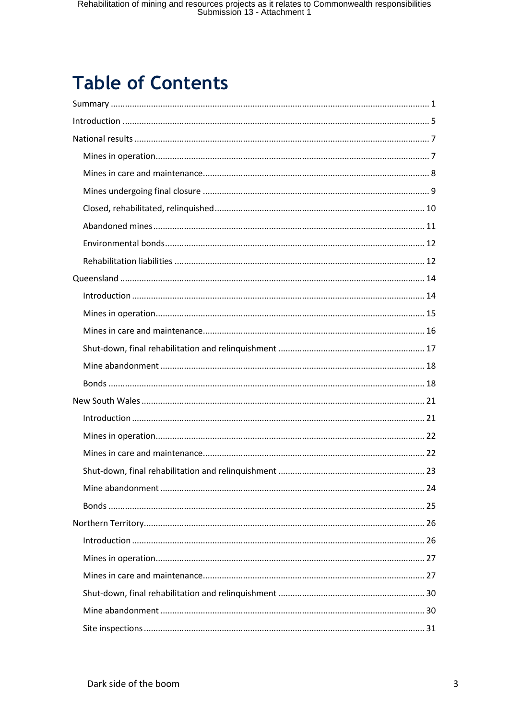# **Table of Contents**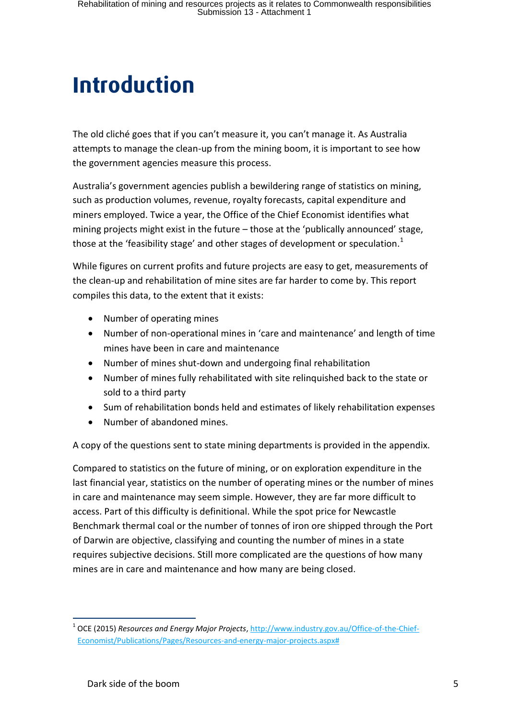# <span id="page-6-0"></span>**Introduction Introduction**

The old cliché goes that if you can't measure it, you can't manage it. As Australia attempts to manage the clean-up from the mining boom, it is important to see how the government agencies measure this process.

Australia's government agencies publish a bewildering range of statistics on mining, such as production volumes, revenue, royalty forecasts, capital expenditure and miners employed. Twice a year, the Office of the Chief Economist identifies what mining projects might exist in the future – those at the 'publically announced' stage, those at the 'feasibility stage' and other stages of development or speculation. $<sup>1</sup>$ </sup>

While figures on current profits and future projects are easy to get, measurements of the clean-up and rehabilitation of mine sites are far harder to come by. This report compiles this data, to the extent that it exists:

- Number of operating mines
- Number of non-operational mines in 'care and maintenance' and length of time mines have been in care and maintenance
- Number of mines shut-down and undergoing final rehabilitation
- Number of mines fully rehabilitated with site relinquished back to the state or sold to a third party
- Sum of rehabilitation bonds held and estimates of likely rehabilitation expenses
- Number of abandoned mines.

A copy of the questions sent to state mining departments is provided in the appendix.

Compared to statistics on the future of mining, or on exploration expenditure in the last financial year, statistics on the number of operating mines or the number of mines in care and maintenance may seem simple. However, they are far more difficult to access. Part of this difficulty is definitional. While the spot price for Newcastle Benchmark thermal coal or the number of tonnes of iron ore shipped through the Port of Darwin are objective, classifying and counting the number of mines in a state requires subjective decisions. Still more complicated are the questions of how many mines are in care and maintenance and how many are being closed.

<sup>1</sup> OCE (2015) *Resources and Energy Major Projects*, [http://www.industry.gov.au/Office-of-the-Chief-](http://www.industry.gov.au/Office-of-the-Chief-Economist/Publications/Pages/Resources-and-energy-major-projects.aspx)[Economist/Publications/Pages/Resources-and-energy-major-projects.aspx#](http://www.industry.gov.au/Office-of-the-Chief-Economist/Publications/Pages/Resources-and-energy-major-projects.aspx)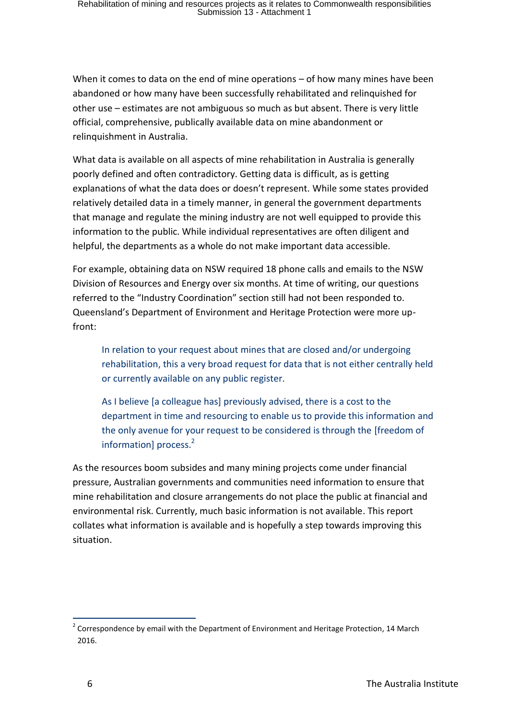When it comes to data on the end of mine operations – of how many mines have been abandoned or how many have been successfully rehabilitated and relinquished for other use – estimates are not ambiguous so much as but absent. There is very little official, comprehensive, publically available data on mine abandonment or relinquishment in Australia.

What data is available on all aspects of mine rehabilitation in Australia is generally poorly defined and often contradictory. Getting data is difficult, as is getting explanations of what the data does or doesn't represent. While some states provided relatively detailed data in a timely manner, in general the government departments that manage and regulate the mining industry are not well equipped to provide this information to the public. While individual representatives are often diligent and helpful, the departments as a whole do not make important data accessible.

For example, obtaining data on NSW required 18 phone calls and emails to the NSW Division of Resources and Energy over six months. At time of writing, our questions referred to the "Industry Coordination" section still had not been responded to. Queensland's Department of Environment and Heritage Protection were more upfront:

In relation to your request about mines that are closed and/or undergoing rehabilitation, this a very broad request for data that is not either centrally held or currently available on any public register.

As I believe [a colleague has] previously advised, there is a cost to the department in time and resourcing to enable us to provide this information and the only avenue for your request to be considered is through the [freedom of information] process. $<sup>2</sup>$ </sup>

As the resources boom subsides and many mining projects come under financial pressure, Australian governments and communities need information to ensure that mine rehabilitation and closure arrangements do not place the public at financial and environmental risk. Currently, much basic information is not available. This report collates what information is available and is hopefully a step towards improving this situation.

 $2^{2}$  Correspondence by email with the Department of Environment and Heritage Protection, 14 March 2016.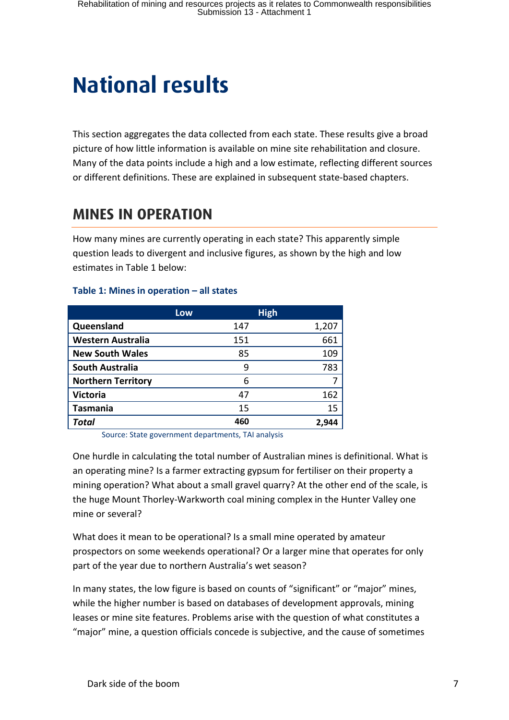# <span id="page-8-0"></span>**National results National results**

This section aggregates the data collected from each state. These results give a broad picture of how little information is available on mine site rehabilitation and closure. Many of the data points include a high and a low estimate, reflecting different sources or different definitions. These are explained in subsequent state-based chapters.

### <span id="page-8-1"></span>**MINES IN OPERATION MINES IN OPERATION**

How many mines are currently operating in each state? This apparently simple question leads to divergent and inclusive figures, as shown by the high and low estimates in [Table 1](#page-8-2) below:

#### <span id="page-8-2"></span>**Table 1: Mines in operation – all states**

|                           | Low | <b>High</b> |
|---------------------------|-----|-------------|
| Queensland                | 147 | 1,207       |
| <b>Western Australia</b>  | 151 | 661         |
| <b>New South Wales</b>    | 85  | 109         |
| <b>South Australia</b>    | 9   | 783         |
| <b>Northern Territory</b> | 6   |             |
| <b>Victoria</b>           | 47  | 162         |
| <b>Tasmania</b>           | 15  | 15          |
| Total                     | 460 | 2.944       |

Source: State government departments, TAI analysis

One hurdle in calculating the total number of Australian mines is definitional. What is an operating mine? Is a farmer extracting gypsum for fertiliser on their property a mining operation? What about a small gravel quarry? At the other end of the scale, is the huge Mount Thorley-Warkworth coal mining complex in the Hunter Valley one mine or several?

What does it mean to be operational? Is a small mine operated by amateur prospectors on some weekends operational? Or a larger mine that operates for only part of the year due to northern Australia's wet season?

In many states, the low figure is based on counts of "significant" or "major" mines, while the higher number is based on databases of development approvals, mining leases or mine site features. Problems arise with the question of what constitutes a "major" mine, a question officials concede is subjective, and the cause of sometimes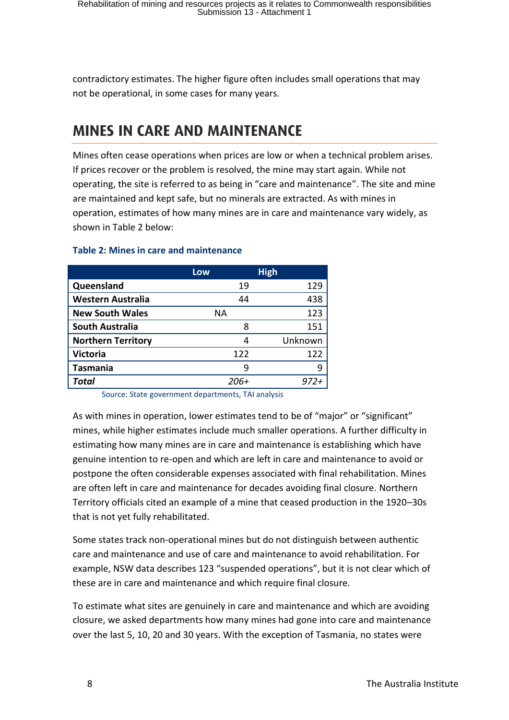contradictory estimates. The higher figure often includes small operations that may not be operational, in some cases for many years.

# <span id="page-9-0"></span>**MINES IN CARE AND MAINTENANCE MINES IN CARE AND MAINTENANCE**

Mines often cease operations when prices are low or when a technical problem arises. If prices recover or the problem is resolved, the mine may start again. While not operating, the site is referred to as being in "care and maintenance". The site and mine are maintained and kept safe, but no minerals are extracted. As with mines in operation, estimates of how many mines are in care and maintenance vary widely, as shown i[n Table 2](#page-9-1) below:

|                           | Low  | <b>High</b> |
|---------------------------|------|-------------|
| Queensland                | 19   | 129         |
| <b>Western Australia</b>  | 44   | 438         |
| <b>New South Wales</b>    | NА   | 123         |
| <b>South Australia</b>    | 8    | 151         |
| <b>Northern Territory</b> |      | Unknown     |
| <b>Victoria</b>           | 122  | 122         |
| <b>Tasmania</b>           |      | 9           |
| Total                     | 206+ | 972+        |

#### <span id="page-9-1"></span>**Table 2: Mines in care and maintenance**

Source: State government departments, TAI analysis

As with mines in operation, lower estimates tend to be of "major" or "significant" mines, while higher estimates include much smaller operations. A further difficulty in estimating how many mines are in care and maintenance is establishing which have genuine intention to re-open and which are left in care and maintenance to avoid or postpone the often considerable expenses associated with final rehabilitation. Mines are often left in care and maintenance for decades avoiding final closure. Northern Territory officials cited an example of a mine that ceased production in the 1920–30s that is not yet fully rehabilitated.

Some states track non-operational mines but do not distinguish between authentic care and maintenance and use of care and maintenance to avoid rehabilitation. For example, NSW data describes 123 "suspended operations", but it is not clear which of these are in care and maintenance and which require final closure.

To estimate what sites are genuinely in care and maintenance and which are avoiding closure, we asked departments how many mines had gone into care and maintenance over the last 5, 10, 20 and 30 years. With the exception of Tasmania, no states were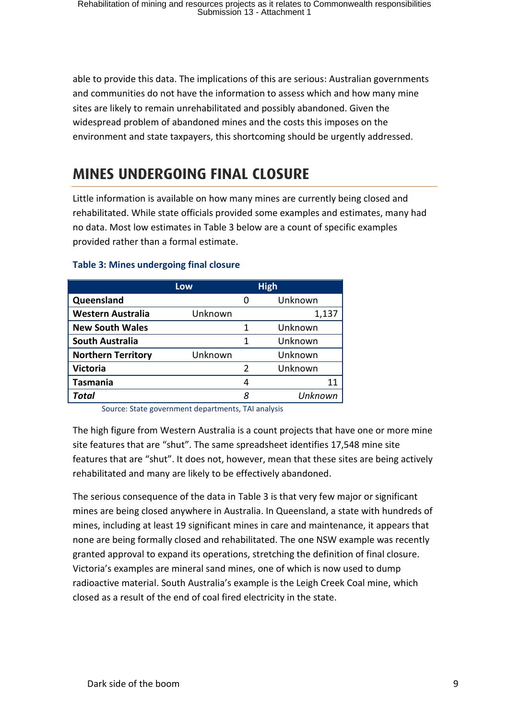able to provide this data. The implications of this are serious: Australian governments and communities do not have the information to assess which and how many mine sites are likely to remain unrehabilitated and possibly abandoned. Given the widespread problem of abandoned mines and the costs this imposes on the environment and state taxpayers, this shortcoming should be urgently addressed.

# <span id="page-10-0"></span>**MINES UNDERGOING FINAL CLOSURE MINES UNDERGOING FINAL CLOSURE**

Little information is available on how many mines are currently being closed and rehabilitated. While state officials provided some examples and estimates, many had no data. Most low estimates in [Table 3](#page-10-1) below are a count of specific examples provided rather than a formal estimate.

|                           | Low     |               | <b>High</b> |
|---------------------------|---------|---------------|-------------|
| Queensland                |         | O             | Unknown     |
| <b>Western Australia</b>  | Unknown |               | 1,137       |
| <b>New South Wales</b>    |         | 1             | Unknown     |
| <b>South Australia</b>    |         | 1             | Unknown     |
| <b>Northern Territory</b> | Unknown |               | Unknown     |
| <b>Victoria</b>           |         | $\mathfrak z$ | Unknown     |
| <b>Tasmania</b>           |         | 4             | 11          |
| <b>Total</b>              |         | 8             | Unknown     |

#### <span id="page-10-1"></span>**Table 3: Mines undergoing final closure**

Source: State government departments, TAI analysis

The high figure from Western Australia is a count projects that have one or more mine site features that are "shut". The same spreadsheet identifies 17,548 mine site features that are "shut". It does not, however, mean that these sites are being actively rehabilitated and many are likely to be effectively abandoned.

The serious consequence of the data in [Table 3](#page-10-1) is that very few major or significant mines are being closed anywhere in Australia. In Queensland, a state with hundreds of mines, including at least 19 significant mines in care and maintenance, it appears that none are being formally closed and rehabilitated. The one NSW example was recently granted approval to expand its operations, stretching the definition of final closure. Victoria's examples are mineral sand mines, one of which is now used to dump radioactive material. South Australia's example is the Leigh Creek Coal mine, which closed as a result of the end of coal fired electricity in the state.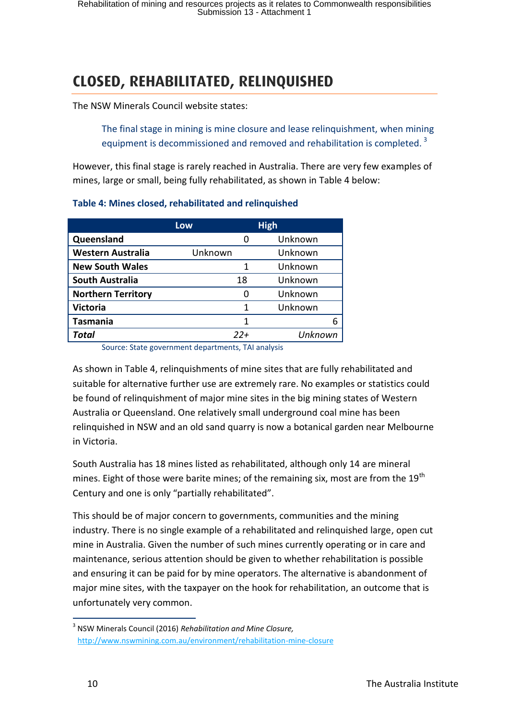# <span id="page-11-0"></span>**CLOSED, REHABILITATED, RELINQUISHED**

The NSW Minerals Council website states:

The final stage in mining is mine closure and lease relinquishment, when mining equipment is decommissioned and removed and rehabilitation is completed.<sup>3</sup>

However, this final stage is rarely reached in Australia. There are very few examples of mines, large or small, being fully rehabilitated, as shown in [Table 4](#page-11-1) below:

|                           | Low     | <b>High</b> |         |
|---------------------------|---------|-------------|---------|
| Queensland                |         |             | Unknown |
| <b>Western Australia</b>  | Unknown |             | Unknown |
| <b>New South Wales</b>    |         | 1           | Unknown |
| <b>South Australia</b>    | 18      |             | Unknown |
| <b>Northern Territory</b> |         | 0           | Unknown |
| <b>Victoria</b>           |         | 1           | Unknown |
| Tasmania                  |         | 1           | 6       |
| Total                     | $22 +$  |             | Unknown |

#### <span id="page-11-1"></span>**Table 4: Mines closed, rehabilitated and relinquished**

Source: State government departments, TAI analysis

As shown in [Table 4,](#page-11-1) relinquishments of mine sites that are fully rehabilitated and suitable for alternative further use are extremely rare. No examples or statistics could be found of relinquishment of major mine sites in the big mining states of Western Australia or Queensland. One relatively small underground coal mine has been relinquished in NSW and an old sand quarry is now a botanical garden near Melbourne in Victoria.

South Australia has 18 mines listed as rehabilitated, although only 14 are mineral mines. Eight of those were barite mines; of the remaining six, most are from the  $19<sup>th</sup>$ Century and one is only "partially rehabilitated".

This should be of major concern to governments, communities and the mining industry. There is no single example of a rehabilitated and relinquished large, open cut mine in Australia. Given the number of such mines currently operating or in care and maintenance, serious attention should be given to whether rehabilitation is possible and ensuring it can be paid for by mine operators. The alternative is abandonment of major mine sites, with the taxpayer on the hook for rehabilitation, an outcome that is unfortunately very common.

<sup>3</sup> NSW Minerals Council (2016) *Rehabilitation and Mine Closure,*  <http://www.nswmining.com.au/environment/rehabilitation-mine-closure>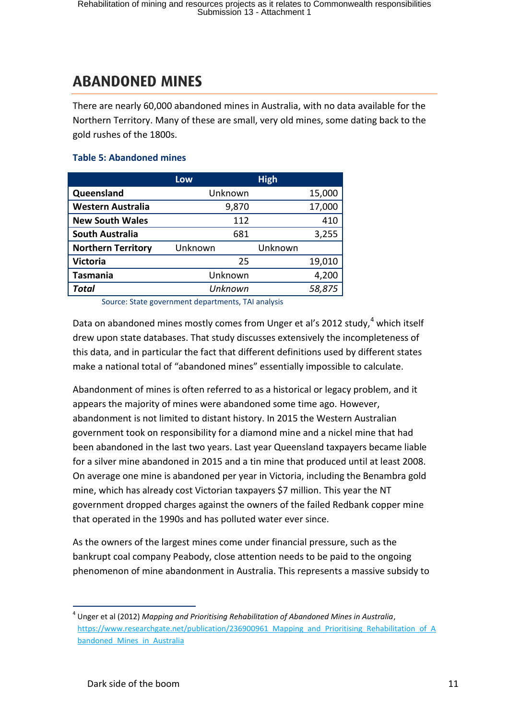# <span id="page-12-0"></span>**ARANDONED MINES ABANDONED MINES**

There are nearly 60,000 abandoned mines in Australia, with no data available for the Northern Territory. Many of these are small, very old mines, some dating back to the gold rushes of the 1800s.

#### **Table 5: Abandoned mines**

|                           | Low     | <b>High</b> |        |
|---------------------------|---------|-------------|--------|
| Queensland                | Unknown |             | 15,000 |
| <b>Western Australia</b>  | 9,870   |             | 17,000 |
| <b>New South Wales</b>    | 112     |             | 410    |
| <b>South Australia</b>    | 681     |             | 3,255  |
| <b>Northern Territory</b> | Unknown | Unknown     |        |
| <b>Victoria</b>           | 25      |             | 19,010 |
| <b>Tasmania</b>           | Unknown |             | 4,200  |
| <b>Total</b>              | Unknown |             | 58,875 |

Source: State government departments, TAI analysis

Data on abandoned mines mostly comes from Unger et al's 2012 study,<sup>4</sup> which itself drew upon state databases. That study discusses extensively the incompleteness of this data, and in particular the fact that different definitions used by different states make a national total of "abandoned mines" essentially impossible to calculate.

Abandonment of mines is often referred to as a historical or legacy problem, and it appears the majority of mines were abandoned some time ago. However, abandonment is not limited to distant history. In 2015 the Western Australian government took on responsibility for a diamond mine and a nickel mine that had been abandoned in the last two years. Last year Queensland taxpayers became liable for a silver mine abandoned in 2015 and a tin mine that produced until at least 2008. On average one mine is abandoned per year in Victoria, including the Benambra gold mine, which has already cost Victorian taxpayers \$7 million. This year the NT government dropped charges against the owners of the failed Redbank copper mine that operated in the 1990s and has polluted water ever since.

As the owners of the largest mines come under financial pressure, such as the bankrupt coal company Peabody, close attention needs to be paid to the ongoing phenomenon of mine abandonment in Australia. This represents a massive subsidy to

<sup>1</sup> 4 Unger et al (2012) *Mapping and Prioritising Rehabilitation of Abandoned Mines in Australia*, [https://www.researchgate.net/publication/236900961\\_Mapping\\_and\\_Prioritising\\_Rehabilitation\\_of\\_A](https://www.researchgate.net/publication/236900961_Mapping_and_Prioritising_Rehabilitation_of_Abandoned_Mines_in_Australia) bandoned Mines in Australia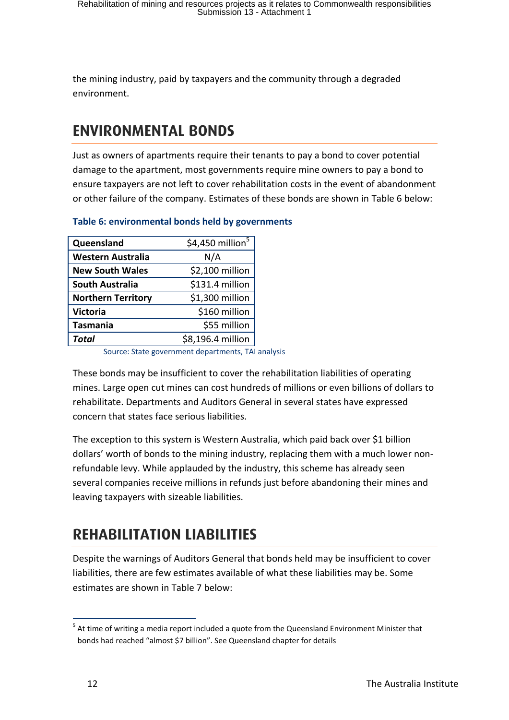the mining industry, paid by taxpayers and the community through a degraded environment.

# <span id="page-13-0"></span>**ENVIRONMENTAL BONDS ENVIRONMENTAL BONDS**

Just as owners of apartments require their tenants to pay a bond to cover potential damage to the apartment, most governments require mine owners to pay a bond to ensure taxpayers are not left to cover rehabilitation costs in the event of abandonment or other failure of the company. Estimates of these bonds are shown in [Table 6](#page-13-2) below:

| Queensland                | \$4,450 million $5$ |
|---------------------------|---------------------|
| <b>Western Australia</b>  | N/A                 |
| <b>New South Wales</b>    | \$2,100 million     |
| <b>South Australia</b>    | \$131.4 million     |
| <b>Northern Territory</b> | \$1,300 million     |
| <b>Victoria</b>           | \$160 million       |
| <b>Tasmania</b>           | \$55 million        |
| Total                     | \$8,196.4 million   |

#### <span id="page-13-2"></span>**Table 6: environmental bonds held by governments**

Source: State government departments, TAI analysis

These bonds may be insufficient to cover the rehabilitation liabilities of operating mines. Large open cut mines can cost hundreds of millions or even billions of dollars to rehabilitate. Departments and Auditors General in several states have expressed concern that states face serious liabilities.

The exception to this system is Western Australia, which paid back over \$1 billion dollars' worth of bonds to the mining industry, replacing them with a much lower nonrefundable levy. While applauded by the industry, this scheme has already seen several companies receive millions in refunds just before abandoning their mines and leaving taxpayers with sizeable liabilities.

# <span id="page-13-1"></span>**REHABILITATION LIABILITIES REHABILITATION LIABILITIES**

Despite the warnings of Auditors General that bonds held may be insufficient to cover liabilities, there are few estimates available of what these liabilities may be. Some estimates are shown in [Table 7](#page-14-0) below:

 $<sup>5</sup>$  At time of writing a media report included a quote from the Queensland Environment Minister that</sup> bonds had reached "almost \$7 billion". See Queensland chapter for details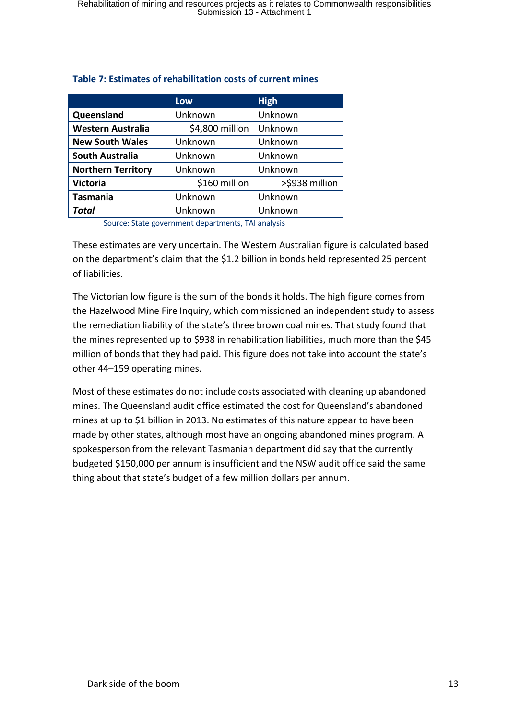| <b>Low</b>      | <b>High</b>                                                                                          |
|-----------------|------------------------------------------------------------------------------------------------------|
| Unknown         | Unknown                                                                                              |
| \$4,800 million | Unknown                                                                                              |
| Unknown         | Unknown                                                                                              |
| Unknown         | Unknown                                                                                              |
| Unknown         | Unknown                                                                                              |
| \$160 million   | >\$938 million                                                                                       |
| Unknown         | Unknown                                                                                              |
| Unknown         | Unknown                                                                                              |
|                 | a di secondo della contra la contratta della CITA di secondo della CITA di secondo la contratta di S |

#### <span id="page-14-0"></span>**Table 7: Estimates of rehabilitation costs of current mines**

Source: State government departments, TAI analysis

These estimates are very uncertain. The Western Australian figure is calculated based on the department's claim that the \$1.2 billion in bonds held represented 25 percent of liabilities.

The Victorian low figure is the sum of the bonds it holds. The high figure comes from the Hazelwood Mine Fire Inquiry, which commissioned an independent study to assess the remediation liability of the state's three brown coal mines. That study found that the mines represented up to \$938 in rehabilitation liabilities, much more than the \$45 million of bonds that they had paid. This figure does not take into account the state's other 44–159 operating mines.

Most of these estimates do not include costs associated with cleaning up abandoned mines. The Queensland audit office estimated the cost for Queensland's abandoned mines at up to \$1 billion in 2013. No estimates of this nature appear to have been made by other states, although most have an ongoing abandoned mines program. A spokesperson from the relevant Tasmanian department did say that the currently budgeted \$150,000 per annum is insufficient and the NSW audit office said the same thing about that state's budget of a few million dollars per annum.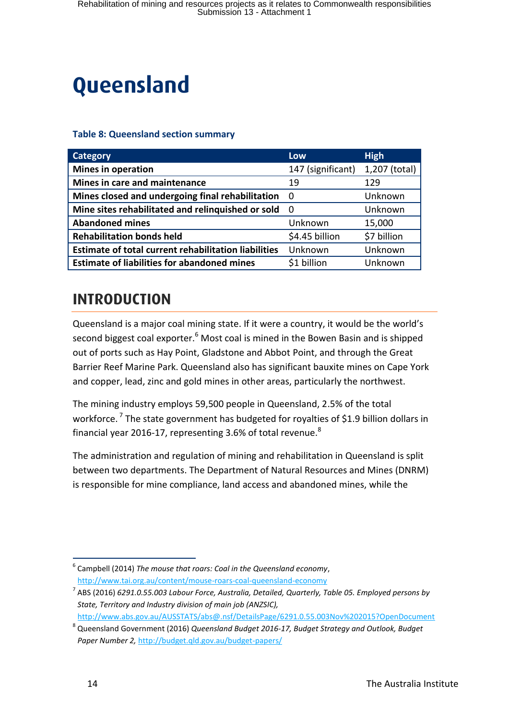# <span id="page-15-0"></span>**Queensland**

#### **Table 8: Queensland section summary**

| <b>Category</b>                                             | Low               | <b>High</b>   |
|-------------------------------------------------------------|-------------------|---------------|
| <b>Mines in operation</b>                                   | 147 (significant) | 1,207 (total) |
| Mines in care and maintenance                               | 19                | 129           |
| Mines closed and undergoing final rehabilitation            | 0                 | Unknown       |
| Mine sites rehabilitated and relinquished or sold           | -0                | Unknown       |
| <b>Abandoned mines</b>                                      | Unknown           | 15,000        |
| <b>Rehabilitation bonds held</b>                            | \$4.45 billion    | \$7 billion   |
| <b>Estimate of total current rehabilitation liabilities</b> | Unknown           | Unknown       |
| <b>Estimate of liabilities for abandoned mines</b>          | \$1 billion       | Unknown       |

### <span id="page-15-1"></span>**INTRODUCTION INTRODUCTION**

Queensland is a major coal mining state. If it were a country, it would be the world's second biggest coal exporter.<sup>6</sup> Most coal is mined in the Bowen Basin and is shipped out of ports such as Hay Point, Gladstone and Abbot Point, and through the Great Barrier Reef Marine Park. Queensland also has significant bauxite mines on Cape York and copper, lead, zinc and gold mines in other areas, particularly the northwest.

The mining industry employs 59,500 people in Queensland, 2.5% of the total workforce.<sup>7</sup> The state government has budgeted for royalties of \$1.9 billion dollars in financial year 2016-17, representing 3.6% of total revenue. $8$ 

The administration and regulation of mining and rehabilitation in Queensland is split between two departments. The Department of Natural Resources and Mines (DNRM) is responsible for mine compliance, land access and abandoned mines, while the

<sup>1</sup> 6 Campbell (2014) *The mouse that roars: Coal in the Queensland economy*, <http://www.tai.org.au/content/mouse-roars-coal-queensland-economy>

<sup>7</sup> ABS (2016) *6291.0.55.003 Labour Force, Australia, Detailed, Quarterly, Table 05. Employed persons by State, Territory and Industry division of main job (ANZSIC),*

<http://www.abs.gov.au/AUSSTATS/abs@.nsf/DetailsPage/6291.0.55.003Nov%202015?OpenDocument>

<sup>8</sup> Queensland Government (2016) *Queensland Budget 2016-17, Budget Strategy and Outlook, Budget Paper Number 2,* <http://budget.qld.gov.au/budget-papers/>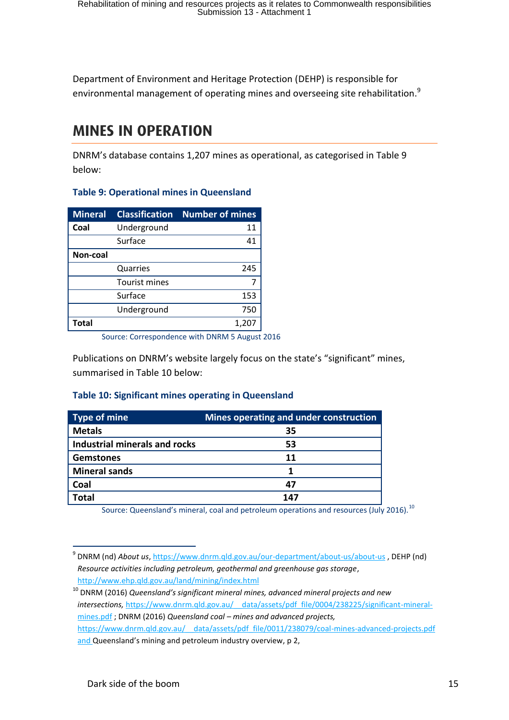Department of Environment and Heritage Protection (DEHP) is responsible for environmental management of operating mines and overseeing site rehabilitation.<sup>9</sup>

# <span id="page-16-0"></span>**MINES IN OPERATION MINES IN OPERATION**

DNRM's database contains 1,207 mines as operational, as categorised in [Table 9](#page-16-1) below:

#### <span id="page-16-1"></span>**Table 9: Operational mines in Queensland**

| <b>Mineral</b> | <b>Classification</b> | <b>Number of mines</b> |
|----------------|-----------------------|------------------------|
| Coal           | Underground           | 11                     |
|                | Surface               | 41                     |
| Non-coal       |                       |                        |
|                | Quarries              | 245                    |
|                | <b>Tourist mines</b>  |                        |
|                | Surface               | 153                    |
|                | Underground           | 750                    |
| Total          |                       | 1,207                  |

Source: Correspondence with DNRM 5 August 2016

Publications on DNRM's website largely focus on the state's "significant" mines, summarised in Table 10 below:

#### **Table 10: Significant mines operating in Queensland**

| Type of mine                  | Mines operating and under construction |
|-------------------------------|----------------------------------------|
| <b>Metals</b>                 | 35                                     |
| Industrial minerals and rocks | 53                                     |
| <b>Gemstones</b>              | 11                                     |
| <b>Mineral sands</b>          |                                        |
| Coal                          | 47                                     |
| Total                         | 147                                    |

Source: Queensland's mineral, coal and petroleum operations and resources (July 2016).<sup>10</sup>

<sup>10</sup> DNRM (2016) *Queensland's significant mineral mines, advanced mineral projects and new intersections,* [https://www.dnrm.qld.gov.au/\\_\\_data/assets/pdf\\_file/0004/238225/significant-mineral](https://www.dnrm.qld.gov.au/__data/assets/pdf_file/0004/238225/significant-mineral-mines.pdf)[mines.pdf](https://www.dnrm.qld.gov.au/__data/assets/pdf_file/0004/238225/significant-mineral-mines.pdf) ; DNRM (2016) *Queensland coal – mines and advanced projects,*  https://www.dnrm.qld.gov.au/ data/assets/pdf file/0011/238079/coal-mines-advanced-projects.pdf and Queensland's mining and petroleum industry overview, p 2,

<sup>1</sup> 9 DNRM (nd) *About us*,<https://www.dnrm.qld.gov.au/our-department/about-us/about-us> , DEHP (nd) *Resource activities including petroleum, geothermal and greenhouse gas storage*, <http://www.ehp.qld.gov.au/land/mining/index.html>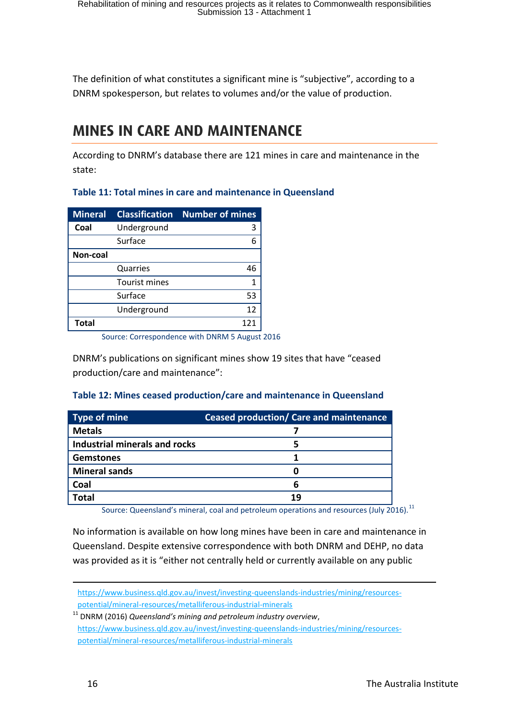The definition of what constitutes a significant mine is "subjective", according to a DNRM spokesperson, but relates to volumes and/or the value of production.

# <span id="page-17-0"></span>**MINES IN CARE AND MAINTENANCE MINES IN CARE AND MAINTENANCE**

According to DNRM's database there are 121 mines in care and maintenance in the state:

#### **Table 11: Total mines in care and maintenance in Queensland**

| <b>Mineral</b> | <b>Classification</b> | <b>Number of mines</b> |
|----------------|-----------------------|------------------------|
| Coal           | Underground           | 3                      |
|                | Surface               | հ                      |
| Non-coal       |                       |                        |
|                | Quarries              | 46                     |
|                | <b>Tourist mines</b>  | 1                      |
|                | Surface               | 53                     |
|                | Underground           | 12                     |
| <b>Total</b>   |                       | 121                    |

Source: Correspondence with DNRM 5 August 2016

DNRM's publications on significant mines show 19 sites that have "ceased production/care and maintenance":

#### **Table 12: Mines ceased production/care and maintenance in Queensland**

| <b>Type of mine</b>           | Ceased production/ Care and maintenance |
|-------------------------------|-----------------------------------------|
| <b>Metals</b>                 |                                         |
| Industrial minerals and rocks |                                         |
| <b>Gemstones</b>              |                                         |
| <b>Mineral sands</b>          | O                                       |
| Coal                          | 6                                       |
| Total                         | 19                                      |

Source: Queensland's mineral, coal and petroleum operations and resources (July 2016).<sup>11</sup>

No information is available on how long mines have been in care and maintenance in Queensland. Despite extensive correspondence with both DNRM and DEHP, no data was provided as it is "either not centrally held or currently available on any public

**.** 

[https://www.business.qld.gov.au/invest/investing-queenslands-industries/mining/resources](https://www.business.qld.gov.au/invest/investing-queenslands-industries/mining/resources-potential/mineral-resources/metalliferous-industrial-minerals)[potential/mineral-resources/metalliferous-industrial-minerals](https://www.business.qld.gov.au/invest/investing-queenslands-industries/mining/resources-potential/mineral-resources/metalliferous-industrial-minerals)

<sup>11</sup> DNRM (2016) *Queensland's mining and petroleum industry overview*, [https://www.business.qld.gov.au/invest/investing-queenslands-industries/mining/resources](https://www.business.qld.gov.au/invest/investing-queenslands-industries/mining/resources-potential/mineral-resources/metalliferous-industrial-minerals)[potential/mineral-resources/metalliferous-industrial-minerals](https://www.business.qld.gov.au/invest/investing-queenslands-industries/mining/resources-potential/mineral-resources/metalliferous-industrial-minerals)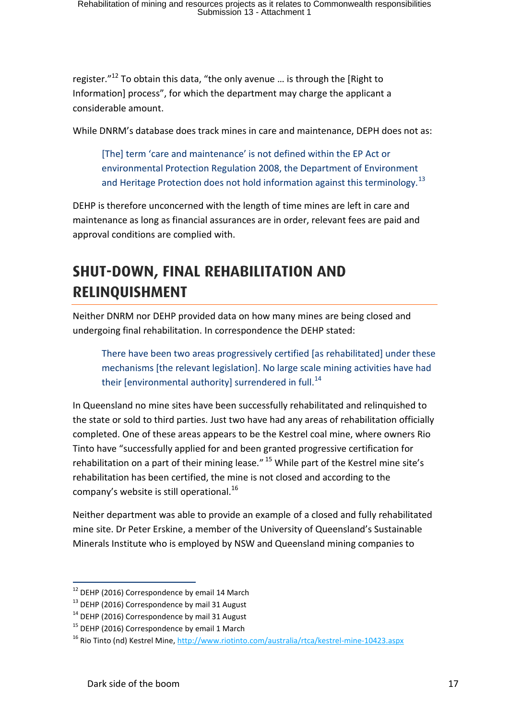register."<sup>12</sup> To obtain this data, "the only avenue ... is through the [Right to Information] process", for which the department may charge the applicant a considerable amount.

While DNRM's database does track mines in care and maintenance, DEPH does not as:

[The] term 'care and maintenance' is not defined within the EP Act or environmental Protection Regulation 2008, the Department of Environment and Heritage Protection does not hold information against this terminology.<sup>13</sup>

DEHP is therefore unconcerned with the length of time mines are left in care and maintenance as long as financial assurances are in order, relevant fees are paid and approval conditions are complied with.

# <span id="page-18-0"></span>**SHUT-DOWN, FINAL REHABILITATION AND RELIN**

Neither DNRM nor DEHP provided data on how many mines are being closed and undergoing final rehabilitation. In correspondence the DEHP stated:

There have been two areas progressively certified [as rehabilitated] under these mechanisms [the relevant legislation]. No large scale mining activities have had their [environmental authority] surrendered in full.<sup>14</sup>

In Queensland no mine sites have been successfully rehabilitated and relinquished to the state or sold to third parties. Just two have had any areas of rehabilitation officially completed. One of these areas appears to be the Kestrel coal mine, where owners Rio Tinto have "successfully applied for and been granted progressive certification for rehabilitation on a part of their mining lease." <sup>15</sup> While part of the Kestrel mine site's rehabilitation has been certified, the mine is not closed and according to the company's website is still operational. $^{16}$ 

Neither department was able to provide an example of a closed and fully rehabilitated mine site. Dr Peter Erskine, a member of the University of Queensland's Sustainable Minerals Institute who is employed by NSW and Queensland mining companies to

<sup>&</sup>lt;sup>12</sup> DEHP (2016) Correspondence by email 14 March

 $13$  DEHP (2016) Correspondence by mail 31 August

 $14$  DEHP (2016) Correspondence by mail 31 August

<sup>&</sup>lt;sup>15</sup> DEHP (2016) Correspondence by email 1 March

<sup>&</sup>lt;sup>16</sup> Rio Tinto (nd) Kestrel Mine[, http://www.riotinto.com/australia/rtca/kestrel-mine-10423.aspx](http://www.riotinto.com/australia/rtca/kestrel-mine-10423.aspx)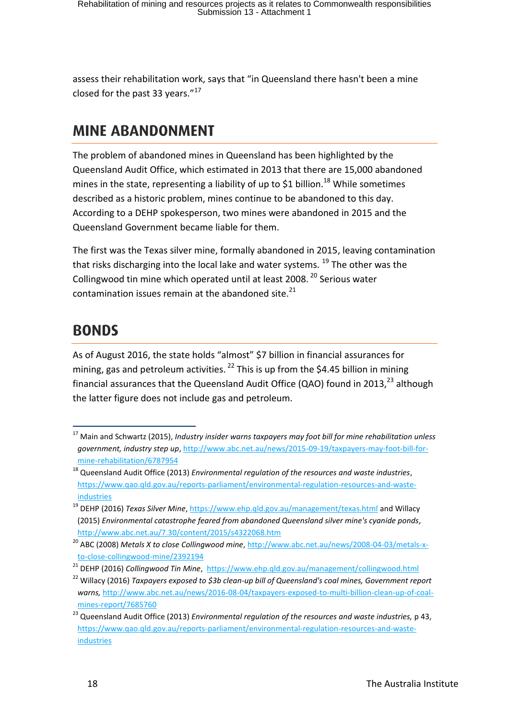assess their rehabilitation work, says that "in Queensland there hasn't been a mine closed for the past 33 years."<sup>17</sup>

# <span id="page-19-0"></span>**MINE ARANDONMENT MINE ABANDONMENT**

The problem of abandoned mines in Queensland has been highlighted by the Queensland Audit Office, which estimated in 2013 that there are 15,000 abandoned mines in the state, representing a liability of up to \$1 billion.<sup>18</sup> While sometimes described as a historic problem, mines continue to be abandoned to this day. According to a DEHP spokesperson, two mines were abandoned in 2015 and the Queensland Government became liable for them.

The first was the Texas silver mine, formally abandoned in 2015, leaving contamination that risks discharging into the local lake and water systems.  $^{19}$  The other was the Collingwood tin mine which operated until at least 2008.<sup>20</sup> Serious water contamination issues remain at the abandoned site. $^{21}$ 

# <span id="page-19-1"></span>**BONDS**

As of August 2016, the state holds "almost" \$7 billion in financial assurances for mining, gas and petroleum activities.  $^{22}$  This is up from the \$4.45 billion in mining financial assurances that the Queensland Audit Office (QAO) found in 2013, $^{23}$  although the latter figure does not include gas and petroleum.

<sup>1</sup> <sup>17</sup> Main and Schwartz (2015), *Industry insider warns taxpayers may foot bill for mine rehabilitation unless government, industry step up*[, http://www.abc.net.au/news/2015-09-19/taxpayers-may-foot-bill-for](http://www.abc.net.au/news/2015-09-19/taxpayers-may-foot-bill-for-mine-rehabilitation/6787954)[mine-rehabilitation/6787954](http://www.abc.net.au/news/2015-09-19/taxpayers-may-foot-bill-for-mine-rehabilitation/6787954)

<sup>18</sup> Queensland Audit Office (2013) *Environmental regulation of the resources and waste industries*, [https://www.qao.qld.gov.au/reports-parliament/environmental-regulation-resources-and-waste](https://www.qao.qld.gov.au/reports-parliament/environmental-regulation-resources-and-waste-industries)[industries](https://www.qao.qld.gov.au/reports-parliament/environmental-regulation-resources-and-waste-industries)

<sup>&</sup>lt;sup>19</sup> DEHP (2016) *Texas Silver Mine*,<https://www.ehp.qld.gov.au/management/texas.html> and Willacy (2015) *Environmental catastrophe feared from abandoned Queensland silver mine's cyanide ponds,*  <http://www.abc.net.au/7.30/content/2015/s4322068.htm>

<sup>20</sup> ABC (2008) *Metals X to close Collingwood mine*[, http://www.abc.net.au/news/2008-04-03/metals-x](http://www.abc.net.au/news/2008-04-03/metals-x-to-close-collingwood-mine/2392194)[to-close-collingwood-mine/2392194](http://www.abc.net.au/news/2008-04-03/metals-x-to-close-collingwood-mine/2392194)

<sup>21</sup> DEHP (2016) *Collingwood Tin Mine*, <https://www.ehp.qld.gov.au/management/collingwood.html>

<sup>22</sup> Willacy (2016) *Taxpayers exposed to \$3b clean-up bill of Queensland's coal mines, Government report warns,* [http://www.abc.net.au/news/2016-08-04/taxpayers-exposed-to-multi-billion-clean-up-of-coal](http://www.abc.net.au/news/2016-08-04/taxpayers-exposed-to-multi-billion-clean-up-of-coal-mines-report/7685760)[mines-report/7685760](http://www.abc.net.au/news/2016-08-04/taxpayers-exposed-to-multi-billion-clean-up-of-coal-mines-report/7685760)

<sup>23</sup> Queensland Audit Office (2013) *Environmental regulation of the resources and waste industries,* p 43, [https://www.qao.qld.gov.au/reports-parliament/environmental-regulation-resources-and-waste](https://www.qao.qld.gov.au/reports-parliament/environmental-regulation-resources-and-waste-industries)[industries](https://www.qao.qld.gov.au/reports-parliament/environmental-regulation-resources-and-waste-industries)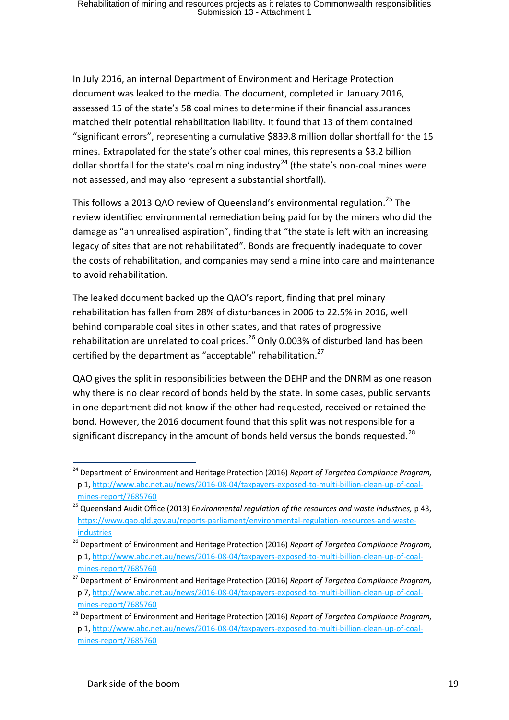In July 2016, an internal Department of Environment and Heritage Protection document was leaked to the media. The document, completed in January 2016, assessed 15 of the state's 58 coal mines to determine if their financial assurances matched their potential rehabilitation liability. It found that 13 of them contained "significant errors", representing a cumulative \$839.8 million dollar shortfall for the 15 mines. Extrapolated for the state's other coal mines, this represents a \$3.2 billion dollar shortfall for the state's coal mining industry<sup>24</sup> (the state's non-coal mines were not assessed, and may also represent a substantial shortfall).

This follows a 2013 QAO review of Queensland's environmental regulation.<sup>25</sup> The review identified environmental remediation being paid for by the miners who did the damage as "an unrealised aspiration", finding that "the state is left with an increasing legacy of sites that are not rehabilitated". Bonds are frequently inadequate to cover the costs of rehabilitation, and companies may send a mine into care and maintenance to avoid rehabilitation.

The leaked document backed up the QAO's report, finding that preliminary rehabilitation has fallen from 28% of disturbances in 2006 to 22.5% in 2016, well behind comparable coal sites in other states, and that rates of progressive rehabilitation are unrelated to coal prices.<sup>26</sup> Only 0.003% of disturbed land has been certified by the department as "acceptable" rehabilitation.<sup>27</sup>

QAO gives the split in responsibilities between the DEHP and the DNRM as one reason why there is no clear record of bonds held by the state. In some cases, public servants in one department did not know if the other had requested, received or retained the bond. However, the 2016 document found that this split was not responsible for a significant discrepancy in the amount of bonds held versus the bonds requested.<sup>28</sup>

<sup>24</sup> Department of Environment and Heritage Protection (2016) *Report of Targeted Compliance Program,*  p 1, [http://www.abc.net.au/news/2016-08-04/taxpayers-exposed-to-multi-billion-clean-up-of-coal-](http://www.abc.net.au/news/2016-08-04/taxpayers-exposed-to-multi-billion-clean-up-of-coal-mines-report/7685760)

[mines-report/7685760](http://www.abc.net.au/news/2016-08-04/taxpayers-exposed-to-multi-billion-clean-up-of-coal-mines-report/7685760)

<sup>25</sup> Queensland Audit Office (2013) *Environmental regulation of the resources and waste industries,* p 43, [https://www.qao.qld.gov.au/reports-parliament/environmental-regulation-resources-and-waste](https://www.qao.qld.gov.au/reports-parliament/environmental-regulation-resources-and-waste-industries)[industries](https://www.qao.qld.gov.au/reports-parliament/environmental-regulation-resources-and-waste-industries)

<sup>26</sup> Department of Environment and Heritage Protection (2016) *Report of Targeted Compliance Program,*  p 1, [http://www.abc.net.au/news/2016-08-04/taxpayers-exposed-to-multi-billion-clean-up-of-coal](http://www.abc.net.au/news/2016-08-04/taxpayers-exposed-to-multi-billion-clean-up-of-coal-mines-report/7685760)[mines-report/7685760](http://www.abc.net.au/news/2016-08-04/taxpayers-exposed-to-multi-billion-clean-up-of-coal-mines-report/7685760)

<sup>27</sup> Department of Environment and Heritage Protection (2016) *Report of Targeted Compliance Program,*  p 7, [http://www.abc.net.au/news/2016-08-04/taxpayers-exposed-to-multi-billion-clean-up-of-coal](http://www.abc.net.au/news/2016-08-04/taxpayers-exposed-to-multi-billion-clean-up-of-coal-mines-report/7685760)[mines-report/7685760](http://www.abc.net.au/news/2016-08-04/taxpayers-exposed-to-multi-billion-clean-up-of-coal-mines-report/7685760)

<sup>28</sup> Department of Environment and Heritage Protection (2016) *Report of Targeted Compliance Program,*  p 1, [http://www.abc.net.au/news/2016-08-04/taxpayers-exposed-to-multi-billion-clean-up-of-coal](http://www.abc.net.au/news/2016-08-04/taxpayers-exposed-to-multi-billion-clean-up-of-coal-mines-report/7685760)[mines-report/7685760](http://www.abc.net.au/news/2016-08-04/taxpayers-exposed-to-multi-billion-clean-up-of-coal-mines-report/7685760)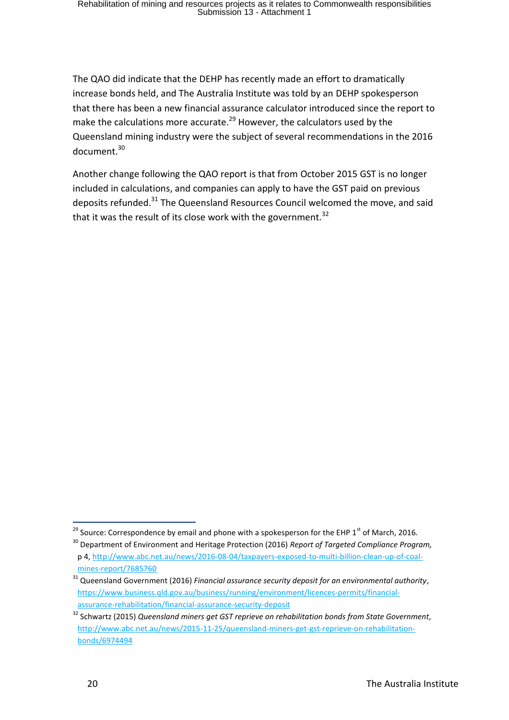The QAO did indicate that the DEHP has recently made an effort to dramatically increase bonds held, and The Australia Institute was told by an DEHP spokesperson that there has been a new financial assurance calculator introduced since the report to make the calculations more accurate.<sup>29</sup> However, the calculators used by the Queensland mining industry were the subject of several recommendations in the 2016 document.<sup>30</sup>

Another change following the QAO report is that from October 2015 GST is no longer included in calculations, and companies can apply to have the GST paid on previous deposits refunded.<sup>31</sup> The Queensland Resources Council welcomed the move, and said that it was the result of its close work with the government.<sup>32</sup>

<sup>1</sup> <sup>29</sup> Source: Correspondence by email and phone with a spokesperson for the EHP 1<sup>st</sup> of March, 2016.

<sup>30</sup> Department of Environment and Heritage Protection (2016) *Report of Targeted Compliance Program,*  p 4, [http://www.abc.net.au/news/2016-08-04/taxpayers-exposed-to-multi-billion-clean-up-of-coal](http://www.abc.net.au/news/2016-08-04/taxpayers-exposed-to-multi-billion-clean-up-of-coal-mines-report/7685760)[mines-report/7685760](http://www.abc.net.au/news/2016-08-04/taxpayers-exposed-to-multi-billion-clean-up-of-coal-mines-report/7685760)

<sup>31</sup> Queensland Government (2016) *Financial assurance security deposit for an environmental authority*, [https://www.business.qld.gov.au/business/running/environment/licences-permits/financial](https://www.business.qld.gov.au/business/running/environment/licences-permits/financial-assurance-rehabilitation/financial-assurance-security-deposit)[assurance-rehabilitation/financial-assurance-security-deposit](https://www.business.qld.gov.au/business/running/environment/licences-permits/financial-assurance-rehabilitation/financial-assurance-security-deposit)

<sup>32</sup> Schwartz (2015) *Queensland miners get GST reprieve on rehabilitation bonds from State Government,* [http://www.abc.net.au/news/2015-11-25/queensland-miners-get-gst-reprieve-on-rehabilitation](http://www.abc.net.au/news/2015-11-25/queensland-miners-get-gst-reprieve-on-rehabilitation-bonds/6974494)[bonds/6974494](http://www.abc.net.au/news/2015-11-25/queensland-miners-get-gst-reprieve-on-rehabilitation-bonds/6974494)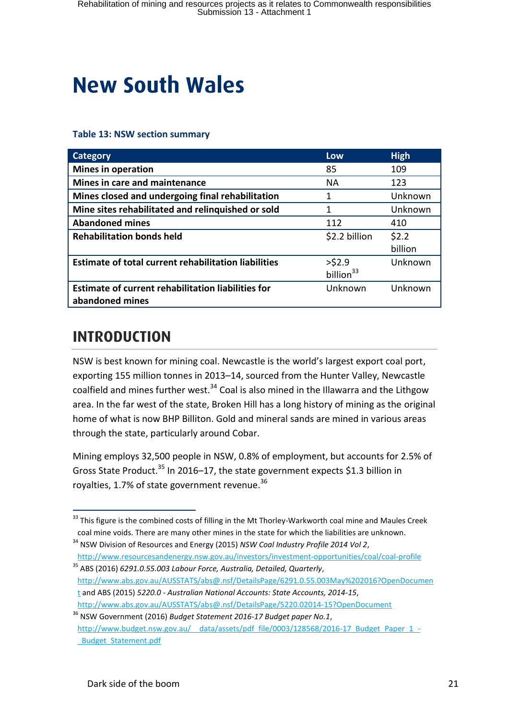# <span id="page-22-0"></span>**New South Wales New South Wales**

#### **Table 13: NSW section summary**

| Category                                                    | Low                   | <b>High</b> |
|-------------------------------------------------------------|-----------------------|-------------|
| <b>Mines in operation</b>                                   | 85                    | 109         |
| Mines in care and maintenance                               | NА                    | 123         |
| Mines closed and undergoing final rehabilitation            | 1                     | Unknown     |
| Mine sites rehabilitated and relinquished or sold           | 1                     | Unknown     |
| <b>Abandoned mines</b>                                      | 112                   | 410         |
| <b>Rehabilitation bonds held</b>                            | \$2.2 billion         | \$2.2       |
|                                                             |                       | billion     |
| <b>Estimate of total current rehabilitation liabilities</b> | $>$ \$2.9             | Unknown     |
|                                                             | billion <sup>33</sup> |             |
| <b>Estimate of current rehabilitation liabilities for</b>   | Unknown               | Unknown     |
| abandoned mines                                             |                       |             |

### <span id="page-22-1"></span>**INTRODUCTION INTRODUCTION**

NSW is best known for mining coal. Newcastle is the world's largest export coal port, exporting 155 million tonnes in 2013–14, sourced from the Hunter Valley, Newcastle coalfield and mines further west.<sup>34</sup> Coal is also mined in the Illawarra and the Lithgow area. In the far west of the state, Broken Hill has a long history of mining as the original home of what is now BHP Billiton. Gold and mineral sands are mined in various areas through the state, particularly around Cobar.

Mining employs 32,500 people in NSW, 0.8% of employment, but accounts for 2.5% of Gross State Product.<sup>35</sup> In 2016–17, the state government expects \$1.3 billion in royalties, 1.7% of state government revenue.<sup>36</sup>

<http://www.abs.gov.au/AUSSTATS/abs@.nsf/DetailsPage/5220.02014-15?OpenDocument> <sup>36</sup> NSW Government (2016) *Budget Statement 2016-17 Budget paper No.1*,

<sup>1</sup>  $33$  This figure is the combined costs of filling in the Mt Thorley-Warkworth coal mine and Maules Creek coal mine voids. There are many other mines in the state for which the liabilities are unknown.

<sup>34</sup> NSW Division of Resources and Energy (2015) *NSW Coal Industry Profile 2014 Vol 2*, <http://www.resourcesandenergy.nsw.gov.au/investors/investment-opportunities/coal/coal-profile>

<sup>35</sup> ABS (2016) *6291.0.55.003 Labour Force, Australia, Detailed, Quarterly*, [http://www.abs.gov.au/AUSSTATS/abs@.nsf/DetailsPage/6291.0.55.003May%202016?OpenDocumen](http://www.abs.gov.au/AUSSTATS/abs@.nsf/DetailsPage/6291.0.55.003May%202016?OpenDocument) [t](http://www.abs.gov.au/AUSSTATS/abs@.nsf/DetailsPage/6291.0.55.003May%202016?OpenDocument) and ABS (2015) *5220.0 - Australian National Accounts: State Accounts, 2014-15*,

http://www.budget.nsw.gov.au/ data/assets/pdf\_file/0003/128568/2016-17\_Budget\_Paper\_1\_-[\\_Budget\\_Statement.pdf](http://www.budget.nsw.gov.au/__data/assets/pdf_file/0003/128568/2016-17_Budget_Paper_1_-_Budget_Statement.pdf)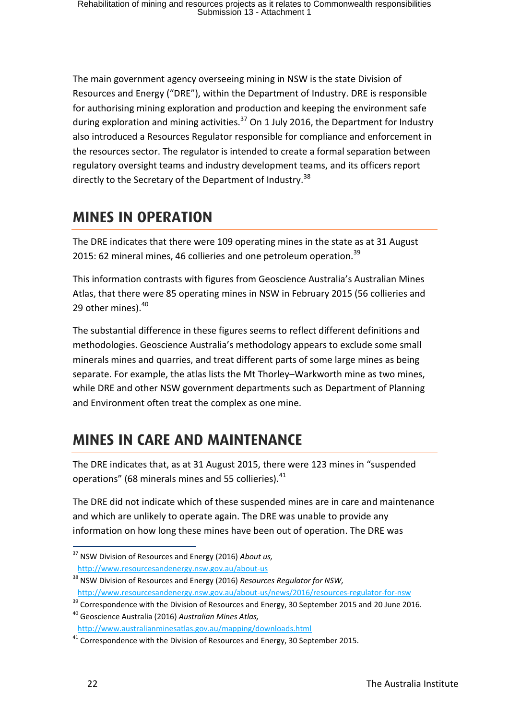The main government agency overseeing mining in NSW is the state Division of Resources and Energy ("DRE"), within the Department of Industry. DRE is responsible for authorising mining exploration and production and keeping the environment safe during exploration and mining activities.<sup>37</sup> On 1 July 2016, the Department for Industry also introduced a Resources Regulator responsible for compliance and enforcement in the resources sector. The regulator is intended to create a formal separation between regulatory oversight teams and industry development teams, and its officers report directly to the Secretary of the Department of Industry.<sup>38</sup>

# <span id="page-23-0"></span>**MINES IN OPERATION MINES IN OPERATION**

The DRE indicates that there were 109 operating mines in the state as at 31 August 2015: 62 mineral mines, 46 collieries and one petroleum operation.<sup>39</sup>

This information contrasts with figures from Geoscience Australia's Australian Mines Atlas, that there were 85 operating mines in NSW in February 2015 (56 collieries and 29 other mines).<sup>40</sup>

The substantial difference in these figures seems to reflect different definitions and methodologies. Geoscience Australia's methodology appears to exclude some small minerals mines and quarries, and treat different parts of some large mines as being separate. For example, the atlas lists the Mt Thorley–Warkworth mine as two mines, while DRE and other NSW government departments such as Department of Planning and Environment often treat the complex as one mine.

# <span id="page-23-1"></span>**MINES IN CARE AND MAINTENANCE MINES IN CARE AND MAINTENANCE**

The DRE indicates that, as at 31 August 2015, there were 123 mines in "suspended operations" (68 minerals mines and 55 collieries). $41$ 

The DRE did not indicate which of these suspended mines are in care and maintenance and which are unlikely to operate again. The DRE was unable to provide any information on how long these mines have been out of operation. The DRE was

<sup>40</sup> Geoscience Australia (2016) *Australian Mines Atlas,*  <http://www.australianminesatlas.gov.au/mapping/downloads.html>

<sup>1</sup> <sup>37</sup> NSW Division of Resources and Energy (2016) *About us,*  <http://www.resourcesandenergy.nsw.gov.au/about-us>

<sup>38</sup> NSW Division of Resources and Energy (2016) *Resources Regulator for NSW,* 

<http://www.resourcesandenergy.nsw.gov.au/about-us/news/2016/resources-regulator-for-nsw>

<sup>&</sup>lt;sup>39</sup> Correspondence with the Division of Resources and Energy, 30 September 2015 and 20 June 2016.

 $41$  Correspondence with the Division of Resources and Energy, 30 September 2015.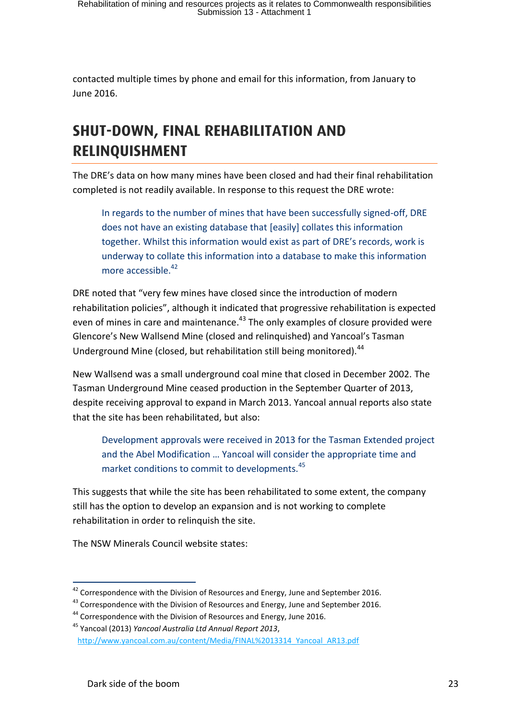contacted multiple times by phone and email for this information, from January to June 2016.

# <span id="page-24-0"></span>**SHUT-DOWN, FINAL REGIONAL REGIONAL REGIONAL REGIONAL REGIONAL REGIONAL REGIONAL REGIONAL REGIONAL REGIONAL REGION**<br>PER ENCORE DE L'ALIGNE DE L'ALIGNE DE L'ALIGNE DE L'ALIGNE DE L'ALIGNE DE L'ALIGNE DE L'ALIGNE DE L'ALIGNE **RELINQUISHMENT**

The DRE's data on how many mines have been closed and had their final rehabilitation completed is not readily available. In response to this request the DRE wrote:

In regards to the number of mines that have been successfully signed-off, DRE does not have an existing database that [easily] collates this information together. Whilst this information would exist as part of DRE's records, work is underway to collate this information into a database to make this information more accessible.<sup>42</sup>

DRE noted that "very few mines have closed since the introduction of modern rehabilitation policies", although it indicated that progressive rehabilitation is expected even of mines in care and maintenance.<sup>43</sup> The only examples of closure provided were Glencore's New Wallsend Mine (closed and relinquished) and Yancoal's Tasman Underground Mine (closed, but rehabilitation still being monitored).<sup>44</sup>

New Wallsend was a small underground coal mine that closed in December 2002. The Tasman Underground Mine ceased production in the September Quarter of 2013, despite receiving approval to expand in March 2013. Yancoal annual reports also state that the site has been rehabilitated, but also:

Development approvals were received in 2013 for the Tasman Extended project and the Abel Modification … Yancoal will consider the appropriate time and market conditions to commit to developments.<sup>45</sup>

This suggests that while the site has been rehabilitated to some extent, the company still has the option to develop an expansion and is not working to complete rehabilitation in order to relinquish the site.

The NSW Minerals Council website states:

<sup>&</sup>lt;sup>42</sup> Correspondence with the Division of Resources and Energy, June and September 2016.

<sup>&</sup>lt;sup>43</sup> Correspondence with the Division of Resources and Energy, June and September 2016.

<sup>44</sup> Correspondence with the Division of Resources and Energy, June 2016.

<sup>45</sup> Yancoal (2013) *Yancoal Australia Ltd Annual Report 2013*, [http://www.yancoal.com.au/content/Media/FINAL%2013314\\_Yancoal\\_AR13.pdf](http://www.yancoal.com.au/content/Media/FINAL%2013314_Yancoal_AR13.pdf)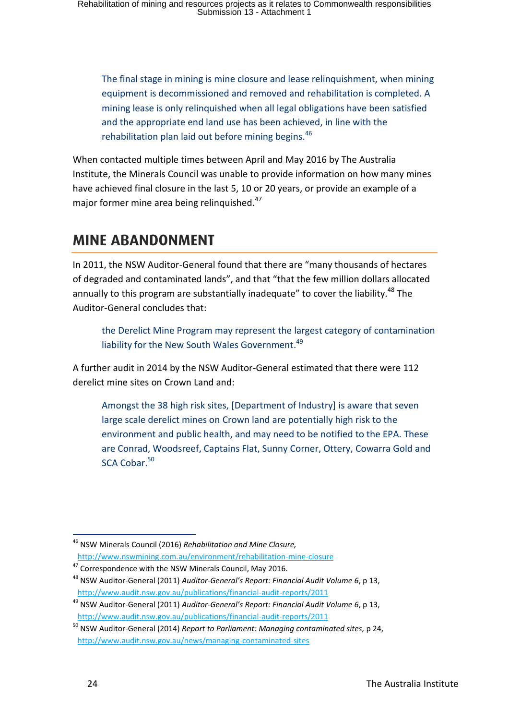The final stage in mining is mine closure and lease relinquishment, when mining equipment is decommissioned and removed and rehabilitation is completed. A mining lease is only relinquished when all legal obligations have been satisfied and the appropriate end land use has been achieved, in line with the rehabilitation plan laid out before mining begins. $46$ 

When contacted multiple times between April and May 2016 by The Australia Institute, the Minerals Council was unable to provide information on how many mines have achieved final closure in the last 5, 10 or 20 years, or provide an example of a major former mine area being relinquished.<sup>47</sup>

### <span id="page-25-0"></span>**MINE ABANDONMENT MINE ABANDONMENT**

In 2011, the NSW Auditor-General found that there are "many thousands of hectares of degraded and contaminated lands", and that "that the few million dollars allocated annually to this program are substantially inadequate" to cover the liability.<sup>48</sup> The Auditor-General concludes that:

the Derelict Mine Program may represent the largest category of contamination liability for the New South Wales Government.<sup>49</sup>

A further audit in 2014 by the NSW Auditor-General estimated that there were 112 derelict mine sites on Crown Land and:

Amongst the 38 high risk sites, [Department of Industry] is aware that seven large scale derelict mines on Crown land are potentially high risk to the environment and public health, and may need to be notified to the EPA. These are Conrad, Woodsreef, Captains Flat, Sunny Corner, Ottery, Cowarra Gold and SCA Cobar.<sup>50</sup>

<sup>1</sup> <sup>46</sup> NSW Minerals Council (2016) *Rehabilitation and Mine Closure,*  <http://www.nswmining.com.au/environment/rehabilitation-mine-closure>

<sup>&</sup>lt;sup>47</sup> Correspondence with the NSW Minerals Council, May 2016.

<sup>48</sup> NSW Auditor-General (2011) *Auditor-General's Report: Financial Audit Volume 6*, p 13, <http://www.audit.nsw.gov.au/publications/financial-audit-reports/2011>

<sup>49</sup> NSW Auditor-General (2011) *Auditor-General's Report: Financial Audit Volume 6*, p 13, <http://www.audit.nsw.gov.au/publications/financial-audit-reports/2011>

<sup>50</sup> NSW Auditor-General (2014) *Report to Parliament: Managing contaminated sites,* p 24, <http://www.audit.nsw.gov.au/news/managing-contaminated-sites>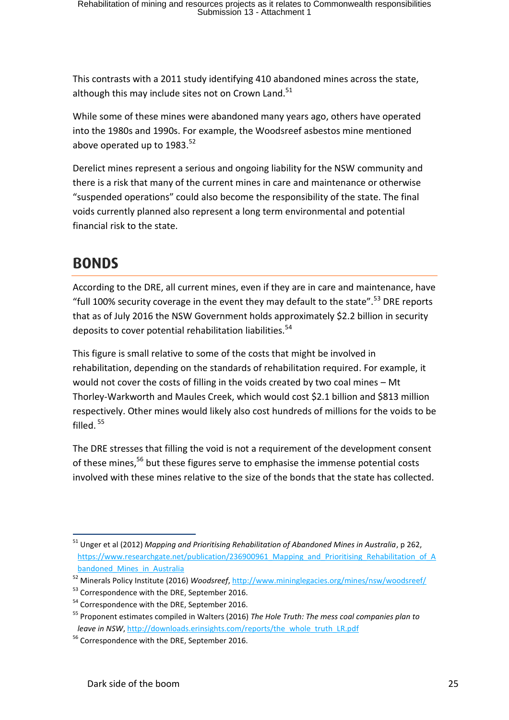This contrasts with a 2011 study identifying 410 abandoned mines across the state, although this may include sites not on Crown Land. $51$ 

While some of these mines were abandoned many years ago, others have operated into the 1980s and 1990s. For example, the Woodsreef asbestos mine mentioned above operated up to  $1983.<sup>52</sup>$ 

Derelict mines represent a serious and ongoing liability for the NSW community and there is a risk that many of the current mines in care and maintenance or otherwise "suspended operations" could also become the responsibility of the state. The final voids currently planned also represent a long term environmental and potential financial risk to the state.

# <span id="page-26-0"></span>**BONDS BONDS**

According to the DRE, all current mines, even if they are in care and maintenance, have "full 100% security coverage in the event they may default to the state".<sup>53</sup> DRE reports that as of July 2016 the NSW Government holds approximately \$2.2 billion in security deposits to cover potential rehabilitation liabilities.<sup>54</sup>

This figure is small relative to some of the costs that might be involved in rehabilitation, depending on the standards of rehabilitation required. For example, it would not cover the costs of filling in the voids created by two coal mines – Mt Thorley-Warkworth and Maules Creek, which would cost \$2.1 billion and \$813 million respectively. Other mines would likely also cost hundreds of millions for the voids to be filled.<sup>55</sup>

The DRE stresses that filling the void is not a requirement of the development consent of these mines,<sup>56</sup> but these figures serve to emphasise the immense potential costs involved with these mines relative to the size of the bonds that the state has collected.

<sup>1</sup> <sup>51</sup> Unger et al (2012) *Mapping and Prioritising Rehabilitation of Abandoned Mines in Australia*, p 262, [https://www.researchgate.net/publication/236900961\\_Mapping\\_and\\_Prioritising\\_Rehabilitation\\_of\\_A](https://www.researchgate.net/publication/236900961_Mapping_and_Prioritising_Rehabilitation_of_Abandoned_Mines_in_Australia) bandoned Mines in Australia

<sup>52</sup> Minerals Policy Institute (2016) *Woodsreef*,<http://www.mininglegacies.org/mines/nsw/woodsreef/>

<sup>53</sup> Correspondence with the DRE, September 2016.

<sup>&</sup>lt;sup>54</sup> Correspondence with the DRE, September 2016.

<sup>55</sup> Proponent estimates compiled in Walters (2016) *The Hole Truth: The mess coal companies plan to leave in NSW*[, http://downloads.erinsights.com/reports/the\\_whole\\_truth\\_LR.pdf](http://downloads.erinsights.com/reports/the_whole_truth_LR.pdf)

<sup>&</sup>lt;sup>56</sup> Correspondence with the DRE, September 2016.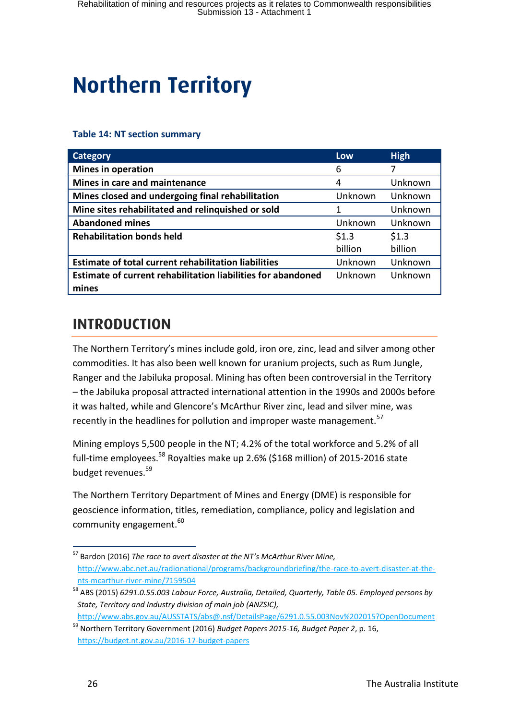# <span id="page-27-0"></span>**Northern Territory**

#### **Table 14: NT section summary**

| <b>Category</b>                                              | Low     | <b>High</b> |
|--------------------------------------------------------------|---------|-------------|
| <b>Mines in operation</b>                                    | 6       |             |
| Mines in care and maintenance                                | 4       | Unknown     |
| Mines closed and undergoing final rehabilitation             | Unknown | Unknown     |
| Mine sites rehabilitated and relinquished or sold            |         | Unknown     |
| <b>Abandoned mines</b>                                       | Unknown | Unknown     |
| <b>Rehabilitation bonds held</b>                             | \$1.3   | \$1.3       |
|                                                              | billion | billion     |
| Estimate of total current rehabilitation liabilities         | Unknown | Unknown     |
| Estimate of current rehabilitation liabilities for abandoned | Unknown | Unknown     |
| mines                                                        |         |             |

### <span id="page-27-1"></span>**INTRODUCTION INTRODUCTION**

The Northern Territory's mines include gold, iron ore, zinc, lead and silver among other commodities. It has also been well known for uranium projects, such as Rum Jungle, Ranger and the Jabiluka proposal. Mining has often been controversial in the Territory – the Jabiluka proposal attracted international attention in the 1990s and 2000s before it was halted, while and Glencore's McArthur River zinc, lead and silver mine, was recently in the headlines for pollution and improper waste management.<sup>57</sup>

Mining employs 5,500 people in the NT; 4.2% of the total workforce and 5.2% of all full-time employees.<sup>58</sup> Royalties make up 2.6% (\$168 million) of 2015-2016 state budget revenues.<sup>59</sup>

The Northern Territory Department of Mines and Energy (DME) is responsible for geoscience information, titles, remediation, compliance, policy and legislation and community engagement.<sup>60</sup>

<sup>1</sup> <sup>57</sup> Bardon (2016) *The race to avert disaster at the NT's McArthur River Mine,*  [http://www.abc.net.au/radionational/programs/backgroundbriefing/the-race-to-avert-disaster-at-the](http://www.abc.net.au/radionational/programs/backgroundbriefing/the-race-to-avert-disaster-at-the-nts-mcarthur-river-mine/7159504)[nts-mcarthur-river-mine/7159504](http://www.abc.net.au/radionational/programs/backgroundbriefing/the-race-to-avert-disaster-at-the-nts-mcarthur-river-mine/7159504)

<sup>58</sup> ABS (2015) *6291.0.55.003 Labour Force, Australia, Detailed, Quarterly, Table 05. Employed persons by State, Territory and Industry division of main job (ANZSIC),*

<http://www.abs.gov.au/AUSSTATS/abs@.nsf/DetailsPage/6291.0.55.003Nov%202015?OpenDocument>

<sup>59</sup> Northern Territory Government (2016) *Budget Papers 2015-16, Budget Paper 2*, p. 16, <https://budget.nt.gov.au/2016-17-budget-papers>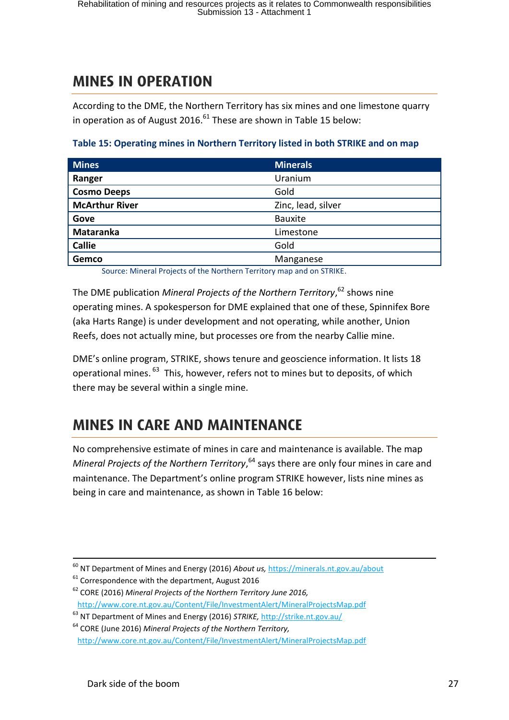# <span id="page-28-0"></span>**MINES IN OPERATION MINES IN OPERATION**

According to the DME, the Northern Territory has six mines and one limestone quarry in operation as of August 2016.<sup>61</sup> These are shown in [Table 15](#page-28-2) below:

#### <span id="page-28-2"></span>**Table 15: Operating mines in Northern Territory listed in both STRIKE and on map**

| <b>Mines</b>          | <b>Minerals</b>    |
|-----------------------|--------------------|
| Ranger                | Uranium            |
| <b>Cosmo Deeps</b>    | Gold               |
| <b>McArthur River</b> | Zinc, lead, silver |
| Gove                  | Bauxite            |
| Mataranka             | Limestone          |
| <b>Callie</b>         | Gold               |
| Gemco                 | Manganese          |

Source: Mineral Projects of the Northern Territory map and on STRIKE.

The DME publication *Mineral Projects of the Northern Territory*, <sup>62</sup> shows nine operating mines. A spokesperson for DME explained that one of these, Spinnifex Bore (aka Harts Range) is under development and not operating, while another, Union Reefs, does not actually mine, but processes ore from the nearby Callie mine.

DME's online program, STRIKE, shows tenure and geoscience information. It lists 18 operational mines. <sup>63</sup> This, however, refers not to mines but to deposits, of which there may be several within a single mine.

# <span id="page-28-1"></span>**MINES IN CARE AND MAINTENANCE MINES IN CARE AND MAINTENANCE**

No comprehensive estimate of mines in care and maintenance is available. The map Mineral Projects of the Northern Territory,<sup>64</sup> says there are only four mines in care and maintenance. The Department's online program STRIKE however, lists nine mines as being in care and maintenance, as shown i[n Table 16](#page-29-0) below:

**<sup>.</sup>** <sup>60</sup> NT Department of Mines and Energy (2016) *About us,* <https://minerals.nt.gov.au/about>

 $61$  Correspondence with the department, August 2016

<sup>62</sup> CORE (2016) *Mineral Projects of the Northern Territory June 2016,*  <http://www.core.nt.gov.au/Content/File/InvestmentAlert/MineralProjectsMap.pdf>

<sup>63</sup> NT Department of Mines and Energy (2016) *STRIKE,* <http://strike.nt.gov.au/>

<sup>64</sup> CORE (June 2016) *Mineral Projects of the Northern Territory,*  <http://www.core.nt.gov.au/Content/File/InvestmentAlert/MineralProjectsMap.pdf>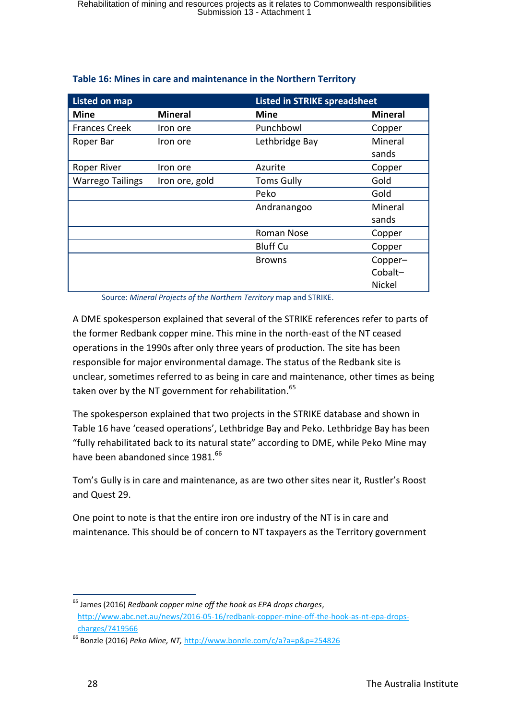| <b>Listed on map</b>    |                | <b>Listed in STRIKE spreadsheet</b> |                |  |
|-------------------------|----------------|-------------------------------------|----------------|--|
| <b>Mine</b>             | <b>Mineral</b> | <b>Mine</b>                         | <b>Mineral</b> |  |
| <b>Frances Creek</b>    | Iron ore       | Punchbowl                           | Copper         |  |
| Roper Bar               | Iron ore       | Lethbridge Bay                      | Mineral        |  |
|                         |                |                                     | sands          |  |
| Roper River             | Iron ore       | Azurite                             | Copper         |  |
| <b>Warrego Tailings</b> | Iron ore, gold | <b>Toms Gully</b>                   | Gold           |  |
|                         |                | Peko                                | Gold           |  |
|                         |                | Andranangoo                         | Mineral        |  |
|                         |                |                                     | sands          |  |
|                         |                | Roman Nose                          | Copper         |  |
|                         |                | <b>Bluff Cu</b>                     | Copper         |  |
|                         |                | <b>Browns</b>                       | Copper-        |  |
|                         |                |                                     | Cobalt-        |  |
|                         |                |                                     | <b>Nickel</b>  |  |

#### <span id="page-29-0"></span>**Table 16: Mines in care and maintenance in the Northern Territory**

Source: *Mineral Projects of the Northern Territory* map and STRIKE.

A DME spokesperson explained that several of the STRIKE references refer to parts of the former Redbank copper mine. This mine in the north-east of the NT ceased operations in the 1990s after only three years of production. The site has been responsible for major environmental damage. The status of the Redbank site is unclear, sometimes referred to as being in care and maintenance, other times as being taken over by the NT government for rehabilitation.<sup>65</sup>

The spokesperson explained that two projects in the STRIKE database and shown in [Table 16](#page-29-0) have 'ceased operations', Lethbridge Bay and Peko. Lethbridge Bay has been "fully rehabilitated back to its natural state" according to DME, while Peko Mine may have been abandoned since 1981.<sup>66</sup>

Tom's Gully is in care and maintenance, as are two other sites near it, Rustler's Roost and Quest 29.

One point to note is that the entire iron ore industry of the NT is in care and maintenance. This should be of concern to NT taxpayers as the Territory government

<sup>1</sup> <sup>65</sup> James (2016) *Redbank copper mine off the hook as EPA drops charges*, [http://www.abc.net.au/news/2016-05-16/redbank-copper-mine-off-the-hook-as-nt-epa-drops](http://www.abc.net.au/news/2016-05-16/redbank-copper-mine-off-the-hook-as-nt-epa-drops-charges/7419566)[charges/7419566](http://www.abc.net.au/news/2016-05-16/redbank-copper-mine-off-the-hook-as-nt-epa-drops-charges/7419566)

<sup>66</sup> Bonzle (2016) *Peko Mine, NT,* <http://www.bonzle.com/c/a?a=p&p=254826>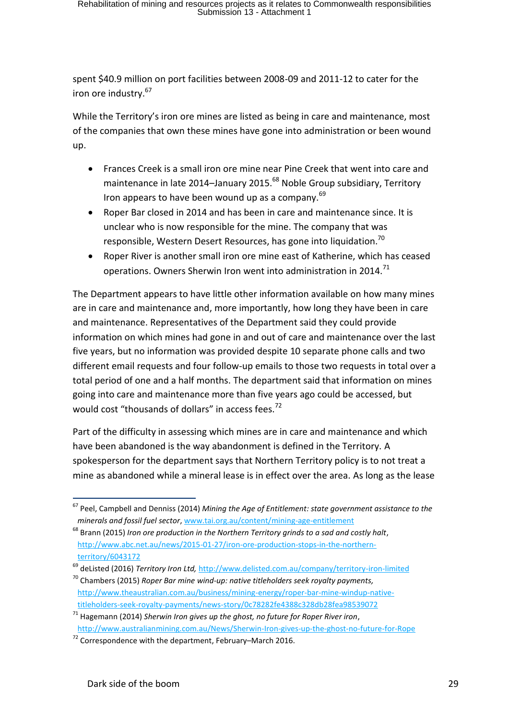spent \$40.9 million on port facilities between 2008-09 and 2011-12 to cater for the iron ore industry.<sup>67</sup>

While the Territory's iron ore mines are listed as being in care and maintenance, most of the companies that own these mines have gone into administration or been wound up.

- Frances Creek is a small iron ore mine near Pine Creek that went into care and maintenance in late 2014–January 2015.<sup>68</sup> Noble Group subsidiary, Territory Iron appears to have been wound up as a company.<sup>69</sup>
- Roper Bar closed in 2014 and has been in care and maintenance since. It is unclear who is now responsible for the mine. The company that was responsible, Western Desert Resources, has gone into liquidation.<sup>70</sup>
- Roper River is another small iron ore mine east of Katherine, which has ceased operations. Owners Sherwin Iron went into administration in 2014.<sup>71</sup>

The Department appears to have little other information available on how many mines are in care and maintenance and, more importantly, how long they have been in care and maintenance. Representatives of the Department said they could provide information on which mines had gone in and out of care and maintenance over the last five years, but no information was provided despite 10 separate phone calls and two different email requests and four follow-up emails to those two requests in total over a total period of one and a half months. The department said that information on mines going into care and maintenance more than five years ago could be accessed, but would cost "thousands of dollars" in access fees.<sup>72</sup>

Part of the difficulty in assessing which mines are in care and maintenance and which have been abandoned is the way abandonment is defined in the Territory. A spokesperson for the department says that Northern Territory policy is to not treat a mine as abandoned while a mineral lease is in effect over the area. As long as the lease

<sup>67</sup> Peel, Campbell and Denniss (2014) *Mining the Age of Entitlement: state government assistance to the minerals and fossil fuel sector*[, www.tai.org.au/content/mining-age-entitlement](http://www.tai.org.au/content/mining-age-entitlement)

<sup>68</sup> Brann (2015) *Iron ore production in the Northern Territory grinds to a sad and costly halt*, [http://www.abc.net.au/news/2015-01-27/iron-ore-production-stops-in-the-northern](http://www.abc.net.au/news/2015-01-27/iron-ore-production-stops-in-the-northern-territory/6043172)[territory/6043172](http://www.abc.net.au/news/2015-01-27/iron-ore-production-stops-in-the-northern-territory/6043172)

<sup>69</sup> deListed (2016) *Territory Iron Ltd,* <http://www.delisted.com.au/company/territory-iron-limited>

<sup>70</sup> Chambers (2015) *Roper Bar mine wind-up: native titleholders seek royalty payments,*  [http://www.theaustralian.com.au/business/mining-energy/roper-bar-mine-windup-native](http://www.theaustralian.com.au/business/mining-energy/roper-bar-mine-windup-native-titleholders-seek-royalty-payments/news-story/0c78282fe4388c328db28fea98539072)[titleholders-seek-royalty-payments/news-story/0c78282fe4388c328db28fea98539072](http://www.theaustralian.com.au/business/mining-energy/roper-bar-mine-windup-native-titleholders-seek-royalty-payments/news-story/0c78282fe4388c328db28fea98539072)

<sup>71</sup> Hagemann (2014) *Sherwin Iron gives up the ghost, no future for Roper River iron*, <http://www.australianmining.com.au/News/Sherwin-Iron-gives-up-the-ghost-no-future-for-Rope>

 $72$  Correspondence with the department, February–March 2016.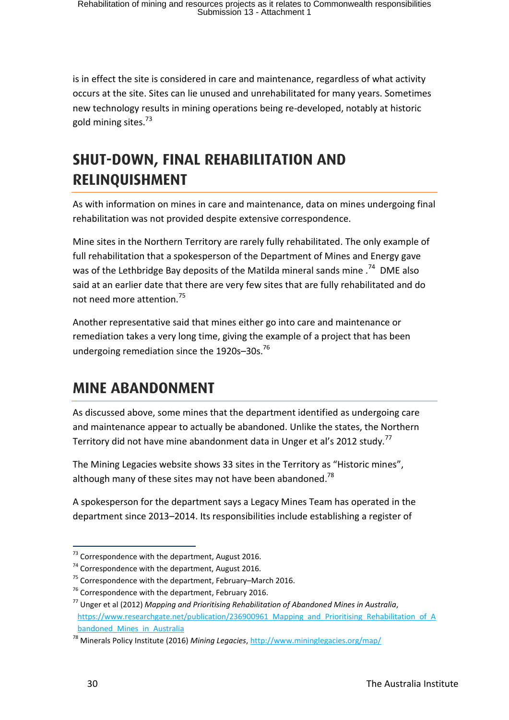is in effect the site is considered in care and maintenance, regardless of what activity occurs at the site. Sites can lie unused and unrehabilitated for many years. Sometimes new technology results in mining operations being re-developed, notably at historic gold mining sites.<sup>73</sup>

# <span id="page-31-0"></span>**SHUT-DOWN, FINAL REGIONAL REGIONAL REGIONAL REGIONAL REGIONAL REGIONAL REGIONAL REGIONAL REGIONAL REGIONAL REGION RELIN**

As with information on mines in care and maintenance, data on mines undergoing final rehabilitation was not provided despite extensive correspondence.

Mine sites in the Northern Territory are rarely fully rehabilitated. The only example of full rehabilitation that a spokesperson of the Department of Mines and Energy gave was of the Lethbridge Bay deposits of the Matilda mineral sands mine  $.74$  DME also said at an earlier date that there are very few sites that are fully rehabilitated and do not need more attention.<sup>75</sup>

Another representative said that mines either go into care and maintenance or remediation takes a very long time, giving the example of a project that has been undergoing remediation since the 1920s-30s.<sup>76</sup>

# <span id="page-31-1"></span>**MINE ARANDONMENT MINE ABANDONMENT**

As discussed above, some mines that the department identified as undergoing care and maintenance appear to actually be abandoned. Unlike the states, the Northern Territory did not have mine abandonment data in Unger et al's 2012 study.<sup>77</sup>

The Mining Legacies website shows 33 sites in the Territory as "Historic mines", although many of these sites may not have been abandoned.<sup>78</sup>

A spokesperson for the department says a Legacy Mines Team has operated in the department since 2013–2014. Its responsibilities include establishing a register of

<sup>1</sup>  $^{73}$  Correspondence with the department. August 2016.

 $74$  Correspondence with the department, August 2016.

 $75$  Correspondence with the department, February–March 2016.

 $76$  Correspondence with the department, February 2016.

<sup>77</sup> Unger et al (2012) *Mapping and Prioritising Rehabilitation of Abandoned Mines in Australia*, [https://www.researchgate.net/publication/236900961\\_Mapping\\_and\\_Prioritising\\_Rehabilitation\\_of\\_A](https://www.researchgate.net/publication/236900961_Mapping_and_Prioritising_Rehabilitation_of_Abandoned_Mines_in_Australia) bandoned Mines in Australia

<sup>78</sup> Minerals Policy Institute (2016) *Mining Legacies*,<http://www.mininglegacies.org/map/>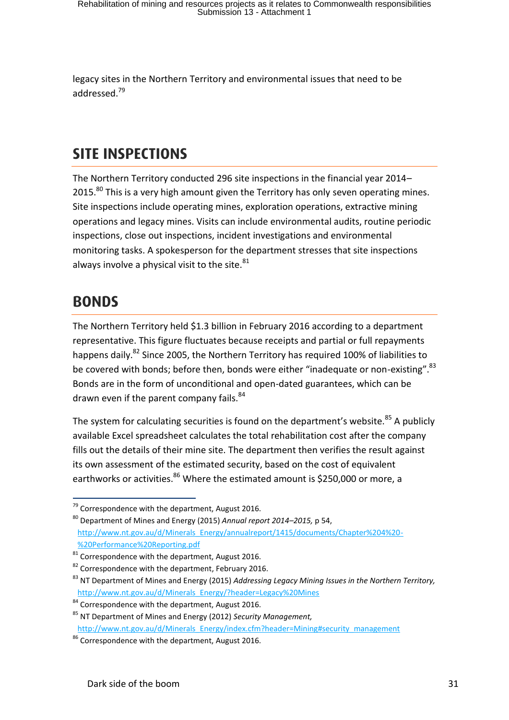legacy sites in the Northern Territory and environmental issues that need to be addressed.<sup>79</sup>

# <span id="page-32-0"></span>**SITE INSPECTIONS SITE INSPECTIONS**

The Northern Territory conducted 296 site inspections in the financial year 2014–  $2015.<sup>80</sup>$  This is a very high amount given the Territory has only seven operating mines. Site inspections include operating mines, exploration operations, extractive mining operations and legacy mines. Visits can include environmental audits, routine periodic inspections, close out inspections, incident investigations and environmental monitoring tasks. A spokesperson for the department stresses that site inspections always involve a physical visit to the site. $81$ 

### <span id="page-32-1"></span>**BONDS BONDS**

1

The Northern Territory held \$1.3 billion in February 2016 according to a department representative. This figure fluctuates because receipts and partial or full repayments happens daily.<sup>82</sup> Since 2005, the Northern Territory has required 100% of liabilities to be covered with bonds; before then, bonds were either "inadequate or non-existing".<sup>83</sup> Bonds are in the form of unconditional and open-dated guarantees, which can be drawn even if the parent company fails.<sup>84</sup>

The system for calculating securities is found on the department's website.<sup>85</sup> A publicly available Excel spreadsheet calculates the total rehabilitation cost after the company fills out the details of their mine site. The department then verifies the result against its own assessment of the estimated security, based on the cost of equivalent earthworks or activities.<sup>86</sup> Where the estimated amount is \$250,000 or more, a

 $79$  Correspondence with the department, August 2016.

<sup>80</sup> Department of Mines and Energy (2015) *Annual report 2014–2015,* p 54, [http://www.nt.gov.au/d/Minerals\\_Energy/annualreport/1415/documents/Chapter%204%20-](http://www.nt.gov.au/d/Minerals_Energy/annualreport/1415/documents/Chapter%204%20-%20Performance%20Reporting.pdf) [%20Performance%20Reporting.pdf](http://www.nt.gov.au/d/Minerals_Energy/annualreport/1415/documents/Chapter%204%20-%20Performance%20Reporting.pdf)

 $81$  Correspondence with the department, August 2016.

<sup>&</sup>lt;sup>82</sup> Correspondence with the department, February 2016.

<sup>83</sup> NT Department of Mines and Energy (2015) *Addressing Legacy Mining Issues in the Northern Territory,* [http://www.nt.gov.au/d/Minerals\\_Energy/?header=Legacy%20Mines](http://www.nt.gov.au/d/Minerals_Energy/?header=Legacy%20Mines)

<sup>&</sup>lt;sup>84</sup> Correspondence with the department. August 2016.

<sup>85</sup> NT Department of Mines and Energy (2012) *Security Management,*  [http://www.nt.gov.au/d/Minerals\\_Energy/index.cfm?header=Mining#security\\_management](http://www.nt.gov.au/d/Minerals_Energy/index.cfm?header=Mining#security_management)

<sup>&</sup>lt;sup>86</sup> Correspondence with the department, August 2016.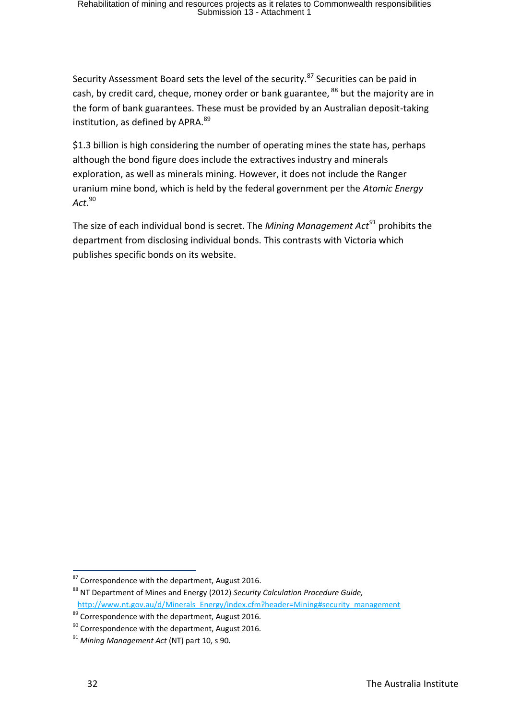Security Assessment Board sets the level of the security.<sup>87</sup> Securities can be paid in cash, by credit card, cheque, money order or bank guarantee, <sup>88</sup> but the majority are in the form of bank guarantees. These must be provided by an Australian deposit-taking institution, as defined by APRA.<sup>89</sup>

\$1.3 billion is high considering the number of operating mines the state has, perhaps although the bond figure does include the extractives industry and minerals exploration, as well as minerals mining. However, it does not include the Ranger uranium mine bond, which is held by the federal government per the *Atomic Energy Act*. 90

The size of each individual bond is secret. The *Mining Management Act<sup>91</sup>* prohibits the department from disclosing individual bonds. This contrasts with Victoria which publishes specific bonds on its website.

 $87$  Correspondence with the department, August 2016.

<sup>88</sup> NT Department of Mines and Energy (2012) *Security Calculation Procedure Guide,*  [http://www.nt.gov.au/d/Minerals\\_Energy/index.cfm?header=Mining#security\\_management](http://www.nt.gov.au/d/Minerals_Energy/index.cfm?header=Mining#security_management)

<sup>89</sup> Correspondence with the department, August 2016.

 $90$  Correspondence with the department, August 2016.

<sup>91</sup> *Mining Management Act* (NT) part 10, s 90.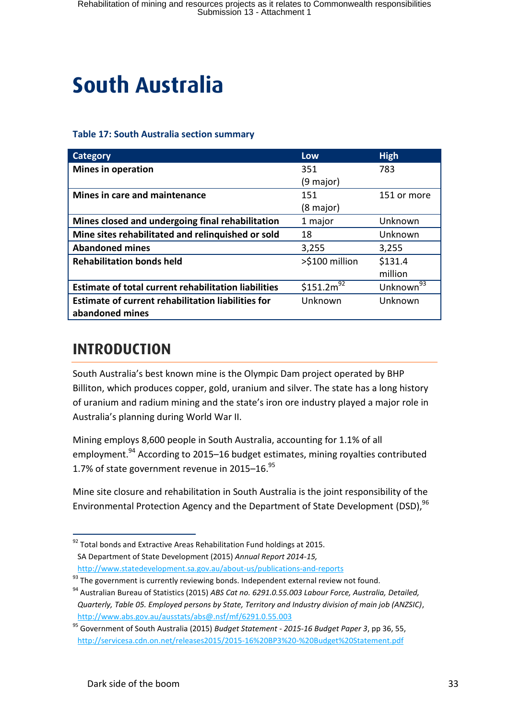# <span id="page-34-0"></span>**South Australia South Australia**

#### **Table 17: South Australia section summary**

| <b>Category</b>                                      | Low              | <b>High</b> |
|------------------------------------------------------|------------------|-------------|
| <b>Mines in operation</b>                            | 351              | 783         |
|                                                      | (9 major)        |             |
| Mines in care and maintenance                        | 151              | 151 or more |
|                                                      | (8 major)        |             |
| Mines closed and undergoing final rehabilitation     | 1 major          | Unknown     |
| Mine sites rehabilitated and relinquished or sold    | 18               | Unknown     |
| <b>Abandoned mines</b>                               | 3,255            | 3,255       |
| <b>Rehabilitation bonds held</b>                     | >\$100 million   | \$131.4     |
|                                                      |                  | million     |
| Estimate of total current rehabilitation liabilities | \$151.2 $m^{92}$ | Unknown     |
| Estimate of current rehabilitation liabilities for   | Unknown          | Unknown     |
| abandoned mines                                      |                  |             |

### <span id="page-34-1"></span>**INTRODUCTION INTRODUCTION**

1

South Australia's best known mine is the Olympic Dam project operated by BHP Billiton, which produces copper, gold, uranium and silver. The state has a long history of uranium and radium mining and the state's iron ore industry played a major role in Australia's planning during World War II.

Mining employs 8,600 people in South Australia, accounting for 1.1% of all employment.<sup>94</sup> According to 2015–16 budget estimates, mining royalties contributed 1.7% of state government revenue in 2015–16. $95$ 

Mine site closure and rehabilitation in South Australia is the joint responsibility of the Environmental Protection Agency and the Department of State Development (DSD).<sup>96</sup>

 $92$  Total bonds and Extractive Areas Rehabilitation Fund holdings at 2015. SA Department of State Development (2015) *Annual Report 2014-15,*  <http://www.statedevelopment.sa.gov.au/about-us/publications-and-reports>

 $93$  The government is currently reviewing bonds. Independent external review not found.

<sup>94</sup> Australian Bureau of Statistics (2015) *ABS Cat no. 6291.0.55.003 Labour Force, Australia, Detailed, Quarterly, Table 05. Employed persons by State, Territory and Industry division of main job (ANZSIC)*, <http://www.abs.gov.au/ausstats/abs@.nsf/mf/6291.0.55.003>

<sup>95</sup> Government of South Australia (2015) *Budget Statement - 2015-16 Budget Paper 3*, pp 36, 55, <http://servicesa.cdn.on.net/releases2015/2015-16%20BP3%20-%20Budget%20Statement.pdf>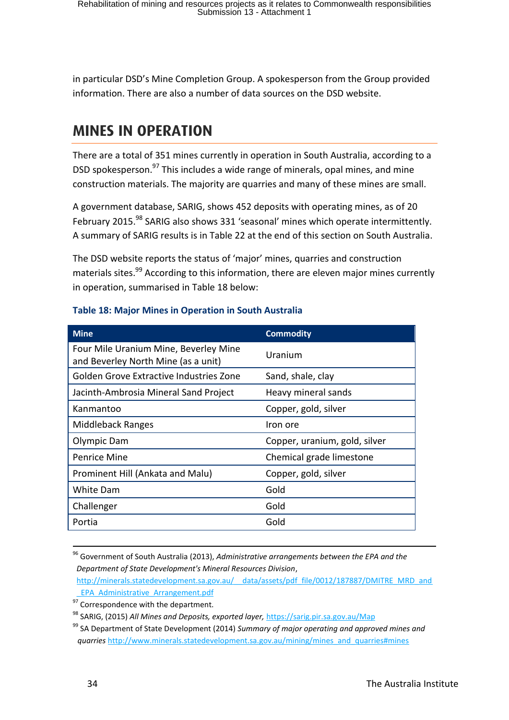in particular DSD's Mine Completion Group. A spokesperson from the Group provided information. There are also a number of data sources on the DSD website.

# <span id="page-35-0"></span>**MINES IN OPERATION MINES IN OPERATION**

There are a total of 351 mines currently in operation in South Australia, according to a DSD spokesperson.<sup>97</sup> This includes a wide range of minerals, opal mines, and mine construction materials. The majority are quarries and many of these mines are small.

A government database, SARIG, shows 452 deposits with operating mines, as of 20 February 2015.<sup>98</sup> SARIG also shows 331 'seasonal' mines which operate intermittently. A summary of SARIG results is in [Table 22](#page-42-0) at the end of this section on South Australia.

The DSD website reports the status of 'major' mines, quarries and construction materials sites.<sup>99</sup> According to this information, there are eleven major mines currently in operation, summarised in [Table 18](#page-35-1) below:

| <b>Mine</b>                                                                  | <b>Commodity</b>              |
|------------------------------------------------------------------------------|-------------------------------|
| Four Mile Uranium Mine, Beverley Mine<br>and Beverley North Mine (as a unit) | Uranium                       |
| Golden Grove Extractive Industries Zone                                      | Sand, shale, clay             |
| Jacinth-Ambrosia Mineral Sand Project                                        | Heavy mineral sands           |
| Kanmantoo                                                                    | Copper, gold, silver          |
| Middleback Ranges                                                            | Iron ore                      |
| Olympic Dam                                                                  | Copper, uranium, gold, silver |
| Penrice Mine                                                                 | Chemical grade limestone      |
| Prominent Hill (Ankata and Malu)                                             | Copper, gold, silver          |
| <b>White Dam</b>                                                             | Gold                          |
| Challenger                                                                   | Gold                          |
| Portia                                                                       | Gold                          |
|                                                                              |                               |

#### <span id="page-35-1"></span>**Table 18: Major Mines in Operation in South Australia**

<sup>96</sup> Government of South Australia (2013), *[Administrative arrangements between the EPA and the](http://minerals.statedevelopment.sa.gov.au/__data/assets/pdf_file/0012/187887/DMITRE_MRD_and_EPA_Administrative_Arrangement.pdf)  [Department of State Development's Mineral Resources Division](http://minerals.statedevelopment.sa.gov.au/__data/assets/pdf_file/0012/187887/DMITRE_MRD_and_EPA_Administrative_Arrangement.pdf)*,

<u>.</u>

http://minerals.statedevelopment.sa.gov.au/ data/assets/pdf file/0012/187887/DMITRE\_MRD\_and [\\_EPA\\_Administrative\\_Arrangement.pdf](http://minerals.statedevelopment.sa.gov.au/__data/assets/pdf_file/0012/187887/DMITRE_MRD_and_EPA_Administrative_Arrangement.pdf)

<sup>&</sup>lt;sup>97</sup> Correspondence with the department.

<sup>98</sup> SARIG, (2015) *All Mines and Deposits, exported layer,* <https://sarig.pir.sa.gov.au/Map>

<sup>99</sup> SA Department of State Development (2014) *Summary of major operating and approved mines and quarries* [http://www.minerals.statedevelopment.sa.gov.au/mining/mines\\_and\\_quarries#mines](http://www.minerals.statedevelopment.sa.gov.au/mining/mines_and_quarries#mines)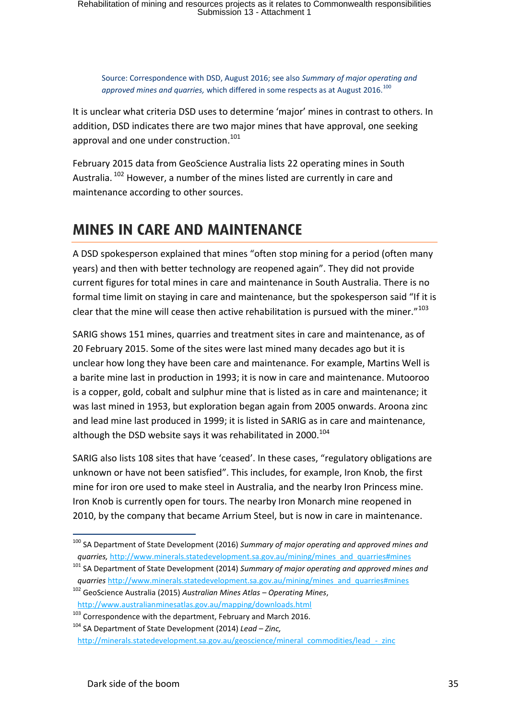Source: Correspondence with DSD, August 2016; see also *Summary of major operating and*  approved mines and quarries, which differed in some respects as at August 2016.<sup>100</sup>

It is unclear what criteria DSD uses to determine 'major' mines in contrast to others. In addition, DSD indicates there are two major mines that have approval, one seeking approval and one under construction.<sup>101</sup>

February 2015 data from GeoScience Australia lists 22 operating mines in South Australia. <sup>102</sup> However, a number of the mines listed are currently in care and maintenance according to other sources.

### <span id="page-36-0"></span>**MINES IN CARE AND MAINTENANCE MINES IN CARE AND MAINTENANCE**

A DSD spokesperson explained that mines "often stop mining for a period (often many years) and then with better technology are reopened again". They did not provide current figures for total mines in care and maintenance in South Australia. There is no formal time limit on staying in care and maintenance, but the spokesperson said "If it is clear that the mine will cease then active rehabilitation is pursued with the miner."<sup>103</sup>

SARIG shows 151 mines, quarries and treatment sites in care and maintenance, as of 20 February 2015. Some of the sites were last mined many decades ago but it is unclear how long they have been care and maintenance. For example, Martins Well is a barite mine last in production in 1993; it is now in care and maintenance. Mutooroo is a copper, gold, cobalt and sulphur mine that is listed as in care and maintenance; it was last mined in 1953, but exploration began again from 2005 onwards. Aroona zinc and lead mine last produced in 1999; it is listed in SARIG as in care and maintenance, although the DSD website says it was rehabilitated in 2000.<sup>104</sup>

SARIG also lists 108 sites that have 'ceased'. In these cases, "regulatory obligations are unknown or have not been satisfied". This includes, for example, Iron Knob, the first mine for iron ore used to make steel in Australia, and the nearby Iron Princess mine. Iron Knob is currently open for tours. The nearby Iron Monarch mine reopened in 2010, by the company that became Arrium Steel, but is now in care in maintenance.

<sup>100</sup> SA Department of State Development (2016) *Summary of major operating and approved mines and quarries,* [http://www.minerals.statedevelopment.sa.gov.au/mining/mines\\_and\\_quarries#mines](http://www.minerals.statedevelopment.sa.gov.au/mining/mines_and_quarries#mines)

<sup>101</sup> SA Department of State Development (2014) *Summary of major operating and approved mines and quarries* [http://www.minerals.statedevelopment.sa.gov.au/mining/mines\\_and\\_quarries#mines](http://www.minerals.statedevelopment.sa.gov.au/mining/mines_and_quarries#mines)

<sup>102</sup> GeoScience Australia (2015) *Australian Mines Atlas – Operating Mines*, <http://www.australianminesatlas.gov.au/mapping/downloads.html>

 $103$  Correspondence with the department, February and March 2016.

<sup>104</sup> SA Department of State Development (2014) *Lead – Zinc,*

[http://minerals.statedevelopment.sa.gov.au/geoscience/mineral\\_commodities/lead\\_-\\_zinc](http://minerals.statedevelopment.sa.gov.au/geoscience/mineral_commodities/lead_-_zinc)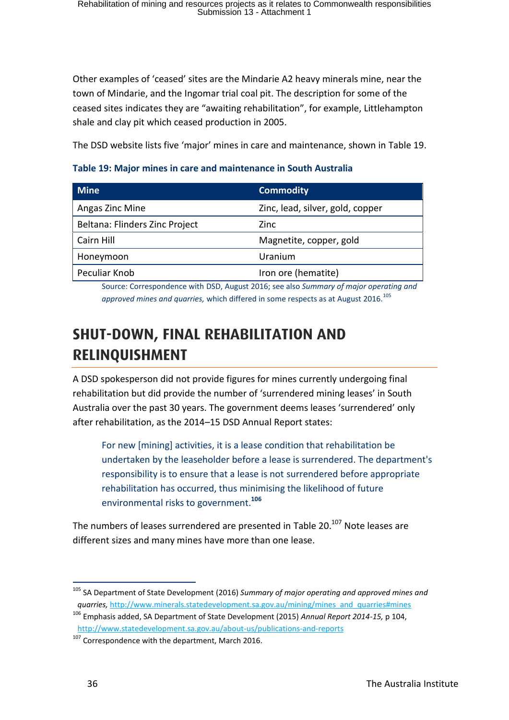Other examples of 'ceased' sites are the Mindarie A2 heavy minerals mine, near the town of Mindarie, and the Ingomar trial coal pit. The description for some of the ceased sites indicates they are "awaiting rehabilitation", for example, Littlehampton shale and clay pit which ceased production in 2005.

The DSD website lists five 'major' mines in care and maintenance, shown in [Table 19.](#page-37-1)

#### <span id="page-37-1"></span>**Table 19: Major mines in care and maintenance in South Australia**

| <b>Mine</b>                    | <b>Commodity</b>                 |  |
|--------------------------------|----------------------------------|--|
| Angas Zinc Mine                | Zinc, lead, silver, gold, copper |  |
| Beltana: Flinders Zinc Project | Zinc                             |  |
| Cairn Hill                     | Magnetite, copper, gold          |  |
| Honeymoon                      | Uranium                          |  |
| Peculiar Knob                  | Iron ore (hematite)              |  |

Source: Correspondence with DSD, August 2016; see also *Summary of major operating and*  approved mines and quarries, which differed in some respects as at August 2016.<sup>105</sup>

# <span id="page-37-0"></span>**SHUT-DOWN, FINAL REHABILITATION AND RELIN**

A DSD spokesperson did not provide figures for mines currently undergoing final rehabilitation but did provide the number of 'surrendered mining leases' in South Australia over the past 30 years. The government deems leases 'surrendered' only after rehabilitation, as the 2014–15 DSD Annual Report states:

For new [mining] activities, it is a lease condition that rehabilitation be undertaken by the leaseholder before a lease is surrendered. The department's responsibility is to ensure that a lease is not surrendered before appropriate rehabilitation has occurred, thus minimising the likelihood of future environmental risks to government.**<sup>106</sup>**

The numbers of leases surrendered are presented in [Table 20.](#page-38-0)<sup>107</sup> Note leases are different sizes and many mines have more than one lease.

<sup>105</sup> SA Department of State Development (2016) *Summary of major operating and approved mines and quarries,* [http://www.minerals.statedevelopment.sa.gov.au/mining/mines\\_and\\_quarries#mines](http://www.minerals.statedevelopment.sa.gov.au/mining/mines_and_quarries#mines)

<sup>106</sup> Emphasis added, SA Department of State Development (2015) *Annual Report 2014-15,* p 104, <http://www.statedevelopment.sa.gov.au/about-us/publications-and-reports>

 $107$  Correspondence with the department, March 2016.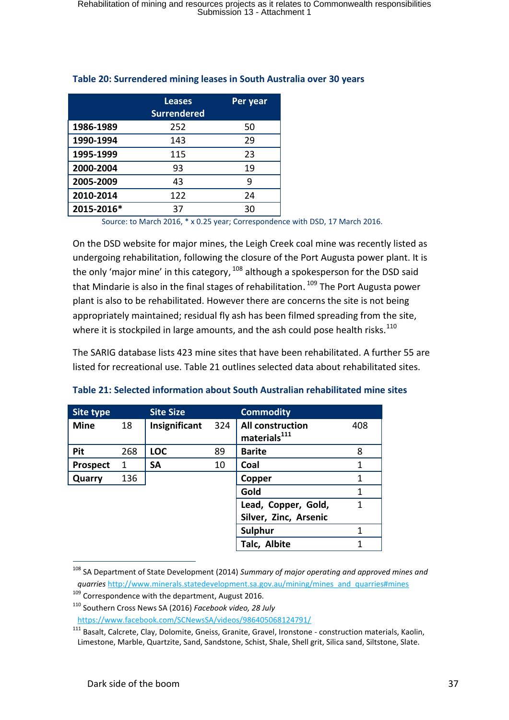|            | <b>Leases</b><br><b>Surrendered</b> | Per year |
|------------|-------------------------------------|----------|
| 1986-1989  | 252                                 | 50       |
| 1990-1994  | 143                                 | 29       |
| 1995-1999  | 115                                 | 23       |
| 2000-2004  | 93                                  | 19       |
| 2005-2009  | 43                                  | 9        |
| 2010-2014  | 122                                 | 24       |
| 2015-2016* | 37                                  | 30       |

#### <span id="page-38-0"></span>**Table 20: Surrendered mining leases in South Australia over 30 years**

Source: to March 2016, \* x 0.25 year; Correspondence with DSD, 17 March 2016.

On the DSD website for major mines, the Leigh Creek coal mine was recently listed as undergoing rehabilitation, following the closure of the Port Augusta power plant. It is the only 'major mine' in this category, <sup>108</sup> although a spokesperson for the DSD said that Mindarie is also in the final stages of rehabilitation. <sup>109</sup> The Port Augusta power plant is also to be rehabilitated. However there are concerns the site is not being appropriately maintained; residual fly ash has been filmed spreading from the site, where it is stockpiled in large amounts, and the ash could pose health risks.<sup>110</sup>

The SARIG database lists 423 mine sites that have been rehabilitated. A further 55 are listed for recreational use. [Table 21](#page-38-1) outlines selected data about rehabilitated sites.

| Site type       |     | <b>Site Size</b> |     | <b>Commodity</b>                                    |     |
|-----------------|-----|------------------|-----|-----------------------------------------------------|-----|
| <b>Mine</b>     | 18  | Insignificant    | 324 | <b>All construction</b><br>materials <sup>111</sup> | 408 |
| Pit             | 268 | <b>LOC</b>       | 89  | <b>Barite</b>                                       | 8   |
| <b>Prospect</b> | 1   | <b>SA</b>        | 10  | Coal                                                | 1   |
| Quarry          | 136 |                  |     | Copper                                              | 1   |
|                 |     |                  |     | Gold                                                | 1   |
|                 |     |                  |     | Lead, Copper, Gold,                                 | 1   |
|                 |     |                  |     | Silver, Zinc, Arsenic                               |     |
|                 |     |                  |     | Sulphur                                             | 1   |
|                 |     |                  |     | Talc, Albite                                        | 1   |

<span id="page-38-1"></span>

| Table 21: Selected information about South Australian rehabilitated mine sites |  |  |  |  |
|--------------------------------------------------------------------------------|--|--|--|--|
|--------------------------------------------------------------------------------|--|--|--|--|

<sup>108</sup> SA Department of State Development (2014) *Summary of major operating and approved mines and quarries* [http://www.minerals.statedevelopment.sa.gov.au/mining/mines\\_and\\_quarries#mines](http://www.minerals.statedevelopment.sa.gov.au/mining/mines_and_quarries#mines)

<https://www.facebook.com/SCNewsSA/videos/986405068124791/>

<sup>109&</sup>lt;br>Correspondence with the department, August 2016.

<sup>110</sup> Southern Cross News SA (2016) *Facebook video, 28 July* 

<sup>&</sup>lt;sup>111</sup> Basalt, Calcrete, Clav, Dolomite, Gneiss, Granite, Gravel, Ironstone - construction materials, Kaolin, Limestone, Marble, Quartzite, Sand, Sandstone, Schist, Shale, Shell grit, Silica sand, Siltstone, Slate.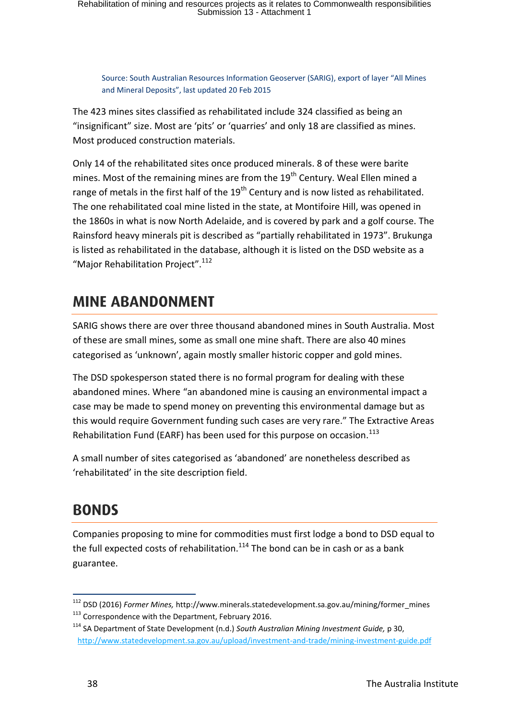Source: South Australian Resources Information Geoserver (SARIG), export of layer "All Mines and Mineral Deposits", last updated 20 Feb 2015

The 423 mines sites classified as rehabilitated include 324 classified as being an "insignificant" size. Most are 'pits' or 'quarries' and only 18 are classified as mines. Most produced construction materials.

Only 14 of the rehabilitated sites once produced minerals. 8 of these were barite mines. Most of the remaining mines are from the  $19<sup>th</sup>$  Century. Weal Ellen mined a range of metals in the first half of the  $19<sup>th</sup>$  Century and is now listed as rehabilitated. The one rehabilitated coal mine listed in the state, at Montifoire Hill, was opened in the 1860s in what is now North Adelaide, and is covered by park and a golf course. The Rainsford heavy minerals pit is described as "partially rehabilitated in 1973". Brukunga is listed as rehabilitated in the database, although it is listed on the DSD website as a "Major Rehabilitation Project".<sup>112</sup>

### <span id="page-39-0"></span>**MINE ABANDONMENT MINE ABANDONMENT**

SARIG shows there are over three thousand abandoned mines in South Australia. Most of these are small mines, some as small one mine shaft. There are also 40 mines categorised as 'unknown', again mostly smaller historic copper and gold mines.

The DSD spokesperson stated there is no formal program for dealing with these abandoned mines. Where "an abandoned mine is causing an environmental impact a case may be made to spend money on preventing this environmental damage but as this would require Government funding such cases are very rare." The Extractive Areas Rehabilitation Fund (EARF) has been used for this purpose on occasion. $113$ 

A small number of sites categorised as 'abandoned' are nonetheless described as 'rehabilitated' in the site description field.

### <span id="page-39-1"></span>**RONDS BONDS**

Companies proposing to mine for commodities must first lodge a bond to DSD equal to the full expected costs of rehabilitation.<sup>114</sup> The bond can be in cash or as a bank guarantee.

<sup>1</sup> <sup>112</sup> DSD (2016) *Former Mines,* http://www.minerals.statedevelopment.sa.gov.au/mining/former\_mines

<sup>&</sup>lt;sup>113</sup> Correspondence with the Department, February 2016.

<sup>114</sup> SA Department of State Development (n.d.) *South Australian Mining Investment Guide,* p 30, <http://www.statedevelopment.sa.gov.au/upload/investment-and-trade/mining-investment-guide.pdf>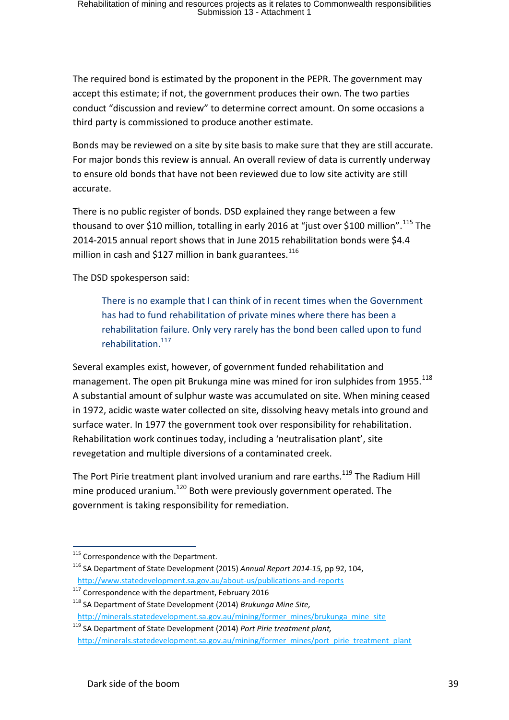The required bond is estimated by the proponent in the PEPR. The government may accept this estimate; if not, the government produces their own. The two parties conduct "discussion and review" to determine correct amount. On some occasions a third party is commissioned to produce another estimate.

Bonds may be reviewed on a site by site basis to make sure that they are still accurate. For major bonds this review is annual. An overall review of data is currently underway to ensure old bonds that have not been reviewed due to low site activity are still accurate.

There is no public register of bonds. DSD explained they range between a few thousand to over \$10 million, totalling in early 2016 at "just over \$100 million".<sup>115</sup> The 2014-2015 annual report shows that in June 2015 rehabilitation bonds were \$4.4 million in cash and \$127 million in bank guarantees. $^{116}$ 

The DSD spokesperson said:

There is no example that I can think of in recent times when the Government has had to fund rehabilitation of private mines where there has been a rehabilitation failure. Only very rarely has the bond been called upon to fund rehabilitation.<sup>117</sup>

Several examples exist, however, of government funded rehabilitation and management. The open pit Brukunga mine was mined for iron sulphides from 1955. $^{118}$ A substantial amount of sulphur waste was accumulated on site. When mining ceased in 1972, acidic waste water collected on site, dissolving heavy metals into ground and surface water. In 1977 the government took over responsibility for rehabilitation. Rehabilitation work continues today, including a 'neutralisation plant', site revegetation and multiple diversions of a contaminated creek.

The Port Pirie treatment plant involved uranium and rare earths.<sup>119</sup> The Radium Hill mine produced uranium.<sup>120</sup> Both were previously government operated. The government is taking responsibility for remediation.

<sup>1</sup> <sup>115</sup> Correspondence with the Department.

<sup>116</sup> SA Department of State Development (2015) *Annual Report 2014-15,* pp 92, 104, <http://www.statedevelopment.sa.gov.au/about-us/publications-and-reports>

<sup>&</sup>lt;sup>117</sup> Correspondence with the department, February 2016

<sup>118</sup> SA Department of State Development (2014) *Brukunga Mine Site,*

[http://minerals.statedevelopment.sa.gov.au/mining/former\\_mines/brukunga\\_mine\\_site](http://minerals.statedevelopment.sa.gov.au/mining/former_mines/brukunga_mine_site)

<sup>119</sup> SA Department of State Development (2014) *Port Pirie treatment plant,* [http://minerals.statedevelopment.sa.gov.au/mining/former\\_mines/port\\_pirie\\_treatment\\_plant](http://minerals.statedevelopment.sa.gov.au/mining/former_mines/port_pirie_treatment_plant)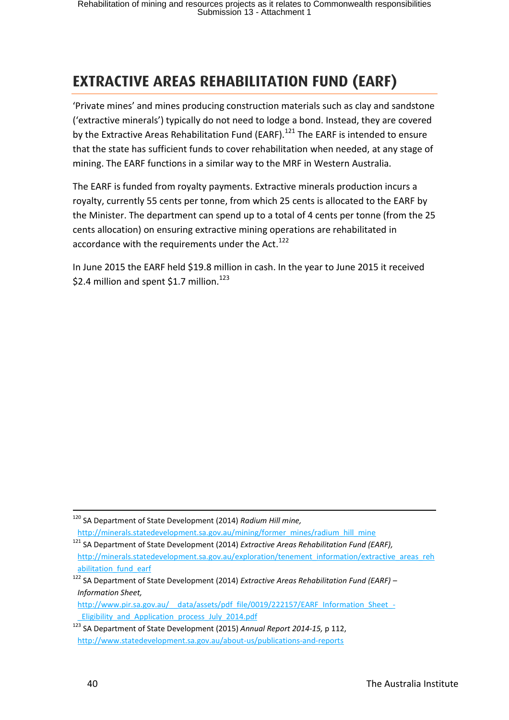# <span id="page-41-0"></span>**EXTRACTIVE AREAS REHABILITATION FUND (EARF)**

'Private mines' and mines producing construction materials such as clay and sandstone ('extractive minerals') typically do not need to lodge a bond. Instead, they are covered by the Extractive Areas Rehabilitation Fund (EARF).<sup>121</sup> The EARF is intended to ensure that the state has sufficient funds to cover rehabilitation when needed, at any stage of mining. The EARF functions in a similar way to the MRF in Western Australia.

The EARF is funded from royalty payments. Extractive minerals production incurs a royalty, currently 55 cents per tonne, from which 25 cents is allocated to the EARF by the Minister. The department can spend up to a total of 4 cents per tonne (from the 25 cents allocation) on ensuring extractive mining operations are rehabilitated in accordance with the requirements under the Act.<sup>122</sup>

In June 2015 the EARF held \$19.8 million in cash. In the year to June 2015 it received \$2.4 million and spent \$1.7 million.<sup>123</sup>

[http://minerals.statedevelopment.sa.gov.au/mining/former\\_mines/radium\\_hill\\_mine](http://minerals.statedevelopment.sa.gov.au/mining/former_mines/radium_hill_mine)

http://www.pir.sa.gov.au/ data/assets/pdf file/0019/222157/EARF Information Sheet -Eligibility\_and\_Application\_process\_July\_2014.pdf

**<sup>.</sup>** <sup>120</sup> SA Department of State Development (2014) *Radium Hill mine,*

<sup>121</sup> SA Department of State Development (2014) *Extractive Areas Rehabilitation Fund (EARF),* [http://minerals.statedevelopment.sa.gov.au/exploration/tenement\\_information/extractive\\_areas\\_reh](http://minerals.statedevelopment.sa.gov.au/exploration/tenement_information/extractive_areas_rehabilitation_fund_earf) abilitation fund earf

<sup>122</sup> SA Department of State Development (2014) *Extractive Areas Rehabilitation Fund (EARF) – Information Sheet,*

<sup>123</sup> SA Department of State Development (2015) *Annual Report 2014-15,* p 112, <http://www.statedevelopment.sa.gov.au/about-us/publications-and-reports>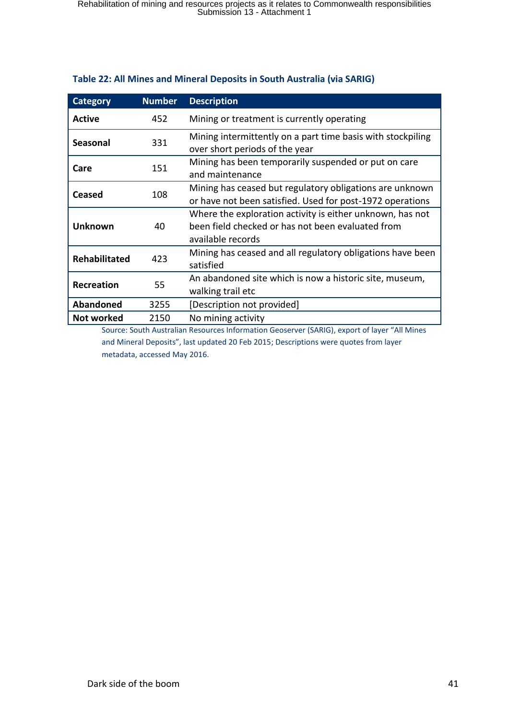| <b>Category</b>      | <b>Number</b> | <b>Description</b>                                                                                                                  |
|----------------------|---------------|-------------------------------------------------------------------------------------------------------------------------------------|
| <b>Active</b>        | 452           | Mining or treatment is currently operating                                                                                          |
| <b>Seasonal</b>      | 331           | Mining intermittently on a part time basis with stockpiling<br>over short periods of the year                                       |
| Care                 | 151           | Mining has been temporarily suspended or put on care<br>and maintenance                                                             |
| Ceased               | 108           | Mining has ceased but regulatory obligations are unknown<br>or have not been satisfied. Used for post-1972 operations               |
| <b>Unknown</b>       | 40            | Where the exploration activity is either unknown, has not<br>been field checked or has not been evaluated from<br>available records |
| <b>Rehabilitated</b> | 423           | Mining has ceased and all regulatory obligations have been<br>satisfied                                                             |
| Recreation           | 55            | An abandoned site which is now a historic site, museum,<br>walking trail etc                                                        |
| <b>Abandoned</b>     | 3255          | [Description not provided]                                                                                                          |
| Not worked           | 2150          | No mining activity                                                                                                                  |

#### <span id="page-42-0"></span>**Table 22: All Mines and Mineral Deposits in South Australia (via SARIG)**

Source: South Australian Resources Information Geoserver (SARIG), export of layer "All Mines and Mineral Deposits", last updated 20 Feb 2015; Descriptions were quotes from layer metadata, accessed May 2016.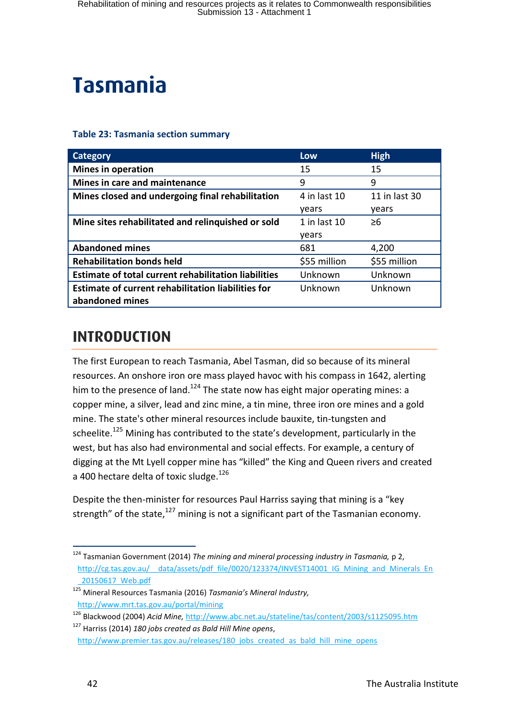# <span id="page-43-0"></span>**Tasmania Tasmania**

#### **Table 23: Tasmania section summary**

| <b>Category</b>                                                       | Low          | <b>High</b>   |
|-----------------------------------------------------------------------|--------------|---------------|
| <b>Mines in operation</b>                                             | 15           | 15            |
| Mines in care and maintenance                                         | 9            | 9             |
| Mines closed and undergoing final rehabilitation                      | 4 in last 10 | 11 in last 30 |
|                                                                       | years        | years         |
| Mine sites rehabilitated and relinquished or sold                     | 1 in last 10 | $\geq 6$      |
|                                                                       | years        |               |
| <b>Abandoned mines</b>                                                | 681          | 4,200         |
| <b>Rehabilitation bonds held</b>                                      | \$55 million | \$55 million  |
| <b>Estimate of total current rehabilitation liabilities</b>           | Unknown      | Unknown       |
| Estimate of current rehabilitation liabilities for<br>abandoned mines | Unknown      | Unknown       |

# <span id="page-43-1"></span>**INTRODUCTION INTRODUCTION**

The first European to reach Tasmania, Abel Tasman, did so because of its mineral resources. An onshore iron ore mass played havoc with his compass in 1642, alerting him to the presence of land.<sup>124</sup> The state now has eight major operating mines: a copper mine, a silver, lead and zinc mine, a tin mine, three iron ore mines and a gold mine. The state's other mineral resources include bauxite, tin-tungsten and scheelite.<sup>125</sup> Mining has contributed to the state's development, particularly in the west, but has also had environmental and social effects. For example, a century of digging at the Mt Lyell copper mine has "killed" the King and Queen rivers and created a 400 hectare delta of toxic sludge.<sup>126</sup>

Despite the then-minister for resources Paul Harriss saying that mining is a "key strength" of the state, $127$  mining is not a significant part of the Tasmanian economy.

<sup>1</sup> <sup>124</sup> Tasmanian Government (2014) *The mining and mineral processing industry in Tasmania,* p 2, [http://cg.tas.gov.au/\\_\\_data/assets/pdf\\_file/0020/123374/INVEST14001\\_IG\\_Mining\\_and\\_Minerals\\_En](http://cg.tas.gov.au/__data/assets/pdf_file/0020/123374/INVEST14001_IG_Mining_and_Minerals_En_20150617_Web.pdf) [\\_20150617\\_Web.pdf](http://cg.tas.gov.au/__data/assets/pdf_file/0020/123374/INVEST14001_IG_Mining_and_Minerals_En_20150617_Web.pdf)

<sup>125</sup> Mineral Resources Tasmania (2016) *Tasmania's Mineral Industry,*  <http://www.mrt.tas.gov.au/portal/mining>

<sup>126</sup> Blackwood (2004) *Acid Mine,* <http://www.abc.net.au/stateline/tas/content/2003/s1125095.htm> <sup>127</sup> Harriss (2014) *180 jobs created as Bald Hill Mine opens*,

http://www.premier.tas.gov.au/releases/180 jobs created as bald hill mine opens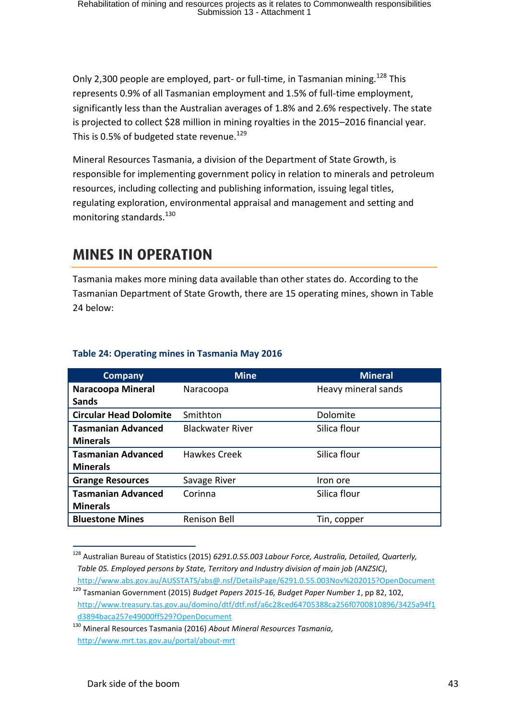Only 2,300 people are employed, part- or full-time, in Tasmanian mining.<sup>128</sup> This represents 0.9% of all Tasmanian employment and 1.5% of full-time employment, significantly less than the Australian averages of 1.8% and 2.6% respectively. The state is projected to collect \$28 million in mining royalties in the 2015–2016 financial year. This is 0.5% of budgeted state revenue.<sup>129</sup>

Mineral Resources Tasmania, a division of the Department of State Growth, is responsible for implementing government policy in relation to minerals and petroleum resources, including collecting and publishing information, issuing legal titles, regulating exploration, environmental appraisal and management and setting and monitoring standards.<sup>130</sup>

# <span id="page-44-0"></span>**MINES IN OPERATION MINES IN OPERATION**

Tasmania makes more mining data available than other states do. According to the Tasmanian Department of State Growth, there are 15 operating mines, shown in [Table](#page-44-1)  [24](#page-44-1) below:

| <b>Company</b>                | <b>Mine</b>             | <b>Mineral</b>      |
|-------------------------------|-------------------------|---------------------|
| <b>Naracoopa Mineral</b>      | Naracoopa               | Heavy mineral sands |
| <b>Sands</b>                  |                         |                     |
| <b>Circular Head Dolomite</b> | Smithton                | Dolomite            |
| <b>Tasmanian Advanced</b>     | <b>Blackwater River</b> | Silica flour        |
| <b>Minerals</b>               |                         |                     |
| <b>Tasmanian Advanced</b>     | <b>Hawkes Creek</b>     | Silica flour        |
| <b>Minerals</b>               |                         |                     |
| <b>Grange Resources</b>       | Savage River            | Iron ore            |
| <b>Tasmanian Advanced</b>     | Corinna                 | Silica flour        |
| <b>Minerals</b>               |                         |                     |
| <b>Bluestone Mines</b>        | <b>Renison Bell</b>     | Tin, copper         |

#### <span id="page-44-1"></span>**Table 24: Operating mines in Tasmania May 2016**

<sup>1</sup> <sup>128</sup> Australian Bureau of Statistics (2015) *6291.0.55.003 Labour Force, Australia, Detailed, Quarterly, Table 05. Employed persons by State, Territory and Industry division of main job (ANZSIC)*, <http://www.abs.gov.au/AUSSTATS/abs@.nsf/DetailsPage/6291.0.55.003Nov%202015?OpenDocument>

<sup>129</sup> Tasmanian Government (2015) *Budget Papers 2015-16, Budget Paper Number 1*, pp 82, 102, [http://www.treasury.tas.gov.au/domino/dtf/dtf.nsf/a6c28ced64705388ca256f0700810896/3425a94f1](http://www.treasury.tas.gov.au/domino/dtf/dtf.nsf/a6c28ced64705388ca256f0700810896/3425a94f1d3894baca257e49000ff529?OpenDocument) [d3894baca257e49000ff529?OpenDocument](http://www.treasury.tas.gov.au/domino/dtf/dtf.nsf/a6c28ced64705388ca256f0700810896/3425a94f1d3894baca257e49000ff529?OpenDocument)

<sup>130</sup> Mineral Resources Tasmania (2016) *About Mineral Resources Tasmania,* <http://www.mrt.tas.gov.au/portal/about-mrt>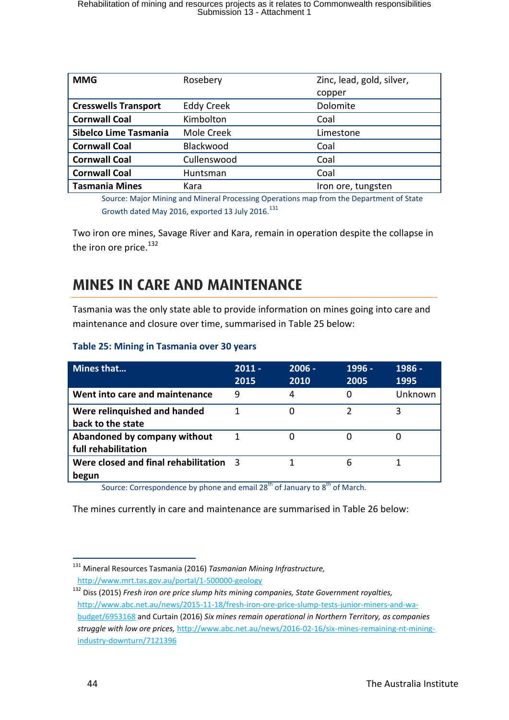| <b>MMG</b>                  | Rosebery          | Zinc, lead, gold, silver, |
|-----------------------------|-------------------|---------------------------|
|                             |                   | copper                    |
| <b>Cresswells Transport</b> | <b>Eddy Creek</b> | Dolomite                  |
| <b>Cornwall Coal</b>        | Kimbolton         | Coal                      |
| Sibelco Lime Tasmania       | Mole Creek        | Limestone                 |
| <b>Cornwall Coal</b>        | Blackwood         | Coal                      |
| <b>Cornwall Coal</b>        | Cullenswood       | Coal                      |
| <b>Cornwall Coal</b>        | Huntsman          | Coal                      |
| <b>Tasmania Mines</b>       | Kara              | Iron ore, tungsten        |

Source: Major Mining and Mineral Processing Operations map from the Department of State Growth dated May 2016, exported 13 July 2016.<sup>131</sup>

Two iron ore mines, Savage River and Kara, remain in operation despite the collapse in the iron ore price. $132$ 

### <span id="page-45-0"></span>**MINES IN CARE AND MAINTENANCE MINES IN CARE AND MAINTENANCE**

Tasmania was the only state able to provide information on mines going into care and maintenance and closure over time, summarised in [Table 25](#page-45-1) below:

| Mines that                                          | $2011 -$<br>2015 | $2006 -$<br>2010 | 1996 -<br>2005 | 1986 -<br>1995 |
|-----------------------------------------------------|------------------|------------------|----------------|----------------|
| Went into care and maintenance                      | 9                | 4                | 0              | Unknown        |
| Were relinguished and handed<br>back to the state   | 1                | 0                | າ              | 3              |
| Abandoned by company without<br>full rehabilitation | 1                | O                | O              |                |
| Were closed and final rehabilitation 3<br>begun     |                  |                  | 6              |                |

#### <span id="page-45-1"></span>**Table 25: Mining in Tasmania over 30 years**

Source: Correspondence by phone and email  $28<sup>th</sup>$  of January to  $8<sup>th</sup>$  of March.

The mines currently in care and maintenance are summarised in [Table 26](#page-46-0) below:

<sup>131</sup> Mineral Resources Tasmania (2016) *Tasmanian Mining Infrastructure,* <http://www.mrt.tas.gov.au/portal/1-500000-geology>

<sup>132</sup> Diss (2015) *Fresh iron ore price slump hits mining companies, State Government royalties,* [http://www.abc.net.au/news/2015-11-18/fresh-iron-ore-price-slump-tests-junior-miners-and-wa](http://www.abc.net.au/news/2015-11-18/fresh-iron-ore-price-slump-tests-junior-miners-and-wa-budget/6953168)[budget/6953168](http://www.abc.net.au/news/2015-11-18/fresh-iron-ore-price-slump-tests-junior-miners-and-wa-budget/6953168) and Curtain (2016) *Six mines remain operational in Northern Territory, as companies struggle with low ore prices,* [http://www.abc.net.au/news/2016-02-16/six-mines-remaining-nt-mining](http://www.abc.net.au/news/2016-02-16/six-mines-remaining-nt-mining-industry-downturn/7121396)[industry-downturn/7121396](http://www.abc.net.au/news/2016-02-16/six-mines-remaining-nt-mining-industry-downturn/7121396)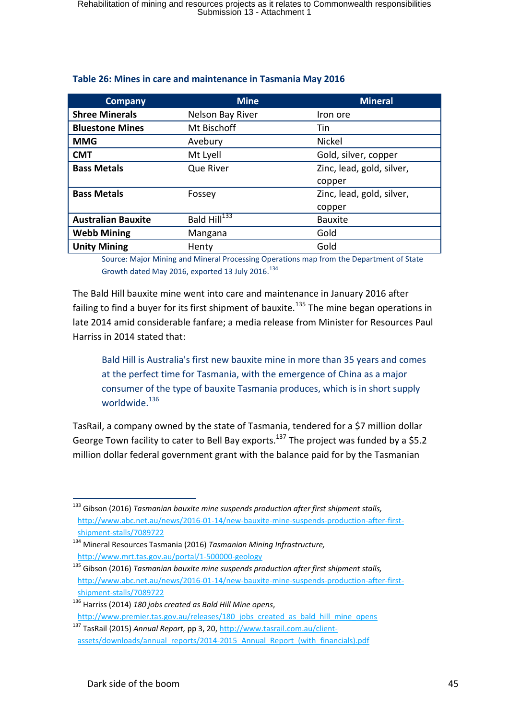| <b>Company</b>            | <b>Mine</b>              | <b>Mineral</b>            |
|---------------------------|--------------------------|---------------------------|
| <b>Shree Minerals</b>     | Nelson Bay River         | Iron ore                  |
| <b>Bluestone Mines</b>    | Mt Bischoff              | Tin                       |
| <b>MMG</b>                | Avebury                  | Nickel                    |
| <b>CMT</b>                | Mt Lyell                 | Gold, silver, copper      |
| <b>Bass Metals</b>        | Que River                | Zinc, lead, gold, silver, |
|                           |                          | copper                    |
| <b>Bass Metals</b>        | Fossey                   | Zinc, lead, gold, silver, |
|                           |                          | copper                    |
| <b>Australian Bauxite</b> | Bald Hill <sup>133</sup> | <b>Bauxite</b>            |
| <b>Webb Mining</b>        | Mangana                  | Gold                      |
| <b>Unity Mining</b>       | Henty                    | Gold                      |

#### <span id="page-46-0"></span>**Table 26: Mines in care and maintenance in Tasmania May 2016**

Source: Major Mining and Mineral Processing Operations map from the Department of State Growth dated May 2016, exported 13 July 2016.<sup>134</sup>

The Bald Hill bauxite mine went into care and maintenance in January 2016 after failing to find a buyer for its first shipment of bauxite.<sup>135</sup> The mine began operations in late 2014 amid considerable fanfare; a media release from Minister for Resources Paul Harriss in 2014 stated that:

Bald Hill is Australia's first new bauxite mine in more than 35 years and comes at the perfect time for Tasmania, with the emergence of China as a major consumer of the type of bauxite Tasmania produces, which is in short supply worldwide.<sup>136</sup>

TasRail, a company owned by the state of Tasmania, tendered for a \$7 million dollar George Town facility to cater to Bell Bay exports.<sup>137</sup> The project was funded by a \$5.2 million dollar federal government grant with the balance paid for by the Tasmanian

<sup>133</sup> Gibson (2016) *Tasmanian bauxite mine suspends production after first shipment stalls,* [http://www.abc.net.au/news/2016-01-14/new-bauxite-mine-suspends-production-after-first](http://www.abc.net.au/news/2016-01-14/new-bauxite-mine-suspends-production-after-first-shipment-stalls/7089722)[shipment-stalls/7089722](http://www.abc.net.au/news/2016-01-14/new-bauxite-mine-suspends-production-after-first-shipment-stalls/7089722)

<sup>134</sup> Mineral Resources Tasmania (2016) *Tasmanian Mining Infrastructure,* <http://www.mrt.tas.gov.au/portal/1-500000-geology>

<sup>135</sup> Gibson (2016) *Tasmanian bauxite mine suspends production after first shipment stalls,* [http://www.abc.net.au/news/2016-01-14/new-bauxite-mine-suspends-production-after-first](http://www.abc.net.au/news/2016-01-14/new-bauxite-mine-suspends-production-after-first-shipment-stalls/7089722)[shipment-stalls/7089722](http://www.abc.net.au/news/2016-01-14/new-bauxite-mine-suspends-production-after-first-shipment-stalls/7089722)

<sup>136</sup> Harriss (2014) *180 jobs created as Bald Hill Mine opens*, [http://www.premier.tas.gov.au/releases/180\\_jobs\\_created\\_as\\_bald\\_hill\\_mine\\_opens](http://www.premier.tas.gov.au/releases/180_jobs_created_as_bald_hill_mine_opens)

<sup>137</sup> TasRail (2015) *Annual Report,* pp 3, 20, [http://www.tasrail.com.au/client](http://www.tasrail.com.au/client-assets/downloads/annual_reports/2014-2015_Annual_Report_(with_financials).pdf)[assets/downloads/annual\\_reports/2014-2015\\_Annual\\_Report\\_\(with\\_financials\).pdf](http://www.tasrail.com.au/client-assets/downloads/annual_reports/2014-2015_Annual_Report_(with_financials).pdf)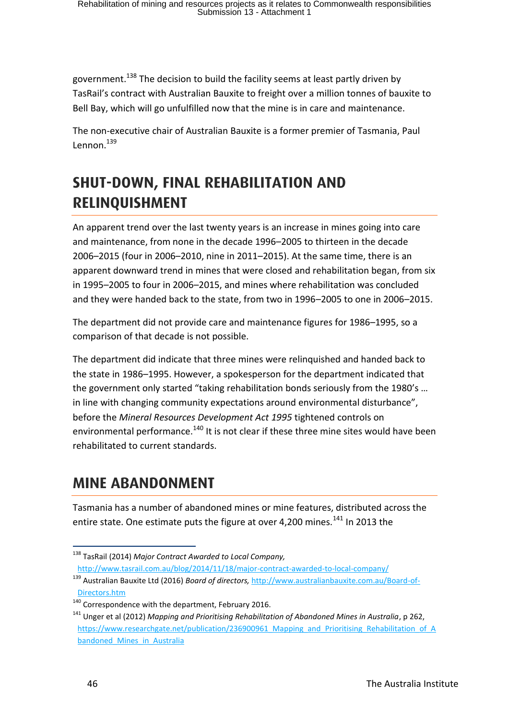government.<sup>138</sup> The decision to build the facility seems at least partly driven by TasRail's contract with Australian Bauxite to freight over a million tonnes of bauxite to Bell Bay, which will go unfulfilled now that the mine is in care and maintenance.

The non-executive chair of Australian Bauxite is a former premier of Tasmania, Paul Lennon. $139$ 

# <span id="page-47-0"></span>**SHUT-DOWN, FINAL REHABILITATION AND RELIN**

An apparent trend over the last twenty years is an increase in mines going into care and maintenance, from none in the decade 1996–2005 to thirteen in the decade 2006–2015 (four in 2006–2010, nine in 2011–2015). At the same time, there is an apparent downward trend in mines that were closed and rehabilitation began, from six in 1995–2005 to four in 2006–2015, and mines where rehabilitation was concluded and they were handed back to the state, from two in 1996–2005 to one in 2006–2015.

The department did not provide care and maintenance figures for 1986–1995, so a comparison of that decade is not possible.

The department did indicate that three mines were relinquished and handed back to the state in 1986–1995. However, a spokesperson for the department indicated that the government only started "taking rehabilitation bonds seriously from the 1980's … in line with changing community expectations around environmental disturbance", before the *Mineral Resources Development Act 1995* tightened controls on environmental performance. $140$  It is not clear if these three mine sites would have been rehabilitated to current standards.

# <span id="page-47-1"></span>**MINE ARANDONMENT MINE ABANDONMENT**

Tasmania has a number of abandoned mines or mine features, distributed across the entire state. One estimate puts the figure at over 4.200 mines.<sup>141</sup> In 2013 the

<sup>1</sup> <sup>138</sup> TasRail (2014) *Major Contract Awarded to Local Company,* <http://www.tasrail.com.au/blog/2014/11/18/major-contract-awarded-to-local-company/>

<sup>139</sup> Australian Bauxite Ltd (2016) *Board of directors,* [http://www.australianbauxite.com.au/Board-of-](http://www.australianbauxite.com.au/Board-of-Directors.htm)[Directors.htm](http://www.australianbauxite.com.au/Board-of-Directors.htm)

 $140$  Correspondence with the department, February 2016.

<sup>141</sup> Unger et al (2012) *Mapping and Prioritising Rehabilitation of Abandoned Mines in Australia*, p 262, [https://www.researchgate.net/publication/236900961\\_Mapping\\_and\\_Prioritising\\_Rehabilitation\\_of\\_A](https://www.researchgate.net/publication/236900961_Mapping_and_Prioritising_Rehabilitation_of_Abandoned_Mines_in_Australia) bandoned Mines in Australia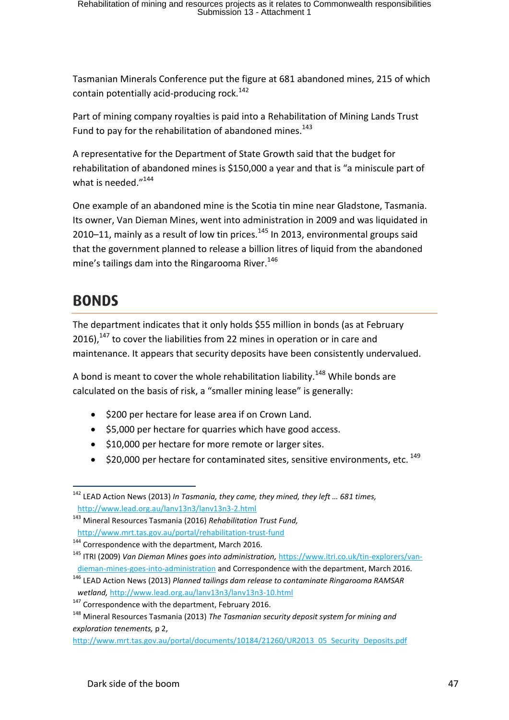Tasmanian Minerals Conference put the figure at 681 abandoned mines, 215 of which contain potentially acid-producing rock.<sup>142</sup>

Part of mining company royalties is paid into a Rehabilitation of Mining Lands Trust Fund to pay for the rehabilitation of abandoned mines. $143$ 

A representative for the Department of State Growth said that the budget for rehabilitation of abandoned mines is \$150,000 a year and that is "a miniscule part of what is needed."<sup>144</sup>

One example of an abandoned mine is the Scotia tin mine near Gladstone, Tasmania. Its owner, Van Dieman Mines, went into administration in 2009 and was liquidated in 2010–11, mainly as a result of low tin prices. $145$  In 2013, environmental groups said that the government planned to release a billion litres of liquid from the abandoned mine's tailings dam into the Ringarooma River. $146$ 

# <span id="page-48-0"></span>**BONDS BONDS**

The department indicates that it only holds \$55 million in bonds (as at February 2016).<sup>147</sup> to cover the liabilities from 22 mines in operation or in care and maintenance. It appears that security deposits have been consistently undervalued.

A bond is meant to cover the whole rehabilitation liability.<sup>148</sup> While bonds are calculated on the basis of risk, a "smaller mining lease" is generally:

- $\bullet$  \$200 per hectare for lease area if on Crown Land.
- $\bullet$  \$5,000 per hectare for quarries which have good access.
- $\bullet$  \$10,000 per hectare for more remote or larger sites.
- $\bullet$  \$20,000 per hectare for contaminated sites, sensitive environments, etc.  $^{149}$

<sup>1</sup> <sup>142</sup> LEAD Action News (2013) *In Tasmania, they came, they mined, they left … 681 times,*  <http://www.lead.org.au/lanv13n3/lanv13n3-2.html>

<sup>143</sup> Mineral Resources Tasmania (2016) *Rehabilitation Trust Fund,* <http://www.mrt.tas.gov.au/portal/rehabilitation-trust-fund>

<sup>&</sup>lt;sup>144</sup> Correspondence with the department, March 2016.

<sup>145</sup> ITRI (2009) *Van Dieman Mines goes into administration,* [https://www.itri.co.uk/tin-explorers/van](https://www.itri.co.uk/tin-explorers/van-dieman-mines-goes-into-administration)[dieman-mines-goes-into-administration](https://www.itri.co.uk/tin-explorers/van-dieman-mines-goes-into-administration) and Correspondence with the department, March 2016.

<sup>146</sup> LEAD Action News (2013) *Planned tailings dam release to contaminate Ringarooma RAMSAR wetland,* <http://www.lead.org.au/lanv13n3/lanv13n3-10.html>

 $147$  Correspondence with the department, February 2016.

<sup>148</sup> Mineral Resources Tasmania (2013) *The Tasmanian security deposit system for mining and exploration tenements,* p 2,

[http://www.mrt.tas.gov.au/portal/documents/10184/21260/UR2013\\_05\\_Security\\_Deposits.pdf](http://www.mrt.tas.gov.au/portal/documents/10184/21260/UR2013_05_Security_Deposits.pdf)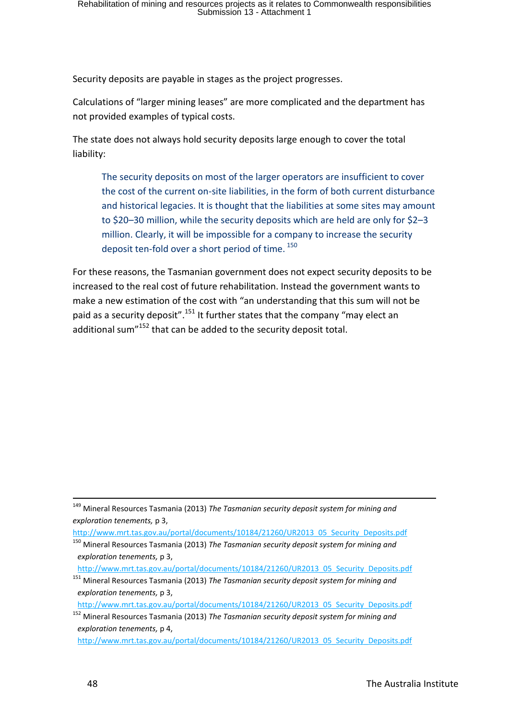Security deposits are payable in stages as the project progresses.

Calculations of "larger mining leases" are more complicated and the department has not provided examples of typical costs.

The state does not always hold security deposits large enough to cover the total liability:

The security deposits on most of the larger operators are insufficient to cover the cost of the current on-site liabilities, in the form of both current disturbance and historical legacies. It is thought that the liabilities at some sites may amount to \$20–30 million, while the security deposits which are held are only for \$2–3 million. Clearly, it will be impossible for a company to increase the security deposit ten-fold over a short period of time. 150

For these reasons, the Tasmanian government does not expect security deposits to be increased to the real cost of future rehabilitation. Instead the government wants to make a new estimation of the cost with "an understanding that this sum will not be paid as a security deposit".<sup>151</sup> It further states that the company "may elect an additional sum"<sup>152</sup> that can be added to the security deposit total.

[http://www.mrt.tas.gov.au/portal/documents/10184/21260/UR2013\\_05\\_Security\\_Deposits.pdf](http://www.mrt.tas.gov.au/portal/documents/10184/21260/UR2013_05_Security_Deposits.pdf)

<sup>150</sup> Mineral Resources Tasmania (2013) *The Tasmanian security deposit system for mining and exploration tenements,* p 3,

[http://www.mrt.tas.gov.au/portal/documents/10184/21260/UR2013\\_05\\_Security\\_Deposits.pdf](http://www.mrt.tas.gov.au/portal/documents/10184/21260/UR2013_05_Security_Deposits.pdf)

**.** 

<sup>149</sup> Mineral Resources Tasmania (2013) *The Tasmanian security deposit system for mining and exploration tenements,* p 3,

[http://www.mrt.tas.gov.au/portal/documents/10184/21260/UR2013\\_05\\_Security\\_Deposits.pdf](http://www.mrt.tas.gov.au/portal/documents/10184/21260/UR2013_05_Security_Deposits.pdf)

<sup>151</sup> Mineral Resources Tasmania (2013) *The Tasmanian security deposit system for mining and exploration tenements,* p 3,

<sup>152</sup> Mineral Resources Tasmania (2013) *The Tasmanian security deposit system for mining and exploration tenements,* p 4,

[http://www.mrt.tas.gov.au/portal/documents/10184/21260/UR2013\\_05\\_Security\\_Deposits.pdf](http://www.mrt.tas.gov.au/portal/documents/10184/21260/UR2013_05_Security_Deposits.pdf)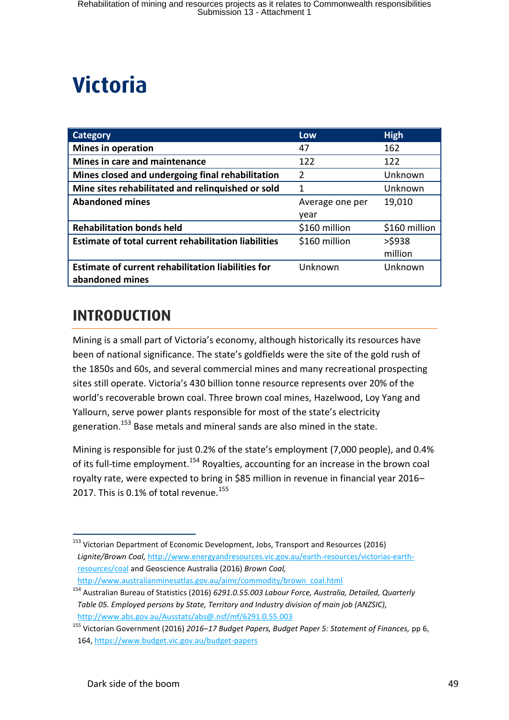# <span id="page-50-0"></span>**Victoria Victoria**

| <b>Category</b>                                      | Low             | <b>High</b>   |
|------------------------------------------------------|-----------------|---------------|
| <b>Mines in operation</b>                            | 47              | 162           |
| Mines in care and maintenance                        | 122             | 122           |
| Mines closed and undergoing final rehabilitation     | 2               | Unknown       |
| Mine sites rehabilitated and relinquished or sold    | 1               | Unknown       |
| <b>Abandoned mines</b>                               | Average one per | 19,010        |
|                                                      | year            |               |
| <b>Rehabilitation bonds held</b>                     | \$160 million   | \$160 million |
| Estimate of total current rehabilitation liabilities | \$160 million   | >\$938        |
|                                                      |                 | million       |
| Estimate of current rehabilitation liabilities for   | Unknown         | Unknown       |
| abandoned mines                                      |                 |               |

### <span id="page-50-1"></span>**INTRODUCTION INTRODUCTION**

Mining is a small part of Victoria's economy, although historically its resources have been of national significance. The state's goldfields were the site of the gold rush of the 1850s and 60s, and several commercial mines and many recreational prospecting sites still operate. Victoria's 430 billion tonne resource represents over 20% of the world's recoverable brown coal. Three brown coal mines, Hazelwood, Loy Yang and Yallourn, serve power plants responsible for most of the state's electricity generation.<sup>153</sup> Base metals and mineral sands are also mined in the state.

Mining is responsible for just 0.2% of the state's employment (7,000 people), and 0.4% of its full-time employment.<sup>154</sup> Royalties, accounting for an increase in the brown coal royalty rate, were expected to bring in \$85 million in revenue in financial year 2016– 2017. This is 0.1% of total revenue.<sup>155</sup>

<sup>&</sup>lt;sup>153</sup> Victorian Department of Economic Development, Jobs, Transport and Resources (2016) *Lignite/Brown Coal,* [http://www.energyandresources.vic.gov.au/earth-resources/victorias-earth](http://www.energyandresources.vic.gov.au/earth-resources/victorias-earth-resources/coal)[resources/coal](http://www.energyandresources.vic.gov.au/earth-resources/victorias-earth-resources/coal) and Geoscience Australia (2016) *Brown Coal,*  [http://www.australianminesatlas.gov.au/aimr/commodity/brown\\_coal.html](http://www.australianminesatlas.gov.au/aimr/commodity/brown_coal.html)

<sup>154</sup> Australian Bureau of Statistics (2016) *6291.0.55.003 Labour Force, Australia, Detailed, Quarterly Table 05. Employed persons by State, Territory and Industry division of main job (ANZSIC),*  <http://www.abs.gov.au/Ausstats/abs@.nsf/mf/6291.0.55.003>

<sup>155</sup> Victorian Government (2016) *2016–17 Budget Papers, Budget Paper 5: Statement of Finances,* pp 6, 164, <https://www.budget.vic.gov.au/budget-papers>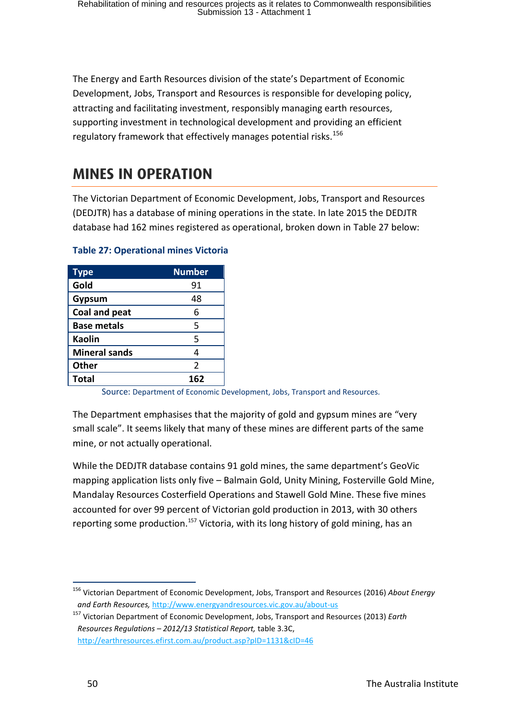The Energy and Earth Resources division of the state's Department of Economic Development, Jobs, Transport and Resources is responsible for developing policy, attracting and facilitating investment, responsibly managing earth resources, supporting investment in technological development and providing an efficient regulatory framework that effectively manages potential risks.<sup>156</sup>

### <span id="page-51-0"></span>**MINES IN OPERATION MINES IN OPERATION**

The Victorian Department of Economic Development, Jobs, Transport and Resources (DEDJTR) has a database of mining operations in the state. In late 2015 the DEDJTR database had 162 mines registered as operational, broken down in [Table 27](#page-51-1) below:

| <b>Type</b>          | <b>Number</b> |
|----------------------|---------------|
| Gold                 | 91            |
| Gypsum               | 48            |
| Coal and peat        | 6             |
| <b>Base metals</b>   | 5             |
| <b>Kaolin</b>        | 5             |
| <b>Mineral sands</b> | 4             |
| <b>Other</b>         | $\mathcal{P}$ |
| <b>Total</b>         | 162           |
|                      |               |

#### <span id="page-51-1"></span>**Table 27: Operational mines Victoria**

Source: Department of Economic Development, Jobs, Transport and Resources.

The Department emphasises that the majority of gold and gypsum mines are "very small scale". It seems likely that many of these mines are different parts of the same mine, or not actually operational.

While the DEDJTR database contains 91 gold mines, the same department's GeoVic mapping application lists only five – Balmain Gold, Unity Mining, Fosterville Gold Mine, Mandalay Resources Costerfield Operations and Stawell Gold Mine. These five mines accounted for over 99 percent of Victorian gold production in 2013, with 30 others reporting some production.<sup>157</sup> Victoria, with its long history of gold mining, has an

<sup>156</sup> Victorian Department of Economic Development, Jobs, Transport and Resources (2016) *About Energy and Earth Resources,* <http://www.energyandresources.vic.gov.au/about-us>

<sup>157</sup> Victorian Department of Economic Development, Jobs, Transport and Resources (2013) *Earth Resources Regulations – 2012/13 Statistical Report,* table 3.3C, <http://earthresources.efirst.com.au/product.asp?pID=1131&cID=46>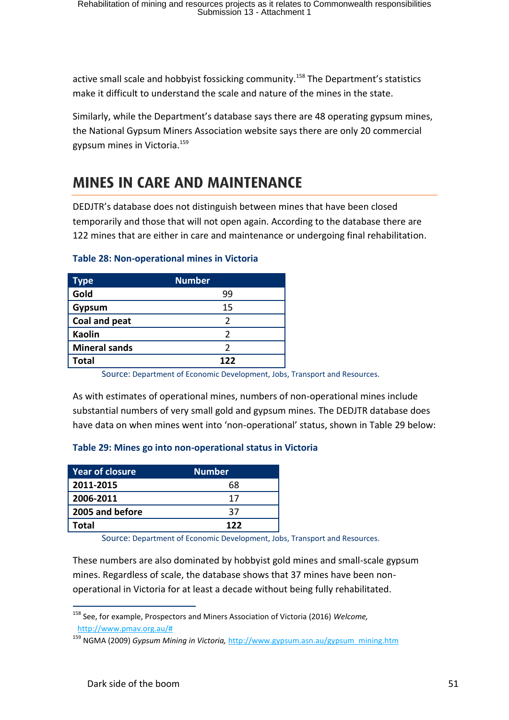active small scale and hobbyist fossicking community.<sup>158</sup> The Department's statistics make it difficult to understand the scale and nature of the mines in the state.

Similarly, while the Department's database says there are 48 operating gypsum mines, the National Gypsum Miners Association website says there are only 20 commercial gypsum mines in Victoria.<sup>159</sup>

# <span id="page-52-0"></span>**MINES IN CARE AND MAINTENANCE MINES IN CARE AND MAINTENANCE**

DEDJTR's database does not distinguish between mines that have been closed temporarily and those that will not open again. According to the database there are 122 mines that are either in care and maintenance or undergoing final rehabilitation.

| <b>Type</b>          | <b>Number</b> |
|----------------------|---------------|
| Gold                 | 99            |
| Gypsum               | 15            |
| Coal and peat        | 2             |
| <b>Kaolin</b>        | 2             |
| <b>Mineral sands</b> | 2             |
| <b>Total</b>         | 122           |

#### **Table 28: Non-operational mines in Victoria**

Source: Department of Economic Development, Jobs, Transport and Resources.

As with estimates of operational mines, numbers of non-operational mines include substantial numbers of very small gold and gypsum mines. The DEDJTR database does have data on when mines went into 'non-operational' status, shown in Table 29 below:

|  | Table 29: Mines go into non-operational status in Victoria |  |
|--|------------------------------------------------------------|--|
|--|------------------------------------------------------------|--|

| <b>Year of closure</b> | <b>Number</b> |
|------------------------|---------------|
| 2011-2015              | 68            |
| 2006-2011              | 17            |
| 2005 and before        | 37            |
| Total                  | 122           |

Source: Department of Economic Development, Jobs, Transport and Resources.

These numbers are also dominated by hobbyist gold mines and small-scale gypsum mines. Regardless of scale, the database shows that 37 mines have been nonoperational in Victoria for at least a decade without being fully rehabilitated.

<sup>1</sup> <sup>158</sup> See, for example, Prospectors and Miners Association of Victoria (2016) *Welcome,*  [http://www.pmav.org.au/#](http://www.pmav.org.au/)

<sup>159</sup> NGMA (2009) *Gypsum Mining in Victoria,* [http://www.gypsum.asn.au/gypsum\\_mining.htm](http://www.gypsum.asn.au/gypsum_mining.htm)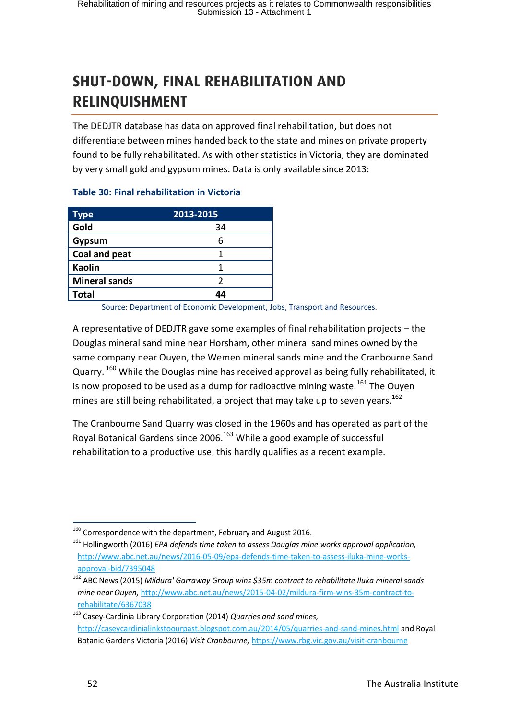# <span id="page-53-0"></span>**SHUT-DOWN, FINAL REHABILITATION AND RELINQUISHMENT**

The DEDJTR database has data on approved final rehabilitation, but does not differentiate between mines handed back to the state and mines on private property found to be fully rehabilitated. As with other statistics in Victoria, they are dominated by very small gold and gypsum mines. Data is only available since 2013:

| Type                 | 2013-2015 |
|----------------------|-----------|
| Gold                 | 34        |
| Gypsum               |           |
| Coal and peat        |           |
| <b>Kaolin</b>        |           |
| <b>Mineral sands</b> | 2         |
| <b>Total</b>         | 44        |

#### **Table 30: Final rehabilitation in Victoria**

Source: Department of Economic Development, Jobs, Transport and Resources.

A representative of DEDJTR gave some examples of final rehabilitation projects – the Douglas mineral sand mine near Horsham, other mineral sand mines owned by the same company near Ouyen, the Wemen mineral sands mine and the Cranbourne Sand Quarry.<sup>160</sup> While the Douglas mine has received approval as being fully rehabilitated, it is now proposed to be used as a dump for radioactive mining waste.<sup>161</sup> The Ouyen mines are still being rehabilitated, a project that may take up to seven years.<sup>162</sup>

The Cranbourne Sand Quarry was closed in the 1960s and has operated as part of the Royal Botanical Gardens since 2006.<sup>163</sup> While a good example of successful rehabilitation to a productive use, this hardly qualifies as a recent example.

<sup>1</sup>  $160$  Correspondence with the department, February and August 2016.

<sup>161</sup> Hollingworth (2016) *EPA defends time taken to assess Douglas mine works approval application,* [http://www.abc.net.au/news/2016-05-09/epa-defends-time-taken-to-assess-iluka-mine-works](http://www.abc.net.au/news/2016-05-09/epa-defends-time-taken-to-assess-iluka-mine-works-approval-bid/7395048)[approval-bid/7395048](http://www.abc.net.au/news/2016-05-09/epa-defends-time-taken-to-assess-iluka-mine-works-approval-bid/7395048)

<sup>162</sup> ABC News (2015) *Mildura' Garraway Group wins \$35m contract to rehabilitate Iluka mineral sands mine near Ouyen,* [http://www.abc.net.au/news/2015-04-02/mildura-firm-wins-35m-contract-to](http://www.abc.net.au/news/2015-04-02/mildura-firm-wins-35m-contract-to-rehabilitate/6367038)[rehabilitate/6367038](http://www.abc.net.au/news/2015-04-02/mildura-firm-wins-35m-contract-to-rehabilitate/6367038)

<sup>163</sup> Casey-Cardinia Library Corporation (2014) *Quarries and sand mines,* <http://caseycardinialinkstoourpast.blogspot.com.au/2014/05/quarries-and-sand-mines.html> and Royal Botanic Gardens Victoria (2016) *Visit Cranbourne,* <https://www.rbg.vic.gov.au/visit-cranbourne>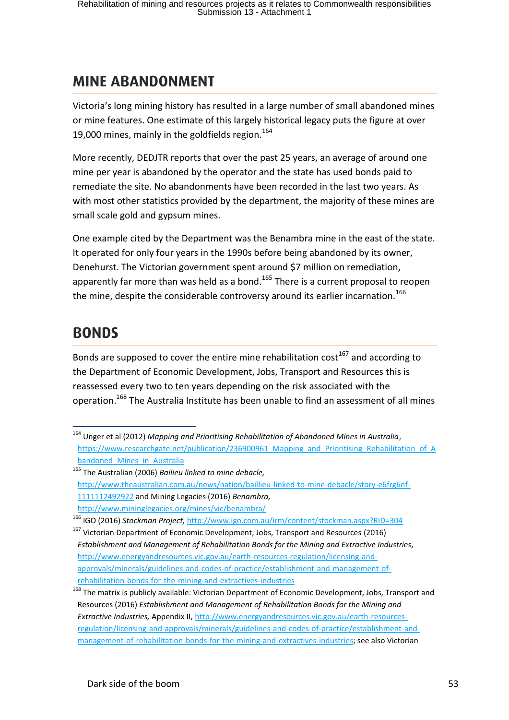# <span id="page-54-0"></span>**MINE ARANDONMENT MINE ABANDONMENT**

Victoria's long mining history has resulted in a large number of small abandoned mines or mine features. One estimate of this largely historical legacy puts the figure at over 19,000 mines, mainly in the goldfields region. $164$ 

More recently, DEDJTR reports that over the past 25 years, an average of around one mine per year is abandoned by the operator and the state has used bonds paid to remediate the site. No abandonments have been recorded in the last two years. As with most other statistics provided by the department, the majority of these mines are small scale gold and gypsum mines.

One example cited by the Department was the Benambra mine in the east of the state. It operated for only four years in the 1990s before being abandoned by its owner, Denehurst. The Victorian government spent around \$7 million on remediation, apparently far more than was held as a bond.<sup>165</sup> There is a current proposal to reopen the mine, despite the considerable controversy around its earlier incarnation.<sup>166</sup>

# <span id="page-54-1"></span>**BONDS**

Bonds are supposed to cover the entire mine rehabilitation cost<sup>167</sup> and according to the Department of Economic Development, Jobs, Transport and Resources this is reassessed every two to ten years depending on the risk associated with the operation.<sup>168</sup> The Australia Institute has been unable to find an assessment of all mines

<sup>1</sup> <sup>164</sup> Unger et al (2012) *Mapping and Prioritising Rehabilitation of Abandoned Mines in Australia*, [https://www.researchgate.net/publication/236900961\\_Mapping\\_and\\_Prioritising\\_Rehabilitation\\_of\\_A](https://www.researchgate.net/publication/236900961_Mapping_and_Prioritising_Rehabilitation_of_Abandoned_Mines_in_Australia) bandoned Mines in Australia

<sup>165</sup> The Australian (2006) *Bailieu linked to mine debacle,*  [http://www.theaustralian.com.au/news/nation/baillieu-linked-to-mine-debacle/story-e6frg6nf-](http://www.theaustralian.com.au/news/nation/baillieu-linked-to-mine-debacle/story-e6frg6nf-1111112492922)[1111112492922](http://www.theaustralian.com.au/news/nation/baillieu-linked-to-mine-debacle/story-e6frg6nf-1111112492922) and Mining Legacies (2016) *Benambra,* 

<http://www.mininglegacies.org/mines/vic/benambra/>

<sup>166</sup> IGO (2016) *Stockman Project,* <http://www.igo.com.au/irm/content/stockman.aspx?RID=304>

<sup>&</sup>lt;sup>167</sup> Victorian Department of Economic Development, Jobs, Transport and Resources (2016) *Establishment and Management of Rehabilitation Bonds for the Mining and Extractive Industries,* [http://www.energyandresources.vic.gov.au/earth-resources-regulation/licensing-and](http://www.energyandresources.vic.gov.au/earth-resources-regulation/licensing-and-approvals/minerals/guidelines-and-codes-of-practice/establishment-and-management-of-rehabilitation-bonds-for-the-mining-and-extractives-industries)[approvals/minerals/guidelines-and-codes-of-practice/establishment-and-management-of](http://www.energyandresources.vic.gov.au/earth-resources-regulation/licensing-and-approvals/minerals/guidelines-and-codes-of-practice/establishment-and-management-of-rehabilitation-bonds-for-the-mining-and-extractives-industries)[rehabilitation-bonds-for-the-mining-and-extractives-industries](http://www.energyandresources.vic.gov.au/earth-resources-regulation/licensing-and-approvals/minerals/guidelines-and-codes-of-practice/establishment-and-management-of-rehabilitation-bonds-for-the-mining-and-extractives-industries)

<sup>&</sup>lt;sup>168</sup> The matrix is publicly available: Victorian Department of Economic Development, Jobs, Transport and Resources (2016) *Establishment and Management of Rehabilitation Bonds for the Mining and Extractive Industries,* Appendix II, [http://www.energyandresources.vic.gov.au/earth-resources](http://www.energyandresources.vic.gov.au/earth-resources-regulation/licensing-and-approvals/minerals/guidelines-and-codes-of-practice/establishment-and-management-of-rehabilitation-bonds-for-the-mining-and-extractives-industries)[regulation/licensing-and-approvals/minerals/guidelines-and-codes-of-practice/establishment-and](http://www.energyandresources.vic.gov.au/earth-resources-regulation/licensing-and-approvals/minerals/guidelines-and-codes-of-practice/establishment-and-management-of-rehabilitation-bonds-for-the-mining-and-extractives-industries)[management-of-rehabilitation-bonds-for-the-mining-and-extractives-industries;](http://www.energyandresources.vic.gov.au/earth-resources-regulation/licensing-and-approvals/minerals/guidelines-and-codes-of-practice/establishment-and-management-of-rehabilitation-bonds-for-the-mining-and-extractives-industries) see also Victorian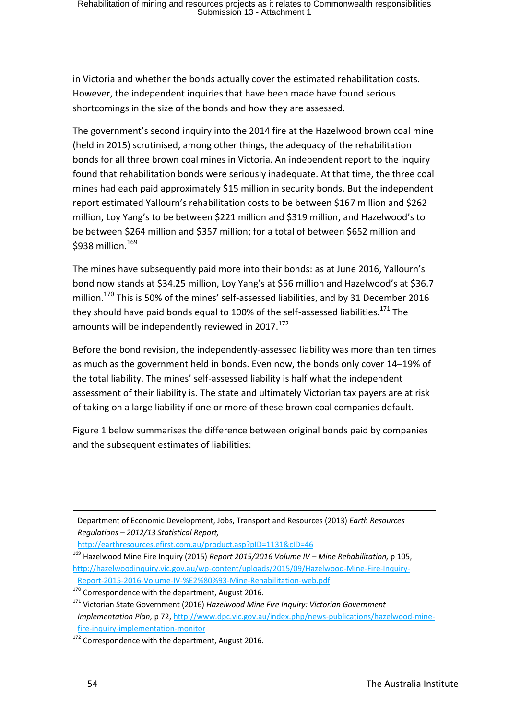in Victoria and whether the bonds actually cover the estimated rehabilitation costs. However, the independent inquiries that have been made have found serious shortcomings in the size of the bonds and how they are assessed.

The government's second inquiry into the 2014 fire at the Hazelwood brown coal mine (held in 2015) scrutinised, among other things, the adequacy of the rehabilitation bonds for all three brown coal mines in Victoria. An independent report to the inquiry found that rehabilitation bonds were seriously inadequate. At that time, the three coal mines had each paid approximately \$15 million in security bonds. But the independent report estimated Yallourn's rehabilitation costs to be between \$167 million and \$262 million, Loy Yang's to be between \$221 million and \$319 million, and Hazelwood's to be between \$264 million and \$357 million; for a total of between \$652 million and \$938 million. $^{169}$ 

The mines have subsequently paid more into their bonds: as at June 2016, Yallourn's bond now stands at \$34.25 million, Loy Yang's at \$56 million and Hazelwood's at \$36.7 million.<sup>170</sup> This is 50% of the mines' self-assessed liabilities, and by 31 December 2016 they should have paid bonds equal to 100% of the self-assessed liabilities.<sup>171</sup> The amounts will be independently reviewed in 2017.<sup>172</sup>

Before the bond revision, the independently-assessed liability was more than ten times as much as the government held in bonds. Even now, the bonds only cover 14–19% of the total liability. The mines' self-assessed liability is half what the independent assessment of their liability is. The state and ultimately Victorian tax payers are at risk of taking on a large liability if one or more of these brown coal companies default.

Figure 1 below summarises the difference between original bonds paid by companies and the subsequent estimates of liabilities:

<http://earthresources.efirst.com.au/product.asp?pID=1131&cID=46>

**.** 

Department of Economic Development, Jobs, Transport and Resources (2013) *Earth Resources Regulations – 2012/13 Statistical Report,*

<sup>169</sup> Hazelwood Mine Fire Inquiry (2015) *Report 2015/2016 Volume IV – Mine Rehabilitation,* p 105, [http://hazelwoodinquiry.vic.gov.au/wp-content/uploads/2015/09/Hazelwood-Mine-Fire-Inquiry-](http://hazelwoodinquiry.vic.gov.au/wp-content/uploads/2015/09/Hazelwood-Mine-Fire-Inquiry-Report-2015-2016-Volume-IV-%E2%80%93-Mine-Rehabilitation-web.pdf)[Report-2015-2016-Volume-IV-%E2%80%93-Mine-Rehabilitation-web.pdf](http://hazelwoodinquiry.vic.gov.au/wp-content/uploads/2015/09/Hazelwood-Mine-Fire-Inquiry-Report-2015-2016-Volume-IV-%E2%80%93-Mine-Rehabilitation-web.pdf)

 $170$  Correspondence with the department, August 2016.

<sup>171</sup> Victorian State Government (2016) *Hazelwood Mine Fire Inquiry: Victorian Government Implementation Plan,* p 72[, http://www.dpc.vic.gov.au/index.php/news-publications/hazelwood-mine](http://www.dpc.vic.gov.au/index.php/news-publications/hazelwood-mine-fire-inquiry-implementation-monitor)[fire-inquiry-implementation-monitor](http://www.dpc.vic.gov.au/index.php/news-publications/hazelwood-mine-fire-inquiry-implementation-monitor)

<sup>&</sup>lt;sup>172</sup> Correspondence with the department, August 2016.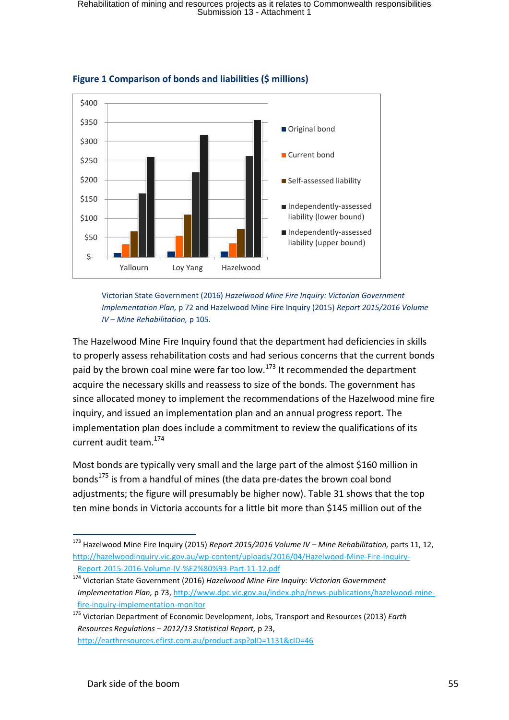



Victorian State Government (2016) *Hazelwood Mine Fire Inquiry: Victorian Government Implementation Plan,* p 72 and Hazelwood Mine Fire Inquiry (2015) *Report 2015/2016 Volume IV – Mine Rehabilitation,* p 105.

The Hazelwood Mine Fire Inquiry found that the department had deficiencies in skills to properly assess rehabilitation costs and had serious concerns that the current bonds paid by the brown coal mine were far too low.<sup>173</sup> It recommended the department acquire the necessary skills and reassess to size of the bonds. The government has since allocated money to implement the recommendations of the Hazelwood mine fire inquiry, and issued an implementation plan and an annual progress report. The implementation plan does include a commitment to review the qualifications of its current audit team.<sup>174</sup>

Most bonds are typically very small and the large part of the almost \$160 million in bonds<sup>175</sup> is from a handful of mines (the data pre-dates the brown coal bond adjustments; the figure will presumably be higher now). Table 31 shows that the top ten mine bonds in Victoria accounts for a little bit more than \$145 million out of the

<sup>173</sup> Hazelwood Mine Fire Inquiry (2015) *Report 2015/2016 Volume IV – Mine Rehabilitation,* parts 11, 12, [http://hazelwoodinquiry.vic.gov.au/wp-content/uploads/2016/04/Hazelwood-Mine-Fire-Inquiry-](http://hazelwoodinquiry.vic.gov.au/wp-content/uploads/2016/04/Hazelwood-Mine-Fire-Inquiry-Report-2015-2016-Volume-IV-%E2%80%93-Part-11-12.pdf)[Report-2015-2016-Volume-IV-%E2%80%93-Part-11-12.pdf](http://hazelwoodinquiry.vic.gov.au/wp-content/uploads/2016/04/Hazelwood-Mine-Fire-Inquiry-Report-2015-2016-Volume-IV-%E2%80%93-Part-11-12.pdf)

<sup>174</sup> Victorian State Government (2016) *Hazelwood Mine Fire Inquiry: Victorian Government Implementation Plan,* p 73[, http://www.dpc.vic.gov.au/index.php/news-publications/hazelwood-mine](http://www.dpc.vic.gov.au/index.php/news-publications/hazelwood-mine-fire-inquiry-implementation-monitor)[fire-inquiry-implementation-monitor](http://www.dpc.vic.gov.au/index.php/news-publications/hazelwood-mine-fire-inquiry-implementation-monitor)

<sup>175</sup> Victorian Department of Economic Development, Jobs, Transport and Resources (2013) *Earth Resources Regulations – 2012/13 Statistical Report,* p 23,

<http://earthresources.efirst.com.au/product.asp?pID=1131&cID=46>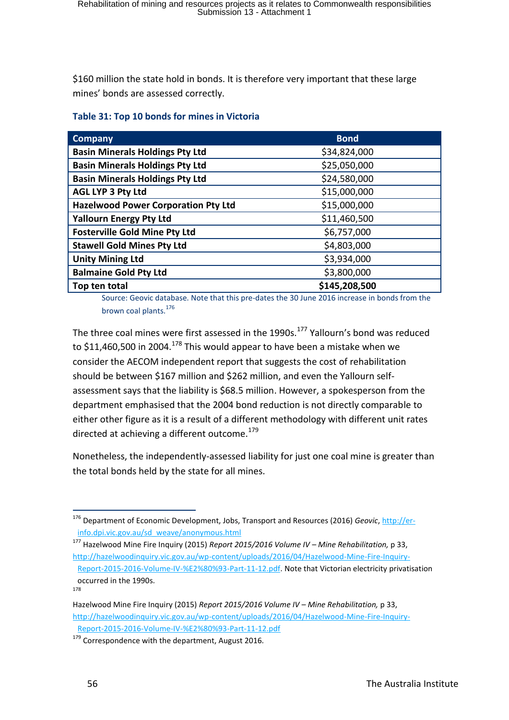\$160 million the state hold in bonds. It is therefore very important that these large mines' bonds are assessed correctly.

|  |  |  |  | Table 31: Top 10 bonds for mines in Victoria |
|--|--|--|--|----------------------------------------------|
|--|--|--|--|----------------------------------------------|

| <b>Company</b>                                                                                                                                                                                                                 | <b>Bond</b>                                                                                                     |  |
|--------------------------------------------------------------------------------------------------------------------------------------------------------------------------------------------------------------------------------|-----------------------------------------------------------------------------------------------------------------|--|
| <b>Basin Minerals Holdings Pty Ltd</b>                                                                                                                                                                                         | \$34,824,000                                                                                                    |  |
| <b>Basin Minerals Holdings Pty Ltd</b>                                                                                                                                                                                         | \$25,050,000                                                                                                    |  |
| <b>Basin Minerals Holdings Pty Ltd</b>                                                                                                                                                                                         | \$24,580,000                                                                                                    |  |
| <b>AGL LYP 3 Pty Ltd</b>                                                                                                                                                                                                       | \$15,000,000                                                                                                    |  |
| <b>Hazelwood Power Corporation Pty Ltd</b>                                                                                                                                                                                     | \$15,000,000                                                                                                    |  |
| <b>Yallourn Energy Pty Ltd</b>                                                                                                                                                                                                 | \$11,460,500                                                                                                    |  |
| <b>Fosterville Gold Mine Pty Ltd</b>                                                                                                                                                                                           | \$6,757,000                                                                                                     |  |
| <b>Stawell Gold Mines Pty Ltd</b>                                                                                                                                                                                              | \$4,803,000                                                                                                     |  |
| <b>Unity Mining Ltd</b>                                                                                                                                                                                                        | \$3,934,000                                                                                                     |  |
| <b>Balmaine Gold Pty Ltd</b>                                                                                                                                                                                                   | \$3,800,000                                                                                                     |  |
| Top ten total                                                                                                                                                                                                                  | \$145,208,500                                                                                                   |  |
| the contract of the contract of the contract of the contract of the contract of the contract of the contract of the contract of the contract of the contract of the contract of the contract of the contract of the contract o | the contract of the contract of the contract of the contract of the contract of the contract of the contract of |  |

Source: Geovic database. Note that this pre-dates the 30 June 2016 increase in bonds from the brown coal plants.<sup>176</sup>

The three coal mines were first assessed in the 1990s.<sup>177</sup> Yallourn's bond was reduced to \$11,460,500 in 2004.<sup>178</sup> This would appear to have been a mistake when we consider the AECOM independent report that suggests the cost of rehabilitation should be between \$167 million and \$262 million, and even the Yallourn selfassessment says that the liability is \$68.5 million. However, a spokesperson from the department emphasised that the 2004 bond reduction is not directly comparable to either other figure as it is a result of a different methodology with different unit rates directed at achieving a different outcome.<sup>179</sup>

Nonetheless, the independently-assessed liability for just one coal mine is greater than the total bonds held by the state for all mines.

<sup>1</sup> <sup>176</sup> Department of Economic Development, Jobs, Transport and Resources (2016) *Geovic*, [http://er](http://er-info.dpi.vic.gov.au/sd_weave/anonymous.html)[info.dpi.vic.gov.au/sd\\_weave/anonymous.html](http://er-info.dpi.vic.gov.au/sd_weave/anonymous.html)

<sup>177</sup> Hazelwood Mine Fire Inquiry (2015) *Report 2015/2016 Volume IV – Mine Rehabilitation,* p 33, [http://hazelwoodinquiry.vic.gov.au/wp-content/uploads/2016/04/Hazelwood-Mine-Fire-Inquiry-](http://hazelwoodinquiry.vic.gov.au/wp-content/uploads/2016/04/Hazelwood-Mine-Fire-Inquiry-Report-2015-2016-Volume-IV-%E2%80%93-Part-11-12.pdf)[Report-2015-2016-Volume-IV-%E2%80%93-Part-11-12.pdf.](http://hazelwoodinquiry.vic.gov.au/wp-content/uploads/2016/04/Hazelwood-Mine-Fire-Inquiry-Report-2015-2016-Volume-IV-%E2%80%93-Part-11-12.pdf) Note that Victorian electricity privatisation occurred in the 1990s.

<sup>178</sup>

Hazelwood Mine Fire Inquiry (2015) *Report 2015/2016 Volume IV – Mine Rehabilitation,* p 33, [http://hazelwoodinquiry.vic.gov.au/wp-content/uploads/2016/04/Hazelwood-Mine-Fire-Inquiry-](http://hazelwoodinquiry.vic.gov.au/wp-content/uploads/2016/04/Hazelwood-Mine-Fire-Inquiry-Report-2015-2016-Volume-IV-%E2%80%93-Part-11-12.pdf)[Report-2015-2016-Volume-IV-%E2%80%93-Part-11-12.pdf](http://hazelwoodinquiry.vic.gov.au/wp-content/uploads/2016/04/Hazelwood-Mine-Fire-Inquiry-Report-2015-2016-Volume-IV-%E2%80%93-Part-11-12.pdf)

 $179$  Correspondence with the department, August 2016.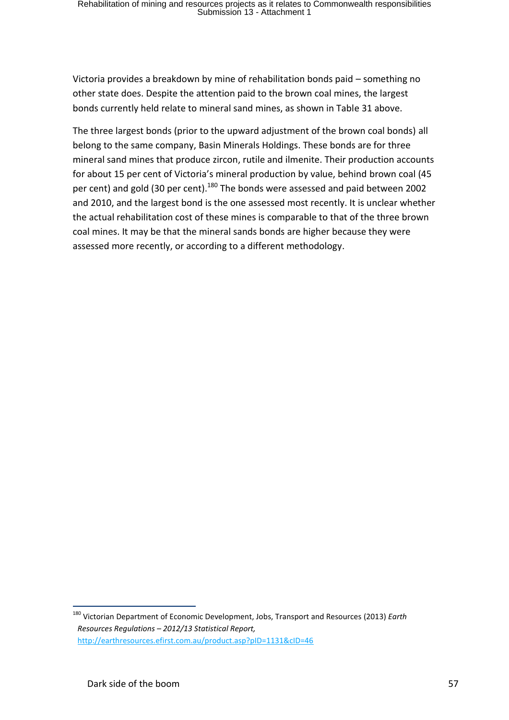Victoria provides a breakdown by mine of rehabilitation bonds paid – something no other state does. Despite the attention paid to the brown coal mines, the largest bonds currently held relate to mineral sand mines, as shown in Table 31 above.

The three largest bonds (prior to the upward adjustment of the brown coal bonds) all belong to the same company, Basin Minerals Holdings. These bonds are for three mineral sand mines that produce zircon, rutile and ilmenite. Their production accounts for about 15 per cent of Victoria's mineral production by value, behind brown coal (45 per cent) and gold (30 per cent).<sup>180</sup> The bonds were assessed and paid between 2002 and 2010, and the largest bond is the one assessed most recently. It is unclear whether the actual rehabilitation cost of these mines is comparable to that of the three brown coal mines. It may be that the mineral sands bonds are higher because they were assessed more recently, or according to a different methodology.

<sup>180</sup> Victorian Department of Economic Development, Jobs, Transport and Resources (2013) *Earth Resources Regulations – 2012/13 Statistical Report,* <http://earthresources.efirst.com.au/product.asp?pID=1131&cID=46>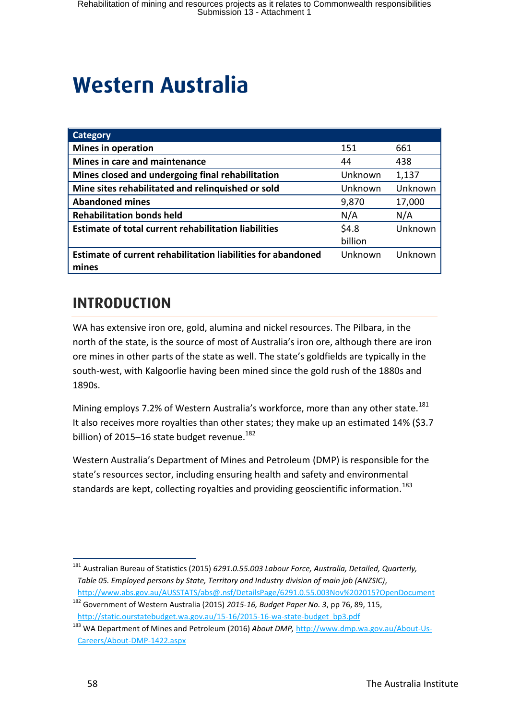# <span id="page-59-0"></span>Western Australia **Western Australia**

| <b>Category</b>                                                     |         |         |
|---------------------------------------------------------------------|---------|---------|
| <b>Mines in operation</b>                                           | 151     | 661     |
| Mines in care and maintenance                                       | 44      | 438     |
| Mines closed and undergoing final rehabilitation                    | Unknown | 1,137   |
| Mine sites rehabilitated and relinquished or sold                   | Unknown | Unknown |
| <b>Abandoned mines</b>                                              | 9,870   | 17,000  |
| <b>Rehabilitation bonds held</b>                                    | N/A     | N/A     |
| <b>Estimate of total current rehabilitation liabilities</b>         | \$4.8   | Unknown |
|                                                                     | billion |         |
| <b>Estimate of current rehabilitation liabilities for abandoned</b> | Unknown | Unknown |
| mines                                                               |         |         |

# <span id="page-59-1"></span>**INTRODUCTION INTRODUCTION**

WA has extensive iron ore, gold, alumina and nickel resources. The Pilbara, in the north of the state, is the source of most of Australia's iron ore, although there are iron ore mines in other parts of the state as well. The state's goldfields are typically in the south-west, with Kalgoorlie having been mined since the gold rush of the 1880s and 1890s.

Mining employs 7.2% of Western Australia's workforce, more than any other state.<sup>181</sup> It also receives more royalties than other states; they make up an estimated 14% (\$3.7 billion) of 2015-16 state budget revenue.<sup>182</sup>

Western Australia's Department of Mines and Petroleum (DMP) is responsible for the state's resources sector, including ensuring health and safety and environmental standards are kept, collecting royalties and providing geoscientific information.<sup>183</sup>

<sup>1</sup> <sup>181</sup> Australian Bureau of Statistics (2015) *6291.0.55.003 Labour Force, Australia, Detailed, Quarterly, Table 05. Employed persons by State, Territory and Industry division of main job (ANZSIC)*, <http://www.abs.gov.au/AUSSTATS/abs@.nsf/DetailsPage/6291.0.55.003Nov%202015?OpenDocument>

<sup>182</sup> Government of Western Australia (2015) *2015-16, Budget Paper No. 3*, pp 76, 89, 115, [http://static.ourstatebudget.wa.gov.au/15-16/2015-16-wa-state-budget\\_bp3.pdf](http://static.ourstatebudget.wa.gov.au/15-16/2015-16-wa-state-budget_bp3.pdf)

<sup>183</sup> WA Department of Mines and Petroleum (2016) *About DMP,* [http://www.dmp.wa.gov.au/About-Us-](http://www.dmp.wa.gov.au/About-Us-Careers/About-DMP-1422.aspx)[Careers/About-DMP-1422.aspx](http://www.dmp.wa.gov.au/About-Us-Careers/About-DMP-1422.aspx)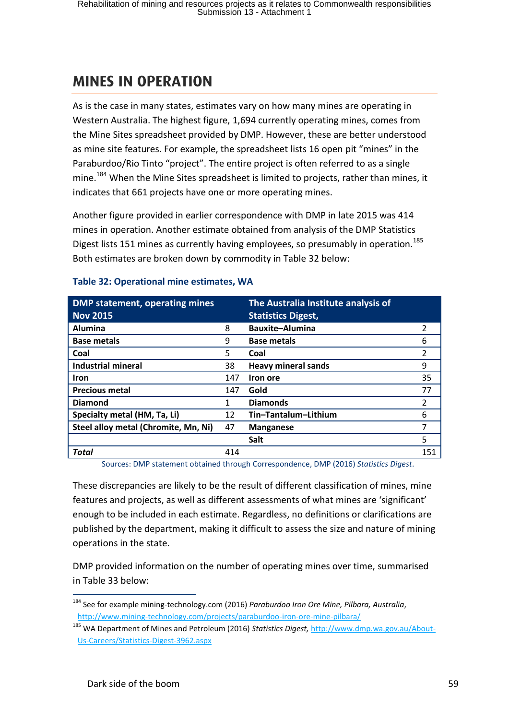# <span id="page-60-0"></span>**MINES IN OPERATION MINES IN OPERATION**

As is the case in many states, estimates vary on how many mines are operating in Western Australia. The highest figure, 1,694 currently operating mines, comes from the Mine Sites spreadsheet provided by DMP. However, these are better understood as mine site features. For example, the spreadsheet lists 16 open pit "mines" in the Paraburdoo/Rio Tinto "project". The entire project is often referred to as a single mine.<sup>184</sup> When the Mine Sites spreadsheet is limited to projects, rather than mines, it indicates that 661 projects have one or more operating mines.

Another figure provided in earlier correspondence with DMP in late 2015 was 414 mines in operation. Another estimate obtained from analysis of the DMP Statistics Digest lists 151 mines as currently having employees, so presumably in operation.<sup>185</sup> Both estimates are broken down by commodity in Table 32 below:

| <b>DMP statement, operating mines</b><br><b>Nov 2015</b> |     | The Australia Institute analysis of<br><b>Statistics Digest,</b> |     |
|----------------------------------------------------------|-----|------------------------------------------------------------------|-----|
| <b>Alumina</b>                                           | 8   | <b>Bauxite-Alumina</b>                                           | 2   |
| <b>Base metals</b>                                       | 9   | <b>Base metals</b>                                               | 6   |
| Coal                                                     | 5   | Coal                                                             | 2   |
| <b>Industrial mineral</b>                                | 38  | <b>Heavy mineral sands</b>                                       | 9   |
| <b>Iron</b>                                              | 147 | Iron ore                                                         | 35  |
| <b>Precious metal</b>                                    | 147 | Gold                                                             | 77  |
| <b>Diamond</b>                                           | 1   | <b>Diamonds</b>                                                  | 2   |
| Specialty metal (HM, Ta, Li)                             | 12  | Tin-Tantalum-Lithium                                             | 6   |
| Steel alloy metal (Chromite, Mn, Ni)                     | 47  | <b>Manganese</b>                                                 | 7   |
|                                                          |     | Salt                                                             | 5   |
| <b>Total</b>                                             | 414 |                                                                  | 151 |

#### **Table 32: Operational mine estimates, WA**

Sources: DMP statement obtained through Correspondence, DMP (2016) *Statistics Digest*.

These discrepancies are likely to be the result of different classification of mines, mine features and projects, as well as different assessments of what mines are 'significant' enough to be included in each estimate. Regardless, no definitions or clarifications are published by the department, making it difficult to assess the size and nature of mining operations in the state.

DMP provided information on the number of operating mines over time, summarised in Table 33 below:

<sup>1</sup> <sup>184</sup> See for example mining-technology.com (2016) *Paraburdoo Iron Ore Mine, Pilbara, Australia*, <http://www.mining-technology.com/projects/paraburdoo-iron-ore-mine-pilbara/>

<sup>185</sup> WA Department of Mines and Petroleum (2016) *Statistics Digest,* [http://www.dmp.wa.gov.au/About-](http://www.dmp.wa.gov.au/About-Us-Careers/Statistics-Digest-3962.aspx)[Us-Careers/Statistics-Digest-3962.aspx](http://www.dmp.wa.gov.au/About-Us-Careers/Statistics-Digest-3962.aspx)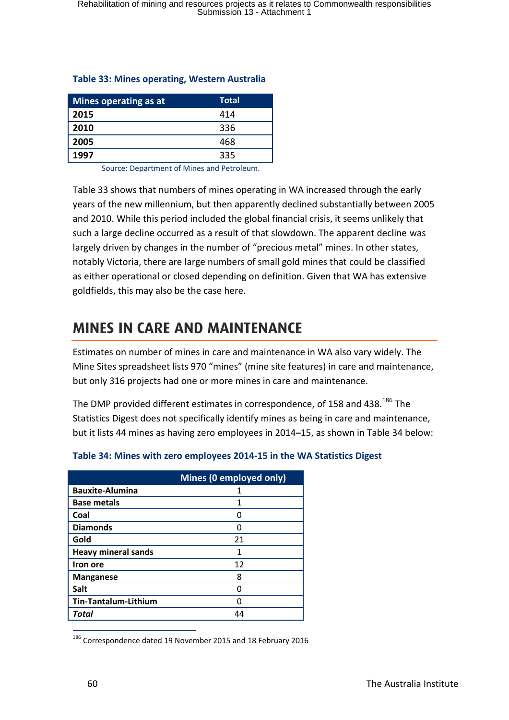| <b>Table 33: Mines operating, Western Australia</b> |  |  |
|-----------------------------------------------------|--|--|
|-----------------------------------------------------|--|--|

| Mines operating as at | <b>Total</b> |
|-----------------------|--------------|
| 2015                  | 414          |
| 2010                  | 336          |
| 2005                  | 468          |
| 1997                  | 335          |

Source: Department of Mines and Petroleum.

Table 33 shows that numbers of mines operating in WA increased through the early years of the new millennium, but then apparently declined substantially between 2005 and 2010. While this period included the global financial crisis, it seems unlikely that such a large decline occurred as a result of that slowdown. The apparent decline was largely driven by changes in the number of "precious metal" mines. In other states, notably Victoria, there are large numbers of small gold mines that could be classified as either operational or closed depending on definition. Given that WA has extensive goldfields, this may also be the case here.

### <span id="page-61-0"></span>**MINES IN CARE AND MAINTENANCE MINES IN CARE AND MAINTENANCE**

Estimates on number of mines in care and maintenance in WA also vary widely. The Mine Sites spreadsheet lists 970 "mines" (mine site features) in care and maintenance, but only 316 projects had one or more mines in care and maintenance.

The DMP provided different estimates in correspondence, of 158 and 438.<sup>186</sup> The Statistics Digest does not specifically identify mines as being in care and maintenance, but it lists 44 mines as having zero employees in 2014**–**15, as shown in Table 34 below:

|                             | Mines (0 employed only) |
|-----------------------------|-------------------------|
| <b>Bauxite-Alumina</b>      |                         |
| <b>Base metals</b>          |                         |
| Coal                        |                         |
| <b>Diamonds</b>             |                         |
| Gold                        | 21                      |
| <b>Heavy mineral sands</b>  | 1                       |
| Iron ore                    | 12                      |
| <b>Manganese</b>            | 8                       |
| Salt                        |                         |
| <b>Tin-Tantalum-Lithium</b> |                         |
| Total                       | 44                      |

**Table 34: Mines with zero employees 2014-15 in the WA Statistics Digest**

 $186$  Correspondence dated 19 November 2015 and 18 February 2016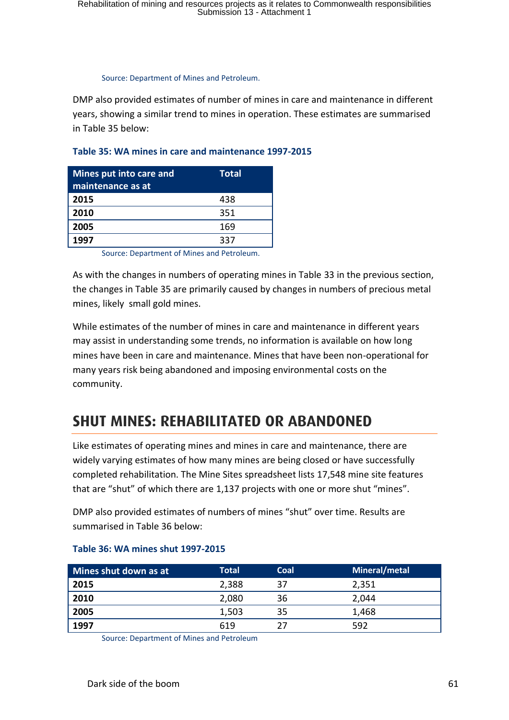#### Source: Department of Mines and Petroleum.

DMP also provided estimates of number of mines in care and maintenance in different years, showing a similar trend to mines in operation. These estimates are summarised in Table 35 below:

#### **Table 35: WA mines in care and maintenance 1997-2015**

| <b>Mines put into care and</b><br>maintenance as at | <b>Total</b> |
|-----------------------------------------------------|--------------|
| 2015                                                | 438          |
| 2010                                                | 351          |
| 2005                                                | 169          |
| 1997                                                | 337          |
|                                                     |              |

Source: Department of Mines and Petroleum.

As with the changes in numbers of operating mines in Table 33 in the previous section, the changes in Table 35 are primarily caused by changes in numbers of precious metal mines, likely small gold mines.

While estimates of the number of mines in care and maintenance in different years may assist in understanding some trends, no information is available on how long mines have been in care and maintenance. Mines that have been non-operational for many years risk being abandoned and imposing environmental costs on the community.

# <span id="page-62-0"></span>**SHUT MINES: REHABILITATED OR ABANDONED SHUT MINES: REHABILITATED OR ABANDONED**

Like estimates of operating mines and mines in care and maintenance, there are widely varying estimates of how many mines are being closed or have successfully completed rehabilitation. The Mine Sites spreadsheet lists 17,548 mine site features that are "shut" of which there are 1,137 projects with one or more shut "mines".

DMP also provided estimates of numbers of mines "shut" over time. Results are summarised in Table 36 below:

| Mines shut down as at | Total | Coal | Mineral/metal |
|-----------------------|-------|------|---------------|
| 2015                  | 2,388 | 37   | 2,351         |
| 2010                  | 2,080 | 36   | 2,044         |
| 2005                  | 1,503 | 35   | 1,468         |
| 1997                  | 619   | วร   | 592           |

#### **Table 36: WA mines shut 1997-2015**

Source: Department of Mines and Petroleum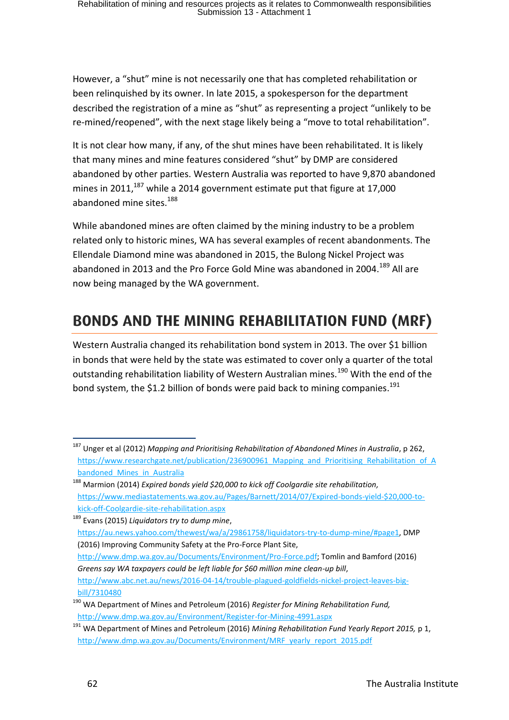However, a "shut" mine is not necessarily one that has completed rehabilitation or been relinquished by its owner. In late 2015, a spokesperson for the department described the registration of a mine as "shut" as representing a project "unlikely to be re-mined/reopened", with the next stage likely being a "move to total rehabilitation".

It is not clear how many, if any, of the shut mines have been rehabilitated. It is likely that many mines and mine features considered "shut" by DMP are considered abandoned by other parties. Western Australia was reported to have 9,870 abandoned mines in 2011,  $^{187}$  while a 2014 government estimate put that figure at 17,000 abandoned mine sites.<sup>188</sup>

While abandoned mines are often claimed by the mining industry to be a problem related only to historic mines, WA has several examples of recent abandonments. The Ellendale Diamond mine was abandoned in 2015, the Bulong Nickel Project was abandoned in 2013 and the Pro Force Gold Mine was abandoned in 2004.<sup>189</sup> All are now being managed by the WA government.

# <span id="page-63-0"></span>**BONDS AND THE MINING REHABILITATION FUND (MRF)**

Western Australia changed its rehabilitation bond system in 2013. The over \$1 billion in bonds that were held by the state was estimated to cover only a quarter of the total outstanding rehabilitation liability of Western Australian mines.<sup>190</sup> With the end of the bond system, the \$1.2 billion of bonds were paid back to mining companies.<sup>191</sup>

<sup>1</sup> <sup>187</sup> Unger et al (2012) *Mapping and Prioritising Rehabilitation of Abandoned Mines in Australia, p 262*, [https://www.researchgate.net/publication/236900961\\_Mapping\\_and\\_Prioritising\\_Rehabilitation\\_of\\_A](https://www.researchgate.net/publication/236900961_Mapping_and_Prioritising_Rehabilitation_of_Abandoned_Mines_in_Australia) bandoned Mines in Australia

<sup>188</sup> Marmion (2014) *Expired bonds yield \$20,000 to kick off Coolgardie site rehabilitation,*  [https://www.mediastatements.wa.gov.au/Pages/Barnett/2014/07/Expired-bonds-yield-\\$20,000-to](https://www.mediastatements.wa.gov.au/Pages/Barnett/2014/07/Expired-bonds-yield-$20,000-to-kick-off-Coolgardie-site-rehabilitation.aspx)[kick-off-Coolgardie-site-rehabilitation.aspx](https://www.mediastatements.wa.gov.au/Pages/Barnett/2014/07/Expired-bonds-yield-$20,000-to-kick-off-Coolgardie-site-rehabilitation.aspx)

<sup>189</sup> Evans (2015) *Liquidators try to dump mine*, [https://au.news.yahoo.com/thewest/wa/a/29861758/liquidators-try-to-dump-mine/#page1,](https://au.news.yahoo.com/thewest/wa/a/29861758/liquidators-try-to-dump-mine/#page1) DMP (2016) Improving Community Safety at the Pro-Force Plant Site, [http://www.dmp.wa.gov.au/Documents/Environment/Pro-Force.pdf;](http://www.dmp.wa.gov.au/Documents/Environment/Pro-Force.pdf) Tomlin and Bamford (2016) *Greens say WA taxpayers could be left liable for \$60 million mine clean-up bill*, [http://www.abc.net.au/news/2016-04-14/trouble-plagued-goldfields-nickel-project-leaves-big](http://www.abc.net.au/news/2016-04-14/trouble-plagued-goldfields-nickel-project-leaves-big-bill/7310480)[bill/7310480](http://www.abc.net.au/news/2016-04-14/trouble-plagued-goldfields-nickel-project-leaves-big-bill/7310480) 

<sup>190</sup> WA Department of Mines and Petroleum (2016) *Register for Mining Rehabilitation Fund,* <http://www.dmp.wa.gov.au/Environment/Register-for-Mining-4991.aspx>

<sup>191</sup> WA Department of Mines and Petroleum (2016) *Mining Rehabilitation Fund Yearly Report 2015,* p 1, [http://www.dmp.wa.gov.au/Documents/Environment/MRF\\_yearly\\_report\\_2015.pdf](http://www.dmp.wa.gov.au/Documents/Environment/MRF_yearly_report_2015.pdf)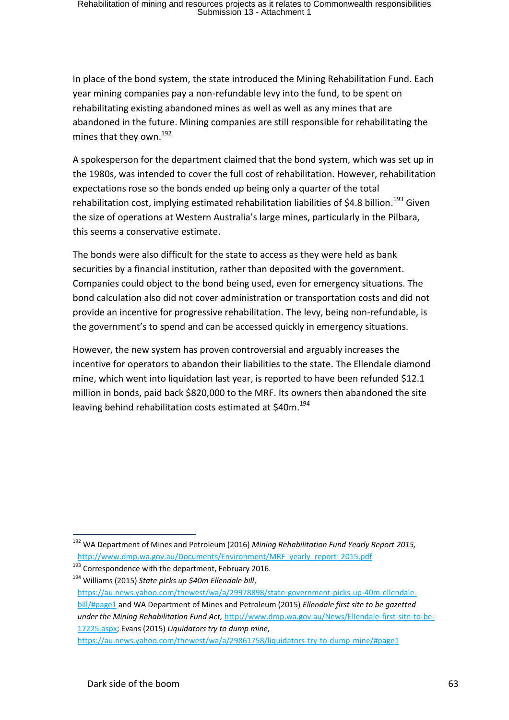In place of the bond system, the state introduced the Mining Rehabilitation Fund. Each year mining companies pay a non-refundable levy into the fund, to be spent on rehabilitating existing abandoned mines as well as well as any mines that are abandoned in the future. Mining companies are still responsible for rehabilitating the mines that they own. 192

A spokesperson for the department claimed that the bond system, which was set up in the 1980s, was intended to cover the full cost of rehabilitation. However, rehabilitation expectations rose so the bonds ended up being only a quarter of the total rehabilitation cost, implying estimated rehabilitation liabilities of \$4.8 billion.<sup>193</sup> Given the size of operations at Western Australia's large mines, particularly in the Pilbara, this seems a conservative estimate.

The bonds were also difficult for the state to access as they were held as bank securities by a financial institution, rather than deposited with the government. Companies could object to the bond being used, even for emergency situations. The bond calculation also did not cover administration or transportation costs and did not provide an incentive for progressive rehabilitation. The levy, being non-refundable, is the government's to spend and can be accessed quickly in emergency situations.

However, the new system has proven controversial and arguably increases the incentive for operators to abandon their liabilities to the state. The Ellendale diamond mine, which went into liquidation last year, is reported to have been refunded \$12.1 million in bonds, paid back \$820,000 to the MRF. Its owners then abandoned the site leaving behind rehabilitation costs estimated at \$40m.<sup>194</sup>

<sup>1</sup> <sup>192</sup> WA Department of Mines and Petroleum (2016) *Mining Rehabilitation Fund Yearly Report 2015,*  [http://www.dmp.wa.gov.au/Documents/Environment/MRF\\_yearly\\_report\\_2015.pdf](http://www.dmp.wa.gov.au/Documents/Environment/MRF_yearly_report_2015.pdf)

 $193$  Correspondence with the department, February 2016. <sup>194</sup> Williams (2015) *State picks up \$40m Ellendale bill*, [https://au.news.yahoo.com/thewest/wa/a/29978898/state-government-picks-up-40m-ellendale](https://au.news.yahoo.com/thewest/wa/a/29978898/state-government-picks-up-40m-ellendale-bill/#page1)[bill/#page1](https://au.news.yahoo.com/thewest/wa/a/29978898/state-government-picks-up-40m-ellendale-bill/#page1) and WA Department of Mines and Petroleum (2015) *Ellendale first site to be gazetted under the Mining Rehabilitation Fund Act,* [http://www.dmp.wa.gov.au/News/Ellendale-first-site-to-be-](http://www.dmp.wa.gov.au/News/Ellendale-first-site-to-be-17225.aspx)[17225.aspx;](http://www.dmp.wa.gov.au/News/Ellendale-first-site-to-be-17225.aspx) Evans (2015) *Liquidators try to dump mine,* <https://au.news.yahoo.com/thewest/wa/a/29861758/liquidators-try-to-dump-mine/#page1>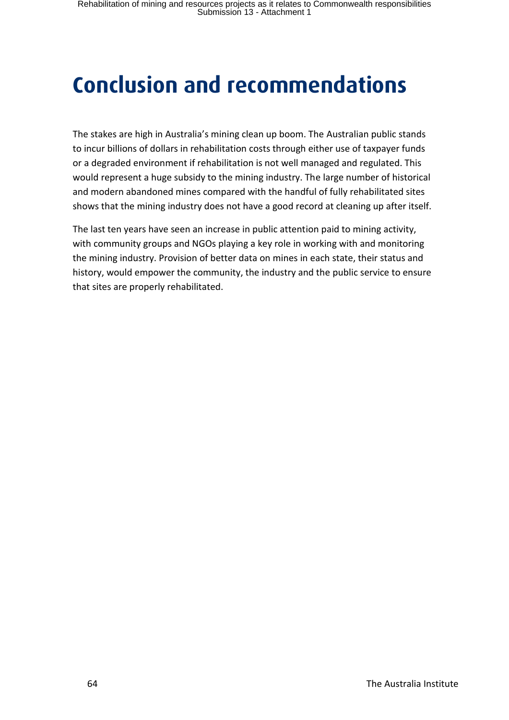# <span id="page-65-0"></span>**Conclusion and recommendations**

The stakes are high in Australia's mining clean up boom. The Australian public stands to incur billions of dollars in rehabilitation costs through either use of taxpayer funds or a degraded environment if rehabilitation is not well managed and regulated. This would represent a huge subsidy to the mining industry. The large number of historical and modern abandoned mines compared with the handful of fully rehabilitated sites shows that the mining industry does not have a good record at cleaning up after itself.

The last ten years have seen an increase in public attention paid to mining activity, with community groups and NGOs playing a key role in working with and monitoring the mining industry. Provision of better data on mines in each state, their status and history, would empower the community, the industry and the public service to ensure that sites are properly rehabilitated.